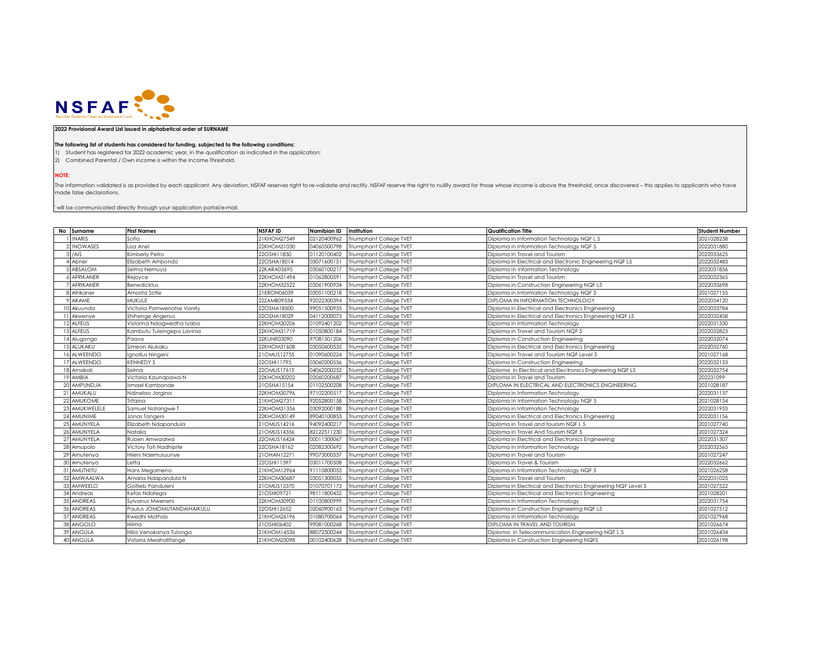

## **2022 Provisional Award List issued in alphabetical order of SURNAME**

## **The following list of students has considered for funding, subjected to the following conditions:**

1) Student has registered for 2022 academic year, in the qualification as indicated in the application;

2) Combined Parental / Own income is within the Income Threshold.

**NOTE:**

The information validated is as provided by each applicant. Any deviation, NSFAF reserves right to re-validate and rectify. NSFAF reserve the right to nullify award for those whose income is above the threshold, once disco made false declarations.

 $^{\circ}$  will be communicated directly through your application portal/e-mail.

| No Surname       | <b>First Names</b>         | <b>NSFAFID</b> | Namibian ID | Institution                    | <b>Qualification Title</b>                                    | <b>Student Number</b> |
|------------------|----------------------------|----------------|-------------|--------------------------------|---------------------------------------------------------------|-----------------------|
| <b>INARIS</b>    | Sofia                      | 21KHOM27549    | 02120400962 | <b>Triumphant College TVET</b> | Diploma in Information Technology NQF L 5                     | 2021028238            |
| 2 INOWASES       | Lisa Anel                  | 22KHOM31030    | 04060500798 | Triumphant College TVET        | Diploma in Information Technology NQF 5                       | 2022031880            |
| $3$ /AIS         | Kimberly Petro             | 22OSHI11830    | 01120100402 | Triumphant College TVET        | Diploma in Travel and Tourism                                 | 2022033625            |
| Abner            | Elizabeth Ambondo          | 22OSHA18014    | 03071600151 | Triumphant College TVET        | Diploma in Electrical and Electronic Engineering NQF L5       | 2022032483            |
| ABSALOM          | Selma Nemuya               | 22KARA03695    | 03060100217 | <b>Triumphant College TVET</b> | Diploma In Information Technology                             | 2022031836            |
| <b>AFRIKANER</b> | Rejoyce                    | 22KHOM31494    | 01062800591 | <b>Triumphant College TVET</b> | Diploma in Travel and Tourism                                 | 2022032365            |
| <b>AFRIKANER</b> | <b>Benedicktus</b>         | 22KHOM32522    | 03061900934 | Triumphant College TVET        | Diploma in Construction Engineering NQF L5                    | 2022033698            |
| Afrikaner        | Amorita Sofie              | 21ERON06039    | 03051100218 | <b>Triumphant College TVET</b> | Diploma in Information Technology NQF 5                       | 2021027155            |
| 9 AKAME          | MUKULE                     | 22ZAMB09534    | 92022300394 | <b>Triumphant College TVET</b> | DIPLOMA IN INFORMATION TECHNOLOGY                             | 2022034120            |
| 0 Akuunda        | Victoria Pamwenatse Vanity | 22OSHA18500    | 99051500955 | <b>Triumphant College TVET</b> | Diploma in Electrical and Electronics Engineering             | 2022033784            |
| 11 Akwenye       | Shihenge Angenus           | 22OSHA18029    | 04112000073 | Triumphant College TVET        | Diploma in Electrical and Electronics Engineering NQF L5      | 2022032458            |
| 12 ALFEUS        | Vistorina Ndagwedha Iyabo  | 22KHOM30206    | 01092401202 | Triumphant College TVET        | Diploma in Information Technology                             | 2022031330            |
| <b>3 ALFEUS</b>  | Kambutu Tuleingepo Lavinia | 22KHOM31719    | 01050800184 | <b>Triumphant College TVET</b> | Diploma in Travel and Tourism NQF 5                           | 2022032823            |
| 14 Alugongo      | Paavo                      | 22KUNE03090    | 97081501206 | <b>Triumphant College TVET</b> | Diploma in Construction Engineering                           | 2022032074            |
| 15 ALUKAKU       | Simeon Alukaku             | 22KHOM31608    | 03050600535 | Triumphant College TVET        | Diploma in Electrical and Electronics Engineering             | 2022032760            |
| 16 ALWEENDO      | Ignatius Ningeni           | 21OMUS12755    | 01090600224 | Triumphant College TVET        | Diploma in Travel and Tourism NQF Level 5                     | 2021027168            |
| 17 ALWEENDO      | <b>KENNEDY S</b>           | 22OSHI11795    | 03060200556 | <b>Triumphant College TVET</b> | Diploma in Construction Engineering                           | 2022032153            |
| 18 Amakali       | Selma                      | 22OMUS17615    | 04062200252 | <b>Triumphant College TVET</b> | Diploma in Electrical and Electronics Engineering NQF L5      | 2022032754            |
| 19 AMBIA         | Victoria Kaunapawa N       | 22KHOM30202    | 02060200687 | Triumphant College TVET        | Diploma in Travel and Tourism                                 | 202231099             |
| 20 AMPUNDJA      | smael Kambonde             | 21OSHA15154    | 01102500208 | <b>Triumphant College TVET</b> | DIPLOMA IN ELECTRICAL AND ELECTRONICS ENGINEERING             | 2021028187            |
| 21 AMUKALU       | Ndinelao Jorgina           | 22KHOM30796    | 97102200517 | Triumphant College TVET        | Diploma in Information Technology                             | 2022031137            |
| 22 AMUKOME       | Trifaina                   | 21KHOM27311    | 92052800158 | Triumphant College TVET        | Diploma In Information Technology NQF 5                       | 2021028154            |
| 23 AMUKWELELE    | Samuel Natangwe T          | 22KHOM31356    | 03092000188 | Triumphant College TVET        | Diploma in Information Technology                             | 2022031933            |
| 24 AMUNIME       | Jonas Tangeni              | 22KHOM30149    | 89040100853 | Triumphant College TVET        | Diploma in Electrical and Electronics Engineering             | 2022031156            |
| 25 AMUNYELA      | Elizabeth Ndapandula       | 21OMUS14216    | 94092400217 | Triumphant College TVET        | Diploma in Travel and tourism NQF L 5                         | 2021027740            |
| 26 AMUNYELA      | Natalia                    | 21OMUS14356    | 82122511230 | Triumphant College TVET        | Diploma in Travel And Tourism NQF 5                           | 2021027324            |
| 27 AMUNYELA      | Ruben Amwaalwa             | 22OMUS16424    | 00011300067 | <b>Triumphant College TVET</b> | Diploma in Electrical and Electronics Engineering             | 2022031307            |
| 28 Amupolo       | Victory Toti Nadhipite     | 22OSHA18162    | 02082300692 | <b>Triumphant College TVET</b> | Diploma in Information Technology                             | 2022032565            |
| 29 Amutenya      | Hileni Ndemusuunye         | 21OHAN1227     | 99073000537 | <b>Triumphant College TVET</b> | Diploma in Travel and Tourism                                 | 2021027247            |
| 30 Amutenya      | Letta                      | 22OSHI11397    | 03011700508 | <b>Triumphant College TVET</b> | Diploma in Travel & Tourism                                   | 2022032662            |
| 31 AMUTHITU      | Hans Megameno              | 21KHOM12964    | 91110800053 | <b>Triumphant College TVET</b> | Diploma in Information Technology NQF 5                       | 2021026258            |
| 32 AMWAALWA      | Amaria Ndapandula N        | 22KHOM30687    | 03051300055 | <b>Triumphant College TVET</b> | Diploma in Travel and Tourism                                 | 2022031025            |
| 33 AMWEELO       | Gotlieb Panduleni          | 21OMUS13370    | 01070701173 | <b>Triumphant College TVET</b> | Diploma in Electrical and Electronics Engineering NQF Level 5 | 2021027522            |
| 34 Andreas       | Kefas Ndatega              | 21OSHI09721    | 98111800452 | Triumphant College TVET        | Diploma in Electrical and Electronics Engineering             | 2021028201            |
| 35 ANDREAS       | Sylvanus Mweneni           | 22KHOM3090C    | 01100800999 | Triumphant College TVET        | Diploma in Information Technology                             | 2022031754            |
| 36 ANDREAS       | Paulus JOMOMUTANDAIHAIKULU | 22OSHI12652    | 02060900163 | Triumphant College TVET        | Diploma in Construction Engineering NQF L5                    | 2021027512            |
| 37 ANDREAS       | Kwedhi Mathias             | 21KHOM26196    | 01080700064 | <b>Triumphant College TVET</b> | Diploma in Information Technology                             | 2021027968            |
| 38 ANGOLO        | Hilma                      | 21OSHI06402    | 99081000268 | <b>Triumphant College TVET</b> | DIPLOMA IN TRAVEL AND TOURISM                                 | 2021026674            |
| 39 ANGULA        | Hilia Venokanya Tulonga    | 21KHOM14536    | 88072500244 | <b>Triumphant College TVET</b> | Diploma in Telecommunication Engineering NQF L 5              | 2021026434            |
| 40 ANGULA        | Vistoria Mwahafifanae      | 21KHOM25098    | 00102400628 | Triumphant College TVET        | Diploma in Construction Engineering NQF5                      | 2021026198            |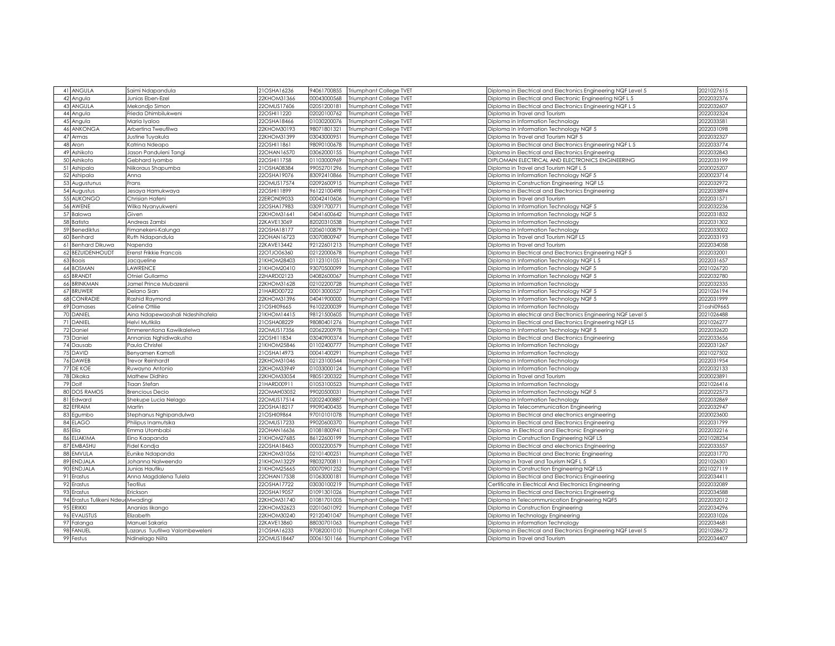| 41 ANGULA                | Saimi Ndapandula                | 21OSHA16236                | 94061700855 | Triumphant College TVET             | Diploma in Electrical and Electronics Engineering NQF Level 5 | 2021027615  |
|--------------------------|---------------------------------|----------------------------|-------------|-------------------------------------|---------------------------------------------------------------|-------------|
| 42 Angula                | Junias Eben-Ezel                | 22KHOM31366                | 00043000568 | Triumphant College TVET             | Diploma in Electrical and Electronic Engineering NQF L 5      | 2022032376  |
| 43 ANGULA                | Mekondjo Simon                  | 22OMUS17606                | 02051200181 | Triumphant College TVET             | Diploma in Electrical and Electronics Engineering NQF L 5     | 2022032607  |
| 44 Angula                | Frieda Dhimbilukweni            | 22OSHI11220                | 02020100762 | Triumphant College TVET             |                                                               | 2022032324  |
|                          |                                 |                            |             |                                     | Diploma in Travel and Tourism                                 |             |
| 45 Angula                | Maria Iyaloo                    | 22OSHA18466                | 01030200076 | Triumphant College TVET             | Diploma in Information Technology                             | 2022033581  |
| 46 ANKONGA               | Arbertina Tweufilwa             | 22KHOM30193                | 98071801321 | Triumphant College TVET             | Diploma In Information Technology NQF 5                       | 2022031098  |
| 47 Armas                 | Justine Tuyakula                | 22KHOM31399                | 03043000951 | Triumphant College TVET             | Diploma In Travel and Tourism NQF 5                           | 2022032327  |
| 48 Aron                  | Katrina Ndeapo                  | 22OSHI11861                | 98090100678 | Triumphant College TVET             | Diploma in Electrical and Electronics Engineering NQF L 5     | 2022033774  |
| 49 Ashikoto              | Jason Panduleni Tangi           | 22OHAN16570                | 03062000155 | Triumphant College TVET             | Diploma in Electrical and Electronics Engineering             | 2022032843  |
| 50 Ashikoto              | Gebhard lyambo                  | 22OSHI11758                | 01103000969 | Triumphant College TVET             | DIPLOMAIN ELECTRICAL AND ELECTRONICS ENGINEERING              | 2022033199  |
| 51 Ashipala              | Niikoraus Shapumba              | 21OSHA08384                | 99052701296 | Triumphant College TVET             | Diploma in Travel and Tourism NQF L 5                         | 2020025207  |
| 52 Ashipala              | Anna                            | 22OSHA19076                | 83092410866 | Triumphant College TVET             | Diploma in Information Technology NQF 5                       | 2020023714  |
| 53 Augustunus            | Frans                           | 22OMUS17574                | 02092600915 | Triumphant College TVET             | Diploma in Construction Engineering NQF L5                    | 2022032972  |
| 54 Augustus              | Jesaya Hamukwaya                | 22OSHI11899                | 96122100498 | Triumphant College TVET             | Diploma in Electrical and Electronics Engineering             | 2022033894  |
| 55 AUKONGO               | Chrisian Hafeni                 | 22ERON09033                | 00042410606 | Triumphant College TVET             | Diploma in Travel and Tourism                                 | 2022031571  |
| 56 AWENE                 | Wilka Nyanyukweni               | 22OSHA17983                | 03091700771 | Triumphant College TVET             | Diploma In Information Technology NQF 5                       | 2022032236  |
| 57 Balowa                | Given                           | 22KHOM31641                | 04041600642 | Triumphant College TVET             | Diploma in Information Technology NQF 5                       | 2022031832  |
| 58 Batista               | Andreas Zambi                   | 22KAVE13069                | 82020310538 | Triumphant College TVET             | Diploma in Information Technology                             | 2022031302  |
| 59 Benediktus            | Fimanekeni-Kalunga              | 22OSHA18177                | 02060100879 | Triumphant College TVET             | Diploma in Information Technology                             | 2022033002  |
| 60 Benhard               | Ruth Ndapandula                 | 22OHAN16723                | 03070800947 | Triumphant College TVET             | Diploma in Travel and Tourism NQF L5                          | 2022033193  |
| 61 Benhard Dikuwa        | Napenda                         | 22KAVE13442                | 92122601213 | Triumphant College TVET             | Diploma in Travel and Tourism                                 | 2022034058  |
| 62 BEZUIDENHOUDT         | Erenst Frikkie Francois         | 22OTJO06360                | 02122000678 | Triumphant College TVET             | Diploma in Electrical and Electronics Engineering NQF 5       | 2022032001  |
| 63 Boois                 | Jacqueline                      | 21KHOM28403                | 01123101051 | Triumphant College TVET             | Diploma In Information Technology NQF L 5                     | 2022031657  |
| 64 BOSMAN                | LAWRENCE                        | 21KHOM20410                | 93070500099 | Triumphant College TVET             | Diploma in Information Technology NQF 5                       | 2021026720  |
| 65 BRANDT                | Otniel Gullarmo                 | 22HARD02123                | 04082600067 | Triumphant College TVET             | Diploma In Information Technology NQF 5                       | 2022032780  |
| 66 BRINKMAN              | Jamel Prince Mubazenii          | 22KHOM31628                | 02102200728 | Triumphant College TVET             | Diploma in Information Technology                             | 2022032335  |
| 67 BRUWER                | Delano Sian                     | 21HARD00722                | 00013000527 | Triumphant College TVET             | Diploma In Information Technology NQF 5                       | 2021026194  |
| 68 CONRADIE              | Rashid Raymond                  | 22KHOM31396                | 04041900000 | Triumphant College TVET             | Diploma In Information Technology NQF 5                       | 2022031999  |
| 69 Damases               | Celine Ottilie                  | 21OSHI09665                | 96102200039 | Triumphant College TVET             | Diploma in Information Technology                             | 21oshi09665 |
| 70 DANIEL                | Aina Ndapewaoshali Ndeshihafela | 21KHOM14415                | 98121500605 | Triumphant College TVET             | Diploma in electrical and Electronics Engineering NQF Level 5 | 2021026488  |
| 71 DANIEL                | Helvi Mutikila                  | 21OSHA08229                | 98080401276 | Triumphant College TVET             | Diploma in Electrical and Electronics Engineering NQF L5      | 2021026277  |
| 72 Daniel                | Emmerentiana Kawiikalelwa       | 22OMUS17356                | 02062200978 | Triumphant College TVET             | Diploma In Information Technology NQF 5                       | 2022032620  |
| 73 Daniel                | Annanias Nghidiwakusha          | 22OSHI11834                | 03040900374 | Triumphant College TVET             | Diploma in Electrical and Electronics Engineering             | 2022033656  |
| 74 Dausab                | Paula Christel                  | 21KHOM25846                | 01102400777 | Triumphant College TVET             | Diploma in Information Technology                             | 2022031267  |
| 75 DAVID                 | Benyamen Kamati                 | 21OSHA14973                | 00041400291 | Triumphant College TVET             | Diploma in Information Technology                             | 2021027502  |
| 76 DAWEB                 | <b>Trevor Reinhardt</b>         | 22KHOM31046                | 02123100544 | Triumphant College TVET             | Diploma in Information Technology                             | 2022031954  |
| 77 DE KOE                | Ruwayno Antonio                 | 22KHOM33949                | 01033000124 | Triumphant College TVET             | Diploma in Information Technology                             | 2022032133  |
| 78 Dikaka                | Mathew Didhiro                  | 22KHOM33054                | 98051200322 | Triumphant College TVET             | Diploma in Travel and Tourism                                 | 2020023891  |
| 79 Dolf                  | Tiaan Stefan                    | 21HARD00911                | 01053100523 | Triumphant College TVET             | Diploma in Information Technology                             | 2021026416  |
| <b>80 DOS RAMOS</b>      | <b>Brencious Decio</b>          | 22OMAH03052                | 99020500031 | Triumphant College TVET             | Diploma in Information Technology NQF 5                       | 2022022573  |
| 81 Edward                |                                 |                            | 02022400887 |                                     |                                                               | 2022032869  |
| 82 EFRAIM                | Shekupe Lucia Nelago<br>Martin  | 22OMUS17514                |             | Triumphant College TVET             | Diploma in Information Technology                             | 2022032947  |
|                          |                                 | 22OSHA18217<br>21OSHI09864 | 99090400435 | Triumphant College TVET             | Diploma in Telecommunication Engineering                      | 2020023600  |
| 83 Equmbo                | Stephanus Nghipandulwa          |                            | 97010101078 | Triumphant College TVET             | Diploma in Electrical and electronics engineering             |             |
| 84 ELAGO                 | Philipus Inamutsika             | 22OMUS17233                | 99020600370 | Triumphant College TVET             | Diploma in Electrical and Electronics Engineering             | 2022031799  |
| 85 Elia                  | Emma Utombabi                   | 22OHAN16636                | 01081800941 | Triumphant College TVET             | Diploma in Electrical and Electronic Engineering              | 2022032216  |
| 86 ELIAKIMA              | Eino Kaapanda                   | 21KHOM27685                | 86122600199 | Triumphant College TVET             | Diploma in Construction Engineering NQF L5                    | 2021028234  |
| 87 EMBASHU               | Fidel Kondja                    | 22OSHA18463                | 00032200579 | Triumphant College TVET             | Diploma in Electrical and electronics Engineering             | 2022033557  |
| 88 EMVULA                | Eunike Ndapanda                 | 22KHOM31056                | 02101400251 | Triumphant College TVET             | Diploma in Electrical and Electronic Engineering              | 2022031770  |
| 89 ENDJALA               | Johanna Nalweendo               | 21KHOM13229                | 98032700811 | Triumphant College TVET             | Diploma in Travel and Tourism NQF L 5                         | 2021026301  |
| 90 ENDJALA               | Junias Haufiku                  | 21KHOM25665                | 00070901252 | Triumphant College TVET             | Diploma in Construction Engineering NQF L5                    | 2021027119  |
| 91 Erastus               | Anna Magdalena Tulela           | 22OHAN17538                | 01063000181 | Triumphant College TVET             | Diploma in Electrical and Electronics Engineering             | 2022034411  |
| 92 Erastus               | Teofilus                        | 22OSHA17722                | 03030100219 | Triumphant College TVET             | Certificate in Electrical And Electronics Engineering         | 2022032089  |
| 93 Erastus               | Erickson                        | 22OSHA19057                | 01091301026 | Triumphant College TVET             | Diploma in Electrical and Electronics Engineering             | 2022034588  |
| 94 Erastus Tulikeni Ndeu | Mwadingi                        | 22KHOM31740                | 01081701005 | Triumphant College TVET             | Diploma In Telecommunication Engineering NQF5                 | 2022032012  |
| 95 ERIKKI                | Ananias likango                 | 22KHOM32623                | 02010601092 | Triumphant College TVET             | Diploma in Construction Engineering                           | 2022034296  |
| 96 EVALISTUS             | Elizabeth                       | 22KHOM30240                | 92120401047 | Triumphant College TVET             | Diploma in Technology Engineering                             | 2022031026  |
| 97 Falanga               | Manuel Sakaria                  | 22KAVE13860                | 88030701063 | Triumphant College TVET             | Diploma in information Technology                             | 2022034681  |
| 98 FANUEL                | azarus Tuufilwa Valombeweleni   | 21OSHA16233                | 97082001010 | Triumphant College TVET             | Diploma in Electrical and Electronics Engineering NQF Level 5 | 2021028672  |
| 99 Festus                | Ndinelago Niita                 | 22OMUS18447                |             | 00061501166 Triumphant College TVET | Diploma in Travel and Tourism                                 | 2022034407  |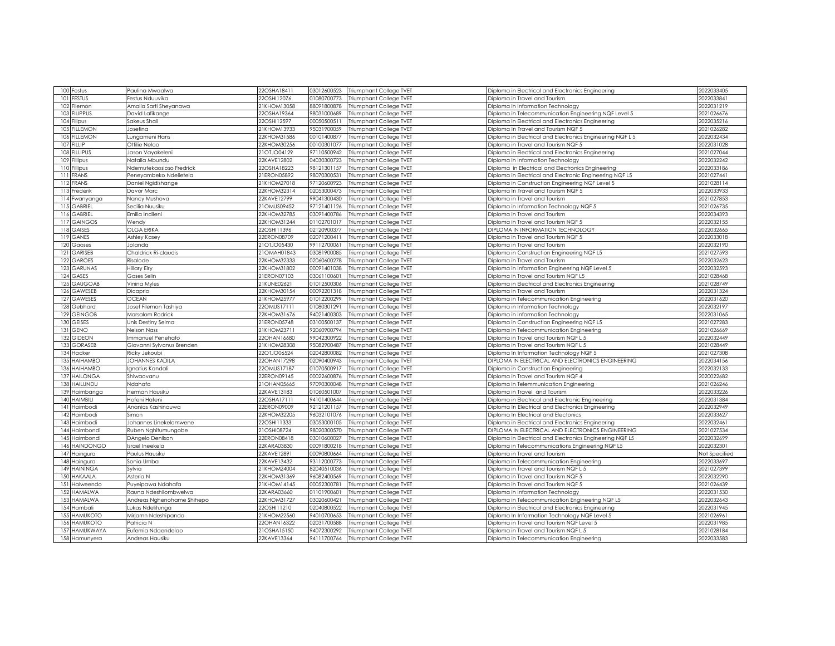| 100 Festus          | Paulina Mwaalwa            | 22OSHA18411 | 03012600523 | Triumphant College TVET             | Diploma in Electrical and Electronics Engineering         | 2022033405    |
|---------------------|----------------------------|-------------|-------------|-------------------------------------|-----------------------------------------------------------|---------------|
| 101 FESTUS          | Festus Nduuvika            | 22OSHI12076 | 01080700773 | Triumphant College TVET             | Diploma in Travel and Tourism                             | 2022033841    |
| 102 Filemon         | Amalia Sarti Sheyanawa     | 21KHOM13058 | 88091800878 | Triumphant College TVET             | Diploma in Information Technology                         | 2022031219    |
| 103 FILIPPUS        | David Lafikange            | 22OSHA19364 | 98031000689 | Triumphant College TVET             | Diploma in Telecommunication Engineering NQF Level 5      | 2021026676    |
| 104 Filipus         | Sakeus Shali               | 22OSHI12597 | 00050500511 | Triumphant College TVET             | Diploma in Electrical and Electronics Engineering         | 2022035216    |
| 105 FILLEMON        |                            | 21KHOM13933 |             |                                     |                                                           | 2021026282    |
|                     | Josefina                   |             | 95031900059 | Triumphant College TVET             | Diploma In Travel and Tourism NQF 5                       |               |
| 106 FILLEMON        | Lungameni Hans             | 22KHOM31586 | 00101400877 | Triumphant College TVET             | Diploma in Electrical and Electronics Engineering NQF L 5 | 2022032434    |
| 107 FILLIP          | Ottilie Nelao              | 22KHOM30256 | 00100301077 | Triumphant College TVET             | Diploma in Travel and Tourism NQF 5                       | 2022031028    |
| 108 FILLIPUS        | Jason Vayakeleni           | 21OTJO04129 | 97110500942 | Triumphant College TVET             | Diploma in Electrical and Electronics Engineering         | 2021027044    |
| 109 Fillipus        | Natalia Mbundu             | 22KAVE12802 | 04030300723 | Triumphant College TVET             | Diploma in Information Technology                         | 2022032242    |
| 110 Fillipus        | Ndemutekaosioso Fredrick   | 22OSHA18223 | 98121301157 | Triumphant College TVET             | Diploma in Electrical and Electronics Engineering         | 2022033186    |
| 111 FRANS           | Peneyambeko Ndelietela     | 21ERON05892 | 98070300531 | Triumphant College TVET             | Diploma in Electrical and Electronic Engineering NQF L5   | 2021027441    |
| 112 FRANS           | Daniel Ngidishange         | 21KHOM27018 | 97120600923 | Triumphant College TVET             | Diploma in Construction Engineering NQF Level 5           | 2021028114    |
| 113 Frederik        | Davor Marc                 | 22KHOM32314 | 02053000473 | Triumphant College TVET             | Diploma In Travel and Tourism NQF 5                       | 2022033933    |
| 114 Fwanyanga       | Nancy Mushova              | 22KAVE12799 | 99041300430 | Triumphant College TVET             | Diploma in Travel and Tourism                             | 2021027853    |
| 115 GABRIEL         | Secilia Nuusiku            | 21OMUS09452 | 97121401126 | Triumphant College TVET             | Diploma in Information Technology NQF 5                   | 2021026735    |
| 116 GABRIEL         | Emilia Indileni            | 22KHOM32785 | 03091400786 | Triumphant College TVET             | Diploma in Travel and Tourism                             | 2022034393    |
| <b>117 GAINGOS</b>  | Wendy                      | 22KHOM31244 | 01102701017 | Triumphant College TVET             | Diploma in Travel and Tourism NQF 5                       | 2022032155    |
| 118 GAISES          | OLGA ERIKA                 | 22OSHI11396 | 02120900377 | Triumphant College TVET             | DIPLOMA IN INFORMATION TECHNOLOGY                         | 2022032665    |
| 119 GANES           | Ashley Kasey               | 22ERON08709 | 02071200411 | Triumphant College TVET             | Diploma in Travel and Tourism NQF 5                       | 2022033018    |
| 120 Gaoses          | Jolanda                    | 21OTJO05430 | 99112700061 | Triumphant College TVET             | Diploma in Travel and Tourism                             | 2022032190    |
| 121 GARISEB         | Chaldrick Ri-claudis       | 21OMAH01843 | 03081900085 | Triumphant College TVET             | Diploma in Construction Engineering NQF L5                | 2021027593    |
| 122 GAROES          | Risalode                   | 22KHOM32333 | 02060600278 | Triumphant College TVET             | Diploma in Travel and Tourism                             | 2022032623    |
| 123 GARUNAS         | <b>Hillary Elry</b>        | 22KHOM31802 | 00091401038 | Triumphant College TVET             | Diploma in Information Engineering NQF Level 5            | 2022032593    |
| 124 GASES           | Gases Selin                | 21ERON07103 | 03061100601 | Triumphant College TVET             | Diploma in Travel and Tourism NQF L5                      | 2021028468    |
| 125 GAUGOAB         | Vinina Myles               | 21KUNE02621 | 01012500306 | Triumphant College TVET             | Diploma in Electrical and Electronics Engineering         | 2021028749    |
| 126 GAWESEB         | Dicaprio                   | 22KHOM30154 | 00092201318 | Triumphant College TVET             | Diploma in Travel and Tourism                             | 2022031324    |
| 127 GAWESES         | <b>OCEAN</b>               | 21KHOM25977 | 01012200299 | Triumphant College TVET             | Diploma in Telecommunication Engineering                  | 2022031620    |
| 128 Gebhard         | Josef Filemon Tashiya      | 220MUS17111 | 01080301291 | Triumphant College TVET             | Diploma in Information Technology                         | 2022032197    |
|                     |                            |             |             |                                     |                                                           |               |
| 129 GEINGOB         | Marsalom Rodrick           | 22KHOM31676 | 94021400303 | Triumphant College TVET             | Diploma in Information Technology                         | 2022031065    |
| 130 GEISES          | Unis Destiny Selma         | 21ERON05748 | 03100500137 | Triumphant College TVET             | Diploma in Construction Engineering NQF L5                | 2021027283    |
| 131 GENO            | Nelson Nass                | 21KHOM2371  | 92060900794 | Triumphant College TVET             | Diploma in Telecommunication Engineering                  | 2021026669    |
| 132 GIDEON          | mmanuel Penehafo           | 22OHAN16680 | 99042300922 | Triumphant College TVET             | Diploma in Travel and Tourism NQF L 5                     | 2022032449    |
| 133 GORASEB         | Giovanni Sylvanus Brenden  | 21KHOM28308 | 95082900487 | Triumphant College TVET             | Diploma in Travel and Tourism NQF L 5                     | 2021028449    |
| 134 Hacker          | Ricky Jekoubi              | 22OTJO06524 | 02042800082 | Triumphant College TVET             | Diploma In Information Technology NQF 5                   | 2021027308    |
| 135 HAIHAMBO        | JOHANNES KADILA            | 22OHAN17298 | 02090400943 | Triumphant College TVET             | DIPLOMA IN ELECTRICAL AND ELECTRONICS ENGINEERING         | 2022034156    |
| 136 HAIHAMBO        | gnatius Kandali            | 22OMUS17187 | 01070500917 | Triumphant College TVET             | Diploma in Construction Engineering                       | 2022032133    |
| <b>137 HAILONGA</b> | Shiwaovanu                 | 22ERON09145 | 00022600876 | Triumphant College TVET             | Diploma in Travel and Tourism NQF 4                       | 2020022682    |
| 138 HAILUNDU        | Ndahafa                    | 21OHAN05665 | 97090300048 | Triumphant College TVET             | Diploma in Telemmunication Engineering                    | 2021026246    |
| 139 Haimbanga       | Herman Hausiku             | 22KAVE13183 | 01060501007 | Triumphant College TVET             | Diploma in Travel and Tourism                             | 2022033226    |
| 140 HAIMBILI        | Hofeni Hafeni              | 22OSHA17111 | 94101400644 | Triumphant College TVET             | Diploma in Electrical and Electronic Engineering          | 2022031384    |
| 141 Haimbodi        | Ananias Kashinouwa         | 22ERON09009 | 92121201157 | Triumphant College TVET             | Diploma In Electrical and Electronics Engineering         | 2022032949    |
| 142 Haimbodi        | Simon                      | 22KHOM32205 | 96032101076 | Triumphant College TVET             | Diploma In Electrical and Electonics                      | 2022033627    |
| 143 Haimbodi        | Johannes Linekelomwene     | 22OSHI11333 | 03053000105 | Triumphant College TVET             | Diploma in Electrical and Electronics Engineering         | 2022032461    |
| 144 Haimbondi       | Ruben Nghitumungobe        | 21OSHI08724 | 98020300570 | Triumphant College TVET             | DIPLOMA IN ELECTRICAL AND ELECTRONICS ENGINEERING         | 2021027534    |
| 145 Haimbondi       | DAngelo Denilson           | 22ERON08418 | 03010600027 | Triumphant College TVET             | Diploma in Electrical and Electronics Engineering NQF L5  | 2022032699    |
| 146 HAINDONGO       | Israel Ineekela            | 22KARA03830 | 00091800218 | Triumphant College TVET             | Diploma in Telecommunications Engineering NQF L5          | 2022032301    |
| 147 Haingura        | Paulus Hausiku             | 22KAVE12891 | 00090800664 | Triumphant College TVET             | Diploma in Travel and Tourism                             | Not Specified |
| 148 Haingura        | Sonia Umba                 | 22KAVE13432 | 93112000773 | Triumphant College TVET             | Diploma in Telecommunication Engineering                  | 2022033697    |
| 149 HAININGA        | Sylvia                     | 21KHOM24004 | 82040510036 | Triumphant College TVET             | Diploma in Travel and Tourism NQF L 5                     | 2021027399    |
| 150 HAKAALA         | Asteria N                  | 22KHOM31369 | 96082400569 | Triumphant College TVET             | Diploma in Travel and Tourism NQF 5                       | 2022032290    |
| 151 Halweendo       | Puyeipawa Ndahafa          | 21KHOM14145 | 00052300781 | Triumphant College TVET             | Diploma in Travel and Tourism NQF 5                       | 2021026439    |
| 152 HAMALWA         | Rauna Ndeshilombwelwa      | 22KARA03660 | 01101900601 | Triumphant College TVET             | Diploma in Information Technology                         | 2022031530    |
| 153 HAMALWA         | Andreas Nghenohame Shihepo | 22KHOM31727 | 03020600421 | Triumphant College TVET             | Diploma in Telecommunication Engineering NQF L5           | 2022032643    |
| 154 Hambali         | Lukas Ndelitunga           | 22OSHI11210 | 02040800522 | Triumphant College TVET             | Diploma in Electrical and Electronics Engineering         | 2022031945    |
| <b>155 HAMUKOTO</b> | Mirjamn Ndeshipanda        | 21KHOM22560 | 94010700653 | Triumphant College TVET             | Diploma In Information Technology NQF Level 5             | 2021026961    |
| <b>156 HAMUKOTO</b> | Patricia N                 | 22OHAN16322 | 02031700588 | Triumphant College TVET             | Diploma in Travel and Tourism NQF Level 5                 | 2022031985    |
| 157 HAMUKWAYA       | Eufemia Ndaendelao         | 21OSHA15150 | 94072300292 | Triumphant College TVET             | Diploma in Travel and Tourism NQF L 5                     | 2021028184    |
|                     |                            |             |             |                                     |                                                           |               |
| 158 Hamunyera       | Andreas Hausiku            | 22KAVE13364 |             | 94111700764 Triumphant College TVET | Diploma in Telecommunication Engineering                  | 2022033583    |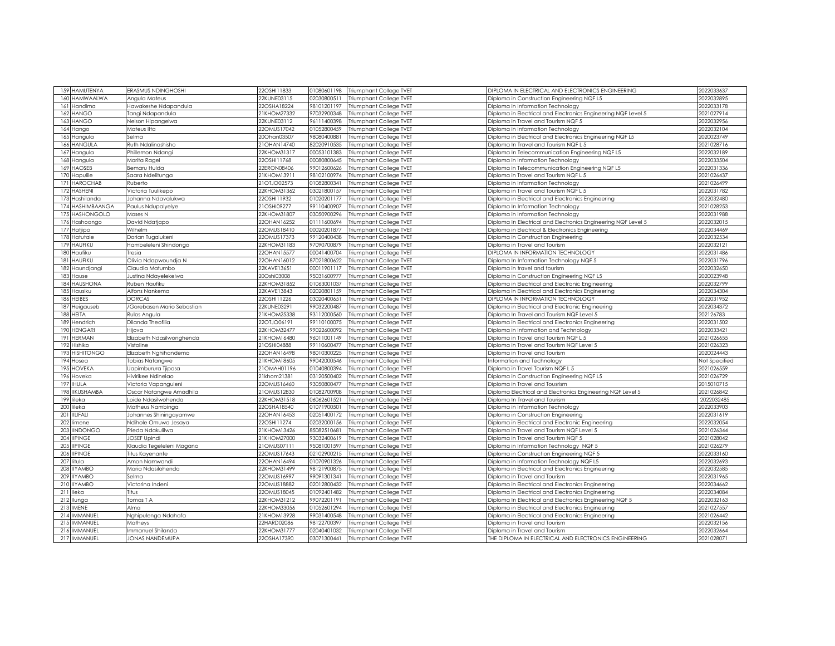| 159 HAMUTENYA                 | ERASMUS NDINGHOSHI         | 22OSHI11833 | 01080601198 | <b>Triumphant College TVET</b> | DIPLOMA IN ELECTRICAL AND ELECTRONICS ENGINEERING             | 2022033637    |
|-------------------------------|----------------------------|-------------|-------------|--------------------------------|---------------------------------------------------------------|---------------|
| <b>HAMWAALWA</b><br>160       | Angula Mateus              | 22KUNE03115 | 02030800511 | Triumphant College TVET        | Diploma in Construction Engineering NQF L5                    | 2022032895    |
| 161<br>Handima                | Hawakeshe Ndapandula       | 22OSHA18224 | 98101201197 | Triumphant College TVET        | Diploma in Information Technology                             | 2022033178    |
|                               |                            |             |             |                                |                                                               |               |
| HANGO<br>162                  | Tangi Ndapandula           | 21KHOM27332 | 97032900348 | Triumphant College TVET        | Diploma in Electrical and Electronics Engineering NQF Level 5 | 2021027914    |
| HANGO<br>163                  | Nelson Hipangelwa          | 22KUNE03112 | 96111400398 | Triumphant College TVET        | Diploma in Travel and Tourism NQF 5                           | 2022032956    |
| 164<br>Hango                  | Mateus IIta                | 22OMUS17042 | 01052800459 | Triumphant College TVET        | Diploma in Information Technology                             | 2022032104    |
| 165<br>Hangula                | Selma                      | 20Ohan03507 | 98080400881 | Triumphant College TVET        | Diploma in Electrical and Electronics Engineering NQF L5      | 2020023749    |
| <b>HANGULA</b><br>166         | Ruth Ndalinoshisho         | 21OHAN14740 | 82020910535 | Triumphant College TVET        | Diploma In Travel and Tourism NQF L 5                         | 2021028716    |
| Hangula<br>167                | Phillemon Ndangi           | 22KHOM31317 | 00053101383 | <b>Triumphant College TVET</b> | Diploma In Telecommunication Engineering NQF L5               | 2022032189    |
| 168<br>Hangula                | Marita Ragel               | 22OSHI11768 | 00080800645 | Triumphant College TVET        | Diploma in Information Technology                             | 2022033504    |
| HAOSEB<br>169                 | Bemaru Hulda               | 22ERON08406 | 99012600626 | Triumphant College TVET        | Diploma in Telecommunication Engineering NQF L5               | 2022031336    |
| 170<br>Hapulile               | Saara Ndelitunga           | 21KHOM13911 | 98102100974 | Triumphant College TVET        | iploma in Travel and Tourism NQF L 5                          | 2021026437    |
| <b>HAROCHAB</b><br>171        | Ruberto                    | 21OTJ002573 | 01082800341 | Triumphant College TVET        | Diploma in Information Technology                             | 2021026499    |
| 172 HASHENI                   | Victoria Tuulikepo         | 22KHOM31362 | 03021800157 | Triumphant College TVET        | Diploma in Travel and Tourism NQF L 5                         | 2022031782    |
| Hashilanda<br>173             | Johanna Ndavalukwa         | 22OSHI11932 | 01020201177 | Triumphant College TVET        | Diploma in Electrical and Electronics Engineering             | 2022032480    |
| 174<br>HASHIMBAANGA           | Paulus Ndupalyelye         | 21OSHI09277 | 99110400907 | Triumphant College TVET        | Diploma In Information Technology                             | 2021028253    |
| <b>HASHONGOLO</b><br>175      | Moses N                    | 22KHOM31807 | 03050900296 | <b>Triumphant College TVET</b> | Diploma in Information Technoloav                             | 2022031988    |
| 176<br>Hashoongo              | David Ndatjapo             | 22OHAN16252 | 01111600694 | Triumphant College TVET        | Diploma In Electrical and Electronics Engineering NQF Level 5 | 2022032015    |
| 177<br>Hatjipo                | Wilhelm                    | 22OMUS18410 | 00020201877 | <b>Triumphant College TVET</b> | Diploma in Electrical & Electronics Engineering               | 2022034469    |
| 178<br>Hatutale               | Dorian Tugalukeni          | 22OMUS17373 | 99120400438 | Triumphant College TVET        | Diploma in Construction Engineering                           | 2022032534    |
| HAUFIKU<br>179                | Hambeleleni Shindongo      | 22KHOM31183 | 97090700879 | Triumphant College TVET        | Diploma in Travel and Tourism                                 | 2022032121    |
| Haufiku<br>180                | <b>Tresia</b>              | 22OHAN15577 | 00041400704 | Triumphant College TVET        | <b>DIPLOMA IN INFORMATION TECHNOLOGY</b>                      | 2022031486    |
| HAUFIKU<br>181                | Olivia Ndapwoundja N       | 22OHAN16012 | 87021800622 | Triumphant College TVET        | Diploma In Information Technology NQF 5                       | 2022031796    |
| 182<br>Haundjangi             | Claudia Matumbo            | 22KAVE13651 | 00011901117 | Triumphant College TVET        | Diploma in travel and tourism                                 | 2022032650    |
| 183<br>Hause                  | Justina Ndayelekelwa       | 20Oshi03008 | 95031600977 | Triumphant College TVET        | Diploma in Construction Engineering NQF L5                    | 2020023948    |
| 184<br><b>HAUSHONA</b>        | Ruben Haufiku              | 22KHOM31852 | 01063001037 | Triumphant College TVET        | Diploma in Electrical and Electronic Engineering              | 2022032799    |
| 185<br>Hausiku                | Alfons Nankema             | 22KAVE13843 | 02020801159 | Triumphant College TVET        | Diploma in Electrical and Electronics Engineering             | 2022034304    |
| <b>HEIBES</b><br>186          | <b>DORCAS</b>              | 22OSHI11226 | 03020400651 |                                | <b>DIPLOMA IN INFORMATION TECHNOLOGY</b>                      | 2022031952    |
|                               |                            |             |             | Triumphant College TVET        |                                                               |               |
| 187<br>Heigauseb              | /Gorebasen Mario Sebastian | 22KUNE03291 | 99032200487 | Triumphant College TVET        | Diploma in Electrical and Electronic Engineering              | 2022034372    |
| HEITA<br>188                  | Rulos Angula               | 21KHOM25338 | 93112000560 | Triumphant College TVET        | Diploma In Travel and Tourism NQF Level 5                     | 202126783     |
| 189<br>Hendrich               | Dilanda Theofilia          | 22OTJO06191 | 99110100075 | Triumphant College TVET        | Diploma in Electrical and Electronics Engineering             | 2022031502    |
| <b>HENGARI</b><br>190         | Hijova                     | 22KHOM32477 | 99022600092 | Triumphant College TVET        | Diploma in Information and Technology                         | 2022033421    |
| <b>HERMAN</b><br>191          | Elizabeth Ndasilwonghenda  | 21KHOM16480 | 96011001149 | Triumphant College TVET        | Diploma in Travel and Tourism NQF L 5                         | 2021026655    |
| 192<br>Hishiko                | Vistoline                  | 21OSHI04888 | 99110600477 | Triumphant College TVET        | Diploma in Travel and Tourism NQF Level 5                     | 2021026323    |
| <b>HISHITONGO</b><br>193      | Elizabeth Nghihandemo      | 22OHAN16498 | 98010300225 | Triumphant College TVET        | Diploma in Travel and Tourism                                 | 2020024443    |
| 194<br>Hosea                  | Tobias Natangwe            | 21KHOM18605 | 99042000546 | Triumphant College TVET        | Information and Technology                                    | Not Specified |
| 195<br><b>IOVEKA</b>          | Japimburura Tjiposa        | 21OMAH01196 | 01040800394 | Triumphant College TVET        | Diploma in Travel Tourism NQF L 5                             | 2021026559    |
| 196<br>Hoveka                 | Hivirikee Ndinelao         | 21khom21381 | 03120500402 | Triumphant College TVET        | Diploma in Construction Engineering NQF L5                    | 2021026729    |
| 197<br><b>HULA</b>            | Victoria Vapanguleni       | 22OMUS16460 | 93050800477 | Triumphant College TVET        | Diploma in Travel and Tousrism                                | 2015010715    |
| <b>IKUSHAMBA</b><br>198       | Oscar Natangwe Amadhila    | 21OMUS12830 | 01082700908 | Triumphant College TVET        | Diploma Electrical and Electronics Engineering NQF Level 5    | 2021026842    |
| 199<br>ileka                  | oide Ndasilwohenda         | 22KHOM31518 | 06062601521 | Triumphant College TVET        | Diploma In Travel and Tourism                                 | 2022032485    |
| 200<br>ileka                  | Matheus Nambinga           | 22OSHA18540 | 01071900501 | Triumphant College TVET        | Diploma in Information Technology                             | 2022033903    |
| <b>IILIFALI</b><br>201        | Johannes Shiningayamwe     | 22OHAN16453 | 02051400172 | Triumphant College TVET        | Diploma in Construction Engineering                           | 2022031619    |
| 202<br>limene                 | Ndihole Omuwa Jesaya       | 22OSHI11274 | 02032000156 | Triumphant College TVET        | Diploma in Electrical and Electronic Engineering              | 2022032054    |
| 203<br><b>INDONGO</b>         | Frieda Ndakulilwa          | 21KHOM13426 | 85082510681 | Triumphant College TVET        | Diploma in Travel and Tourism NQF Level 5                     | 2021026344    |
| <b>IPINGE</b><br>204          | <b>JOSEF Upindi</b>        | 21KHOM27000 | 93032400619 | Triumphant College TVET        | iploma in Travel and Tourism NQF 5                            | 2021028042    |
| <b>IPINGE</b><br>205          | Klaudia Tegeleleni Magano  | !10MUS07111 | 95081001597 | Triumphant College TVET        | Diploma in Information Technology NQF 5                       | 2021026279    |
| 206<br><b>IPINGE</b>          | litus Kayenante            | 22OMUS17643 | 02102900215 | Triumphant College TVET        | Diploma in Construction Engineering NQF 5                     | 2022033160    |
| 207<br>litula                 | Amon Namwandi              | 22OHAN16494 | 01070901326 | Triumphant College TVET        | Diploma in Information Technology NQF L5                      | 2022032693    |
| <b>IYAMBO</b><br>208          | Maria Ndasilohenda         | 22KHOM31499 | 98121900875 | Triumphant College TVET        | Diploma in Electrical and Electronics Engineering             | 2022032585    |
| <b>IIYAMBO</b><br>209         | Selma                      | 22OMUS16997 | 99091301341 | <b>Triumphant College TVET</b> | Diploma in Travel and Tourism                                 | 2022031965    |
| 210<br><b>IIYAMBO</b>         | Victorina Indeni           | 22OMUS18882 | 02012800432 | Triumphant College TVET        | Diploma in Electrical and Electronics Engineering             | 2022034662    |
| 211<br>leka                   | Titus                      | 22OMUS18045 | 01092401482 | Triumphant College TVET        | Diploma in Electrical and Electronics Engineering             | 2022034084    |
| 212                           | Tomas T A                  | 22KHOM31212 | 99072201191 | Triumphant College TVET        | Diploma In Electrical and Electronics Engineering NQF 5       | 2022032163    |
| Ilunga<br><b>IMENE</b><br>213 | Alma                       | 22KHOM33056 | 01052601294 |                                |                                                               | 2021027557    |
| 214<br>IMMANUEL               |                            |             |             | Triumphant College TVET        | Diploma in Electrical and Electronics Engineering             |               |
|                               | Nghipulenga Ndahafa        | 21KHOM13928 | 99031400548 | Triumphant College TVET        | Diploma in Electrical and Electronics Engineering             | 2021026442    |
| IMMANUEL<br>215               | Matheys                    | 22HARD02086 | 98122700397 | <b>Triumphant College TVET</b> | Diploma in Travel and Tourism                                 | 2022032156    |
| <b>IMMANUEL</b><br>216        | Immanuel Shilanda          | 22KHOM31777 | 02040401032 | Triumphant College TVET        | Diploma in Travel and Tourism                                 | 2022032664    |
| 217 IMMANUEL                  | <b>JONAS NANDEMUPA</b>     | 22OSHA17390 | 03071300441 | Triumphant College TVET        | THE DIPLOMA IN ELECTRICAL AND ELECTRONICS ENGINEERING         | 2021028071    |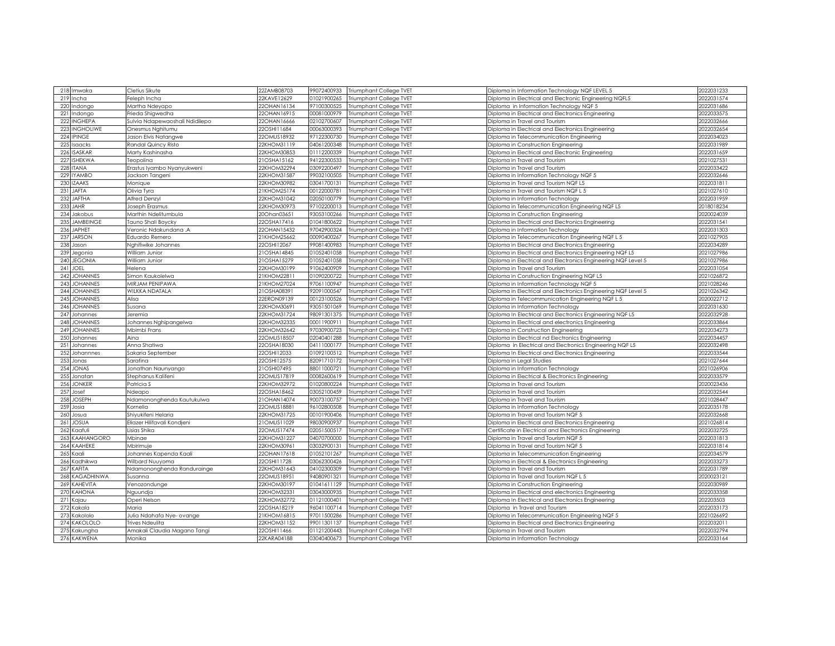| 219 Incha<br>22KAVE12629<br>01021900265<br>Diploma in Electrical and Electronic Engineering NQFL5<br>2022031574<br>Feleph Incha<br>Triumphant College TVET<br>220<br>Indongo<br>Martha Ndeyapo<br>22OHAN16134<br>97100300525<br>Triumphant College TVET<br>Diploma in Information Technology NQF 5<br>2022031686<br>22OHAN16915<br>00081000979<br>2022033575<br>221 Indongo<br>Frieda Shigwedha<br>Triumphant College TVET<br>Diploma in Electrical and Electronics Engineering<br>222 INGHEPA<br>Sulvia Ndapewaoshali Ndidilepo<br>22OHAN16666<br>02102700607<br>Triumphant College TVET<br>Diploma in Travel and Tourism<br>2022032666<br>223 INGHOLIWE<br>22OSHI11684<br>00063000393<br>2022032654<br>Onesmus Nghitumu<br>Triumphant College TVET<br>Diploma in Electrical and Electronics Engineering<br>224 IPINGE<br>22OMUS18932<br>97122300730<br>2022034023<br>Jason Elvis Natangwe<br>Triumphant College TVET<br>Diploma in Telecommunication Engineering<br>04061200348<br>2022031989<br>225 Isaacks<br>Randal Quincy Risto<br>22KHOM31119<br>Triumphant College TVET<br>Diploma in Construction Engineering<br>226 ISASKAR<br>22KHOM30853<br>01112200339<br>2022031659<br>Marty Kashinasha<br>Triumphant College TVET<br>Diploma in Electrical and Electronic Engineering<br>227 ISHEKWA<br>21OSHA15162<br>94122300533<br>2021027531<br>Teopolina<br>Triumphant College TVET<br>Diploma in Travel and Tourism<br>228 ITANA<br>Erastus Iyambo Nyanyukweni<br>22KHOM32294<br>03092200497<br>Diploma in Travel and Tourism<br>2022033422<br>Triumphant College TVET<br>229 IYAMBO<br>22KHOM31587<br>99032100505<br>2022032646<br>Triumphant College TVET<br>Diploma in Information Technology NQF 5<br>Jackson Tangeni<br>230 IZAAKS<br>03041700131<br>2022031811<br>22KHOM30982<br>Triumphant College TVET<br>Diploma in Travel and Tourism NQF L5<br>Monique<br>231 JAFTA<br>2021027610<br>Olivia Tyra<br>21KHOM25174<br>00122000781<br>Triumphant College TVET<br>Diploma in Travel and Tourism NQF L 5<br>232<br><b>JAFTHA</b><br>02050100779<br>2022031959<br><b>Alfred Denzyl</b><br>22KHOM31042<br>Triumphant College TVET<br>Diploma in Information Technology<br>233<br><b>JAHR</b><br>97102200013<br>2018018234<br>22KHOM30973<br>Triumphant College TVET<br>Joseph Erasmus<br>Diploma in Telecommunication Engineering NQF L5<br>2020024039<br>234 Jakobus<br>93053100266<br>Marthin Ndelitumbula<br>20Ohan03651<br>Triumphant College TVET<br>Diploma in Construction Engineering<br>235 JAMBEINGE<br>22OSHA17416<br>2022031541<br>01041800622<br>Triumphant College TVET<br>Diploma in Electrical and Electronics Engineering<br>Tauno Shali Boycky<br>236 JAPHET<br>2022031303<br>Veronic Ndakundana .A<br>22OHAN15432<br>97042900324<br>Triumphant College TVET<br>Diploma in Information Technology<br>237 JARSON<br>21KHOM25662<br>00090400267<br>2021027905<br>Eduardo Remero<br>Triumphant College TVET<br>Diploma in Telecommunication Engineering NQF L 5<br>238<br>Jason<br>Nghifiwike Johannes<br>22OSHI12067<br>99081400983<br>2022034289<br>Triumphant College TVET<br>Diploma in Electrical and Electronics Engineering<br>239 Jegonia<br>William Junior<br>21OSHA14845<br>01052401058<br>Triumphant College TVET<br>Diploma in Electrical and Electronics Engineering NQF L5<br>2021027986<br>240 JEGONIA<br>21OSHA15279<br>01052401058<br>2021027986<br>William Junior<br>Triumphant College TVET<br>Diploma in Electrical and Electronics Engineering NQF Level 5<br>241 JOEL<br>22KHOM30199<br>91062400909<br>Diploma in Travel and Tourism<br>2022031054<br>Helena<br>Triumphant College TVET<br>242 JOHANNES<br>2021026872<br>Simon Kaukolelwa<br>21KHOM22811<br>01090200722<br>Triumphant College TVET<br>Diploma in Construction Engineering NQF L5<br>243 JOHANNES<br>MIRJAM PENIPAWA<br>21KHOM27024<br>97061100947<br>2021028246<br>Triumphant College TVET<br>Diploma in Information Technology NQF 5<br>244 JOHANNES<br>2021026342<br><b>WILKKA NDATALA</b><br>21OSHA08391<br>92091000547<br>Triumphant College TVET<br>Diploma in Electrical and Electronics Engineering NQF Level 5<br>245 JOHANNES<br>2020022712<br>Alisa<br>22ERON09139<br>00123100526<br>Triumphant College TVET<br>Diploma in Telecommunication Engineering NQF L 5<br>246 JOHANNES<br>22KHOM30691<br>93051501069<br>2022031630<br>Susana<br>Triumphant College TVET<br>Diploma in Information Technology<br>2022032928<br>98091301375<br>247 Johannes<br>Jeremia<br>22KHOM31724<br>Triumphant College TVET<br>Diploma In Electrical and Electronics Engineering NQF L5<br><b>JOHANNES</b><br>00011900911<br>2022033864<br>248<br>22KHOM32335<br>Triumphant College TVET<br>Johannes Nghipangelwa<br>Diploma in Electrical and electronics Engineering<br>249 JOHANNES<br>Mbimbi Frans<br>22KHOM32642<br>97030900723<br>Triumphant College TVET<br>2022034273<br>Diploma in Construction Engineering<br>2022034457<br>250<br>Aina<br>22OMUS18507<br>02040401288<br>Johannes<br>Triumphant College TVET<br>Diploma in Electrical nd Electronics Engineering<br>04111000177<br>2022032498<br>251 Johannes<br>Anna Shatiwa<br>22OSHA18030<br>Diploma in Electrical and Electronics Engineering NQF L5<br>Triumphant College TVET<br>22OSHI12033<br>2022033544<br>252<br>Sakaria September<br>01092100512<br>Triumphant College TVET<br>Johannnes<br>Diploma In Electrical and Electronics Engineering<br>2021027644<br>253<br>Jonas<br>Sarafina<br>22OSHI12575<br>82091710172<br>Triumphant College TVET<br>Diploma in Legal Studies<br>254 JONAS<br>21OSHI07495<br>88011000721<br>2021026906<br>Jonathan Naunyango<br>Triumphant College TVET<br>Diploma in Information Technology<br>255<br>2022033579<br>Jonatan<br>Stephanus Kalifeni<br>22OMUS17819<br>00082600619<br>Triumphant College TVET<br>Diploma in Electrical & Electronics Engineering<br><b>JONKER</b><br>22KHOM32972<br>01020800224<br>2020023436<br>256<br><sup>a</sup> dtricia S<br>Triumphant College TVET<br>Diploma in Travel and Tourism<br>257<br>Josef<br>22OSHA18462<br>03052100459<br>2022032544<br>Ndeapo<br>Triumphant College TVET<br>Diploma in Travel and Tourism<br>258 JOSEPH<br>Ndamononghenda Kautukulwa<br>21OHAN14074<br>90073100757<br>Triumphant College TVET<br>Diploma in Travel and Tourism<br>2021028447<br>259 Josia<br>22OMUS18881<br>96102800508<br>2022035178<br>Kornelia<br>Triumphant College TVET<br>Diploma in Information Technology<br>Shiyukifeni Helaria<br>22KHOM31725<br>00101900406<br>Diploma in Travel and Tourism NQF 5<br>2022032668<br>260 Josua<br>Triumphant College TVET<br>261 JOSUA<br>2021026814<br>Eliazer Hilifavali Kondjeni<br>21OMUS11029<br>98030900937<br>Triumphant College TVET<br>Diploma in Electrical and Electronics Engineering<br>Lisias Shika<br>22OMUS17474<br>02051500517<br>2022032725<br>262 Kaafuli<br>Triumphant College TVET<br>Certificate in Electrical and Electronics Engineering<br>263 KAAHANGORO<br>Mbinae<br>22KHOM31227<br>04070700000<br>Diploma in Travel and Tourism NQF 5<br>2022031813<br>Triumphant College TVET<br>264 KAAHEKE<br>22KHOM30961<br>03032900131<br>Triumphant College TVET<br>Diploma in Travel and Tourism NQF 5<br>2022031814<br>Mbirimuje<br>265 Kaali<br>22OHAN17618<br>01052101267<br>2022034579<br>Johannes Kapenda Kaali<br>Triumphant College TVET<br>Diploma in Telecommunication Engineering<br>266 Kadhikwa<br>22OSHI11728<br>03062300426<br>2022033273<br>Wilbard Nuuyoma<br>Triumphant College TVET<br>Diploma in Electrical & Electronics Engineering<br>267 KAFITA<br>04102300309<br>2022031789<br>22KHOM31643<br>Ndamononghenda Randurainge<br>Triumphant College TVET<br>Diploma in Travel and Tourism<br>268 KAGADHINWA<br>22OMUS18951<br>94080901321<br>Triumphant College TVET<br>2020023121<br>Susanna<br>Diploma in Travel and Tourism NQF L 5<br>269 KAHEVITA<br>22KHOM30197<br>01041611129<br>2022030989<br>Triumphant College TVET<br>Venozondunge<br>Diploma in Construction Engineering<br>270 KAHONA<br>2022033358<br>22KHOM32331<br>03043000935<br>Nguundja<br>Triumphant College TVET<br>Diploma in Electrical and electronics Engineering<br>202203503<br>271 Kajau<br>22KHOM32772<br>01121000401<br>Triumphant College TVET<br>Operi Nelson<br>Diploma In Electrical and Electronics Engineering<br>96041100714<br>2022033173<br>272 Kakala<br>Maria<br>22OSHA18219<br>Triumphant College TVET<br>Diploma in Travel and Tourism<br>273 Kakololo<br>97011500286<br>2021026692<br>Julia Ndahafa Nye- ovange<br>21KHOM16815<br>Triumphant College TVET<br>Diploma in Telecommunication Engineering NQF 5<br>274 KAKOLOLO<br><b>Trives Ndeulita</b><br>22KHOM31152<br>99011301137<br>Triumphant College TVET<br>Diploma in Electrical and Electronics Engineering<br>2022032011<br>2022032794<br>275 Kakungha<br>Amakali Claudia Magano Tangi<br>22OSHI11466<br>01121200443<br>Triumphant College TVET<br>Diploma in Travel and Tourism<br>276 KAKWENA<br>03040400673 Triumphant College TVET | 218 Imwaka | Cletius Sikute | 22ZAMB08703 | 99072400933 | Triumphant College TVET | Diploma in Information Technology NQF LEVEL 5 | 2022031233 |
|----------------------------------------------------------------------------------------------------------------------------------------------------------------------------------------------------------------------------------------------------------------------------------------------------------------------------------------------------------------------------------------------------------------------------------------------------------------------------------------------------------------------------------------------------------------------------------------------------------------------------------------------------------------------------------------------------------------------------------------------------------------------------------------------------------------------------------------------------------------------------------------------------------------------------------------------------------------------------------------------------------------------------------------------------------------------------------------------------------------------------------------------------------------------------------------------------------------------------------------------------------------------------------------------------------------------------------------------------------------------------------------------------------------------------------------------------------------------------------------------------------------------------------------------------------------------------------------------------------------------------------------------------------------------------------------------------------------------------------------------------------------------------------------------------------------------------------------------------------------------------------------------------------------------------------------------------------------------------------------------------------------------------------------------------------------------------------------------------------------------------------------------------------------------------------------------------------------------------------------------------------------------------------------------------------------------------------------------------------------------------------------------------------------------------------------------------------------------------------------------------------------------------------------------------------------------------------------------------------------------------------------------------------------------------------------------------------------------------------------------------------------------------------------------------------------------------------------------------------------------------------------------------------------------------------------------------------------------------------------------------------------------------------------------------------------------------------------------------------------------------------------------------------------------------------------------------------------------------------------------------------------------------------------------------------------------------------------------------------------------------------------------------------------------------------------------------------------------------------------------------------------------------------------------------------------------------------------------------------------------------------------------------------------------------------------------------------------------------------------------------------------------------------------------------------------------------------------------------------------------------------------------------------------------------------------------------------------------------------------------------------------------------------------------------------------------------------------------------------------------------------------------------------------------------------------------------------------------------------------------------------------------------------------------------------------------------------------------------------------------------------------------------------------------------------------------------------------------------------------------------------------------------------------------------------------------------------------------------------------------------------------------------------------------------------------------------------------------------------------------------------------------------------------------------------------------------------------------------------------------------------------------------------------------------------------------------------------------------------------------------------------------------------------------------------------------------------------------------------------------------------------------------------------------------------------------------------------------------------------------------------------------------------------------------------------------------------------------------------------------------------------------------------------------------------------------------------------------------------------------------------------------------------------------------------------------------------------------------------------------------------------------------------------------------------------------------------------------------------------------------------------------------------------------------------------------------------------------------------------------------------------------------------------------------------------------------------------------------------------------------------------------------------------------------------------------------------------------------------------------------------------------------------------------------------------------------------------------------------------------------------------------------------------------------------------------------------------------------------------------------------------------------------------------------------------------------------------------------------------------------------------------------------------------------------------------------------------------------------------------------------------------------------------------------------------------------------------------------------------------------------------------------------------------------------------------------------------------------------------------------------------------------------------------------------------------------------------------------------------------------------------------------------------------------------------------------------------------------------------------------------------------------------------------------------------------------------------------------------------------------------------------------------------------------------------------------------------------------------------------------------------------------------------------------------------------------------------------------------------------------------------------------------------------------------------------------------------------------------------------------------------------------------------------------------------------------------------------------------------------------------------------------------------------------------------------------------------------------------------------------------------------------------------------------------------------------------------------------------------------------------------------------------------------------------------------------------------------------------------------------------------------------------------------------------------------------------------------------------------------------------------------------------------------------------------------------------------------------------------------------------------------------------------------------------------------------------------------------------------------------------------------------------------------------------------------------------------------------------------------------------------------------------------------------------------------------------------------------------------------------------------------------------------------------------------------------------------------------------------------------------------------------------------------------------------------------------------------------------------------------------------------|------------|----------------|-------------|-------------|-------------------------|-----------------------------------------------|------------|
|                                                                                                                                                                                                                                                                                                                                                                                                                                                                                                                                                                                                                                                                                                                                                                                                                                                                                                                                                                                                                                                                                                                                                                                                                                                                                                                                                                                                                                                                                                                                                                                                                                                                                                                                                                                                                                                                                                                                                                                                                                                                                                                                                                                                                                                                                                                                                                                                                                                                                                                                                                                                                                                                                                                                                                                                                                                                                                                                                                                                                                                                                                                                                                                                                                                                                                                                                                                                                                                                                                                                                                                                                                                                                                                                                                                                                                                                                                                                                                                                                                                                                                                                                                                                                                                                                                                                                                                                                                                                                                                                                                                                                                                                                                                                                                                                                                                                                                                                                                                                                                                                                                                                                                                                                                                                                                                                                                                                                                                                                                                                                                                                                                                                                                                                                                                                                                                                                                                                                                                                                                                                                                                                                                                                                                                                                                                                                                                                                                                                                                                                                                                                                                                                                                                                                                                                                                                                                                                                                                                                                                                                                                                                                                                                                                                                                                                                                                                                                                                                                                                                                                                                                                                                                                                                                                                                                                                                                                                                                                                                                                                                                                                                                                                                                                                                                                                                                                                                                                                                                                                                                                                                                                                                                                                                                                                                                                                                                                                                                                                                                      |            |                |             |             |                         |                                               |            |
|                                                                                                                                                                                                                                                                                                                                                                                                                                                                                                                                                                                                                                                                                                                                                                                                                                                                                                                                                                                                                                                                                                                                                                                                                                                                                                                                                                                                                                                                                                                                                                                                                                                                                                                                                                                                                                                                                                                                                                                                                                                                                                                                                                                                                                                                                                                                                                                                                                                                                                                                                                                                                                                                                                                                                                                                                                                                                                                                                                                                                                                                                                                                                                                                                                                                                                                                                                                                                                                                                                                                                                                                                                                                                                                                                                                                                                                                                                                                                                                                                                                                                                                                                                                                                                                                                                                                                                                                                                                                                                                                                                                                                                                                                                                                                                                                                                                                                                                                                                                                                                                                                                                                                                                                                                                                                                                                                                                                                                                                                                                                                                                                                                                                                                                                                                                                                                                                                                                                                                                                                                                                                                                                                                                                                                                                                                                                                                                                                                                                                                                                                                                                                                                                                                                                                                                                                                                                                                                                                                                                                                                                                                                                                                                                                                                                                                                                                                                                                                                                                                                                                                                                                                                                                                                                                                                                                                                                                                                                                                                                                                                                                                                                                                                                                                                                                                                                                                                                                                                                                                                                                                                                                                                                                                                                                                                                                                                                                                                                                                                                                      |            |                |             |             |                         |                                               |            |
|                                                                                                                                                                                                                                                                                                                                                                                                                                                                                                                                                                                                                                                                                                                                                                                                                                                                                                                                                                                                                                                                                                                                                                                                                                                                                                                                                                                                                                                                                                                                                                                                                                                                                                                                                                                                                                                                                                                                                                                                                                                                                                                                                                                                                                                                                                                                                                                                                                                                                                                                                                                                                                                                                                                                                                                                                                                                                                                                                                                                                                                                                                                                                                                                                                                                                                                                                                                                                                                                                                                                                                                                                                                                                                                                                                                                                                                                                                                                                                                                                                                                                                                                                                                                                                                                                                                                                                                                                                                                                                                                                                                                                                                                                                                                                                                                                                                                                                                                                                                                                                                                                                                                                                                                                                                                                                                                                                                                                                                                                                                                                                                                                                                                                                                                                                                                                                                                                                                                                                                                                                                                                                                                                                                                                                                                                                                                                                                                                                                                                                                                                                                                                                                                                                                                                                                                                                                                                                                                                                                                                                                                                                                                                                                                                                                                                                                                                                                                                                                                                                                                                                                                                                                                                                                                                                                                                                                                                                                                                                                                                                                                                                                                                                                                                                                                                                                                                                                                                                                                                                                                                                                                                                                                                                                                                                                                                                                                                                                                                                                                                      |            |                |             |             |                         |                                               |            |
|                                                                                                                                                                                                                                                                                                                                                                                                                                                                                                                                                                                                                                                                                                                                                                                                                                                                                                                                                                                                                                                                                                                                                                                                                                                                                                                                                                                                                                                                                                                                                                                                                                                                                                                                                                                                                                                                                                                                                                                                                                                                                                                                                                                                                                                                                                                                                                                                                                                                                                                                                                                                                                                                                                                                                                                                                                                                                                                                                                                                                                                                                                                                                                                                                                                                                                                                                                                                                                                                                                                                                                                                                                                                                                                                                                                                                                                                                                                                                                                                                                                                                                                                                                                                                                                                                                                                                                                                                                                                                                                                                                                                                                                                                                                                                                                                                                                                                                                                                                                                                                                                                                                                                                                                                                                                                                                                                                                                                                                                                                                                                                                                                                                                                                                                                                                                                                                                                                                                                                                                                                                                                                                                                                                                                                                                                                                                                                                                                                                                                                                                                                                                                                                                                                                                                                                                                                                                                                                                                                                                                                                                                                                                                                                                                                                                                                                                                                                                                                                                                                                                                                                                                                                                                                                                                                                                                                                                                                                                                                                                                                                                                                                                                                                                                                                                                                                                                                                                                                                                                                                                                                                                                                                                                                                                                                                                                                                                                                                                                                                                                      |            |                |             |             |                         |                                               |            |
|                                                                                                                                                                                                                                                                                                                                                                                                                                                                                                                                                                                                                                                                                                                                                                                                                                                                                                                                                                                                                                                                                                                                                                                                                                                                                                                                                                                                                                                                                                                                                                                                                                                                                                                                                                                                                                                                                                                                                                                                                                                                                                                                                                                                                                                                                                                                                                                                                                                                                                                                                                                                                                                                                                                                                                                                                                                                                                                                                                                                                                                                                                                                                                                                                                                                                                                                                                                                                                                                                                                                                                                                                                                                                                                                                                                                                                                                                                                                                                                                                                                                                                                                                                                                                                                                                                                                                                                                                                                                                                                                                                                                                                                                                                                                                                                                                                                                                                                                                                                                                                                                                                                                                                                                                                                                                                                                                                                                                                                                                                                                                                                                                                                                                                                                                                                                                                                                                                                                                                                                                                                                                                                                                                                                                                                                                                                                                                                                                                                                                                                                                                                                                                                                                                                                                                                                                                                                                                                                                                                                                                                                                                                                                                                                                                                                                                                                                                                                                                                                                                                                                                                                                                                                                                                                                                                                                                                                                                                                                                                                                                                                                                                                                                                                                                                                                                                                                                                                                                                                                                                                                                                                                                                                                                                                                                                                                                                                                                                                                                                                                      |            |                |             |             |                         |                                               |            |
|                                                                                                                                                                                                                                                                                                                                                                                                                                                                                                                                                                                                                                                                                                                                                                                                                                                                                                                                                                                                                                                                                                                                                                                                                                                                                                                                                                                                                                                                                                                                                                                                                                                                                                                                                                                                                                                                                                                                                                                                                                                                                                                                                                                                                                                                                                                                                                                                                                                                                                                                                                                                                                                                                                                                                                                                                                                                                                                                                                                                                                                                                                                                                                                                                                                                                                                                                                                                                                                                                                                                                                                                                                                                                                                                                                                                                                                                                                                                                                                                                                                                                                                                                                                                                                                                                                                                                                                                                                                                                                                                                                                                                                                                                                                                                                                                                                                                                                                                                                                                                                                                                                                                                                                                                                                                                                                                                                                                                                                                                                                                                                                                                                                                                                                                                                                                                                                                                                                                                                                                                                                                                                                                                                                                                                                                                                                                                                                                                                                                                                                                                                                                                                                                                                                                                                                                                                                                                                                                                                                                                                                                                                                                                                                                                                                                                                                                                                                                                                                                                                                                                                                                                                                                                                                                                                                                                                                                                                                                                                                                                                                                                                                                                                                                                                                                                                                                                                                                                                                                                                                                                                                                                                                                                                                                                                                                                                                                                                                                                                                                                      |            |                |             |             |                         |                                               |            |
|                                                                                                                                                                                                                                                                                                                                                                                                                                                                                                                                                                                                                                                                                                                                                                                                                                                                                                                                                                                                                                                                                                                                                                                                                                                                                                                                                                                                                                                                                                                                                                                                                                                                                                                                                                                                                                                                                                                                                                                                                                                                                                                                                                                                                                                                                                                                                                                                                                                                                                                                                                                                                                                                                                                                                                                                                                                                                                                                                                                                                                                                                                                                                                                                                                                                                                                                                                                                                                                                                                                                                                                                                                                                                                                                                                                                                                                                                                                                                                                                                                                                                                                                                                                                                                                                                                                                                                                                                                                                                                                                                                                                                                                                                                                                                                                                                                                                                                                                                                                                                                                                                                                                                                                                                                                                                                                                                                                                                                                                                                                                                                                                                                                                                                                                                                                                                                                                                                                                                                                                                                                                                                                                                                                                                                                                                                                                                                                                                                                                                                                                                                                                                                                                                                                                                                                                                                                                                                                                                                                                                                                                                                                                                                                                                                                                                                                                                                                                                                                                                                                                                                                                                                                                                                                                                                                                                                                                                                                                                                                                                                                                                                                                                                                                                                                                                                                                                                                                                                                                                                                                                                                                                                                                                                                                                                                                                                                                                                                                                                                                                      |            |                |             |             |                         |                                               |            |
|                                                                                                                                                                                                                                                                                                                                                                                                                                                                                                                                                                                                                                                                                                                                                                                                                                                                                                                                                                                                                                                                                                                                                                                                                                                                                                                                                                                                                                                                                                                                                                                                                                                                                                                                                                                                                                                                                                                                                                                                                                                                                                                                                                                                                                                                                                                                                                                                                                                                                                                                                                                                                                                                                                                                                                                                                                                                                                                                                                                                                                                                                                                                                                                                                                                                                                                                                                                                                                                                                                                                                                                                                                                                                                                                                                                                                                                                                                                                                                                                                                                                                                                                                                                                                                                                                                                                                                                                                                                                                                                                                                                                                                                                                                                                                                                                                                                                                                                                                                                                                                                                                                                                                                                                                                                                                                                                                                                                                                                                                                                                                                                                                                                                                                                                                                                                                                                                                                                                                                                                                                                                                                                                                                                                                                                                                                                                                                                                                                                                                                                                                                                                                                                                                                                                                                                                                                                                                                                                                                                                                                                                                                                                                                                                                                                                                                                                                                                                                                                                                                                                                                                                                                                                                                                                                                                                                                                                                                                                                                                                                                                                                                                                                                                                                                                                                                                                                                                                                                                                                                                                                                                                                                                                                                                                                                                                                                                                                                                                                                                                                      |            |                |             |             |                         |                                               |            |
|                                                                                                                                                                                                                                                                                                                                                                                                                                                                                                                                                                                                                                                                                                                                                                                                                                                                                                                                                                                                                                                                                                                                                                                                                                                                                                                                                                                                                                                                                                                                                                                                                                                                                                                                                                                                                                                                                                                                                                                                                                                                                                                                                                                                                                                                                                                                                                                                                                                                                                                                                                                                                                                                                                                                                                                                                                                                                                                                                                                                                                                                                                                                                                                                                                                                                                                                                                                                                                                                                                                                                                                                                                                                                                                                                                                                                                                                                                                                                                                                                                                                                                                                                                                                                                                                                                                                                                                                                                                                                                                                                                                                                                                                                                                                                                                                                                                                                                                                                                                                                                                                                                                                                                                                                                                                                                                                                                                                                                                                                                                                                                                                                                                                                                                                                                                                                                                                                                                                                                                                                                                                                                                                                                                                                                                                                                                                                                                                                                                                                                                                                                                                                                                                                                                                                                                                                                                                                                                                                                                                                                                                                                                                                                                                                                                                                                                                                                                                                                                                                                                                                                                                                                                                                                                                                                                                                                                                                                                                                                                                                                                                                                                                                                                                                                                                                                                                                                                                                                                                                                                                                                                                                                                                                                                                                                                                                                                                                                                                                                                                                      |            |                |             |             |                         |                                               |            |
|                                                                                                                                                                                                                                                                                                                                                                                                                                                                                                                                                                                                                                                                                                                                                                                                                                                                                                                                                                                                                                                                                                                                                                                                                                                                                                                                                                                                                                                                                                                                                                                                                                                                                                                                                                                                                                                                                                                                                                                                                                                                                                                                                                                                                                                                                                                                                                                                                                                                                                                                                                                                                                                                                                                                                                                                                                                                                                                                                                                                                                                                                                                                                                                                                                                                                                                                                                                                                                                                                                                                                                                                                                                                                                                                                                                                                                                                                                                                                                                                                                                                                                                                                                                                                                                                                                                                                                                                                                                                                                                                                                                                                                                                                                                                                                                                                                                                                                                                                                                                                                                                                                                                                                                                                                                                                                                                                                                                                                                                                                                                                                                                                                                                                                                                                                                                                                                                                                                                                                                                                                                                                                                                                                                                                                                                                                                                                                                                                                                                                                                                                                                                                                                                                                                                                                                                                                                                                                                                                                                                                                                                                                                                                                                                                                                                                                                                                                                                                                                                                                                                                                                                                                                                                                                                                                                                                                                                                                                                                                                                                                                                                                                                                                                                                                                                                                                                                                                                                                                                                                                                                                                                                                                                                                                                                                                                                                                                                                                                                                                                                      |            |                |             |             |                         |                                               |            |
|                                                                                                                                                                                                                                                                                                                                                                                                                                                                                                                                                                                                                                                                                                                                                                                                                                                                                                                                                                                                                                                                                                                                                                                                                                                                                                                                                                                                                                                                                                                                                                                                                                                                                                                                                                                                                                                                                                                                                                                                                                                                                                                                                                                                                                                                                                                                                                                                                                                                                                                                                                                                                                                                                                                                                                                                                                                                                                                                                                                                                                                                                                                                                                                                                                                                                                                                                                                                                                                                                                                                                                                                                                                                                                                                                                                                                                                                                                                                                                                                                                                                                                                                                                                                                                                                                                                                                                                                                                                                                                                                                                                                                                                                                                                                                                                                                                                                                                                                                                                                                                                                                                                                                                                                                                                                                                                                                                                                                                                                                                                                                                                                                                                                                                                                                                                                                                                                                                                                                                                                                                                                                                                                                                                                                                                                                                                                                                                                                                                                                                                                                                                                                                                                                                                                                                                                                                                                                                                                                                                                                                                                                                                                                                                                                                                                                                                                                                                                                                                                                                                                                                                                                                                                                                                                                                                                                                                                                                                                                                                                                                                                                                                                                                                                                                                                                                                                                                                                                                                                                                                                                                                                                                                                                                                                                                                                                                                                                                                                                                                                                      |            |                |             |             |                         |                                               |            |
|                                                                                                                                                                                                                                                                                                                                                                                                                                                                                                                                                                                                                                                                                                                                                                                                                                                                                                                                                                                                                                                                                                                                                                                                                                                                                                                                                                                                                                                                                                                                                                                                                                                                                                                                                                                                                                                                                                                                                                                                                                                                                                                                                                                                                                                                                                                                                                                                                                                                                                                                                                                                                                                                                                                                                                                                                                                                                                                                                                                                                                                                                                                                                                                                                                                                                                                                                                                                                                                                                                                                                                                                                                                                                                                                                                                                                                                                                                                                                                                                                                                                                                                                                                                                                                                                                                                                                                                                                                                                                                                                                                                                                                                                                                                                                                                                                                                                                                                                                                                                                                                                                                                                                                                                                                                                                                                                                                                                                                                                                                                                                                                                                                                                                                                                                                                                                                                                                                                                                                                                                                                                                                                                                                                                                                                                                                                                                                                                                                                                                                                                                                                                                                                                                                                                                                                                                                                                                                                                                                                                                                                                                                                                                                                                                                                                                                                                                                                                                                                                                                                                                                                                                                                                                                                                                                                                                                                                                                                                                                                                                                                                                                                                                                                                                                                                                                                                                                                                                                                                                                                                                                                                                                                                                                                                                                                                                                                                                                                                                                                                                      |            |                |             |             |                         |                                               |            |
|                                                                                                                                                                                                                                                                                                                                                                                                                                                                                                                                                                                                                                                                                                                                                                                                                                                                                                                                                                                                                                                                                                                                                                                                                                                                                                                                                                                                                                                                                                                                                                                                                                                                                                                                                                                                                                                                                                                                                                                                                                                                                                                                                                                                                                                                                                                                                                                                                                                                                                                                                                                                                                                                                                                                                                                                                                                                                                                                                                                                                                                                                                                                                                                                                                                                                                                                                                                                                                                                                                                                                                                                                                                                                                                                                                                                                                                                                                                                                                                                                                                                                                                                                                                                                                                                                                                                                                                                                                                                                                                                                                                                                                                                                                                                                                                                                                                                                                                                                                                                                                                                                                                                                                                                                                                                                                                                                                                                                                                                                                                                                                                                                                                                                                                                                                                                                                                                                                                                                                                                                                                                                                                                                                                                                                                                                                                                                                                                                                                                                                                                                                                                                                                                                                                                                                                                                                                                                                                                                                                                                                                                                                                                                                                                                                                                                                                                                                                                                                                                                                                                                                                                                                                                                                                                                                                                                                                                                                                                                                                                                                                                                                                                                                                                                                                                                                                                                                                                                                                                                                                                                                                                                                                                                                                                                                                                                                                                                                                                                                                                                      |            |                |             |             |                         |                                               |            |
|                                                                                                                                                                                                                                                                                                                                                                                                                                                                                                                                                                                                                                                                                                                                                                                                                                                                                                                                                                                                                                                                                                                                                                                                                                                                                                                                                                                                                                                                                                                                                                                                                                                                                                                                                                                                                                                                                                                                                                                                                                                                                                                                                                                                                                                                                                                                                                                                                                                                                                                                                                                                                                                                                                                                                                                                                                                                                                                                                                                                                                                                                                                                                                                                                                                                                                                                                                                                                                                                                                                                                                                                                                                                                                                                                                                                                                                                                                                                                                                                                                                                                                                                                                                                                                                                                                                                                                                                                                                                                                                                                                                                                                                                                                                                                                                                                                                                                                                                                                                                                                                                                                                                                                                                                                                                                                                                                                                                                                                                                                                                                                                                                                                                                                                                                                                                                                                                                                                                                                                                                                                                                                                                                                                                                                                                                                                                                                                                                                                                                                                                                                                                                                                                                                                                                                                                                                                                                                                                                                                                                                                                                                                                                                                                                                                                                                                                                                                                                                                                                                                                                                                                                                                                                                                                                                                                                                                                                                                                                                                                                                                                                                                                                                                                                                                                                                                                                                                                                                                                                                                                                                                                                                                                                                                                                                                                                                                                                                                                                                                                                      |            |                |             |             |                         |                                               |            |
|                                                                                                                                                                                                                                                                                                                                                                                                                                                                                                                                                                                                                                                                                                                                                                                                                                                                                                                                                                                                                                                                                                                                                                                                                                                                                                                                                                                                                                                                                                                                                                                                                                                                                                                                                                                                                                                                                                                                                                                                                                                                                                                                                                                                                                                                                                                                                                                                                                                                                                                                                                                                                                                                                                                                                                                                                                                                                                                                                                                                                                                                                                                                                                                                                                                                                                                                                                                                                                                                                                                                                                                                                                                                                                                                                                                                                                                                                                                                                                                                                                                                                                                                                                                                                                                                                                                                                                                                                                                                                                                                                                                                                                                                                                                                                                                                                                                                                                                                                                                                                                                                                                                                                                                                                                                                                                                                                                                                                                                                                                                                                                                                                                                                                                                                                                                                                                                                                                                                                                                                                                                                                                                                                                                                                                                                                                                                                                                                                                                                                                                                                                                                                                                                                                                                                                                                                                                                                                                                                                                                                                                                                                                                                                                                                                                                                                                                                                                                                                                                                                                                                                                                                                                                                                                                                                                                                                                                                                                                                                                                                                                                                                                                                                                                                                                                                                                                                                                                                                                                                                                                                                                                                                                                                                                                                                                                                                                                                                                                                                                                                      |            |                |             |             |                         |                                               |            |
|                                                                                                                                                                                                                                                                                                                                                                                                                                                                                                                                                                                                                                                                                                                                                                                                                                                                                                                                                                                                                                                                                                                                                                                                                                                                                                                                                                                                                                                                                                                                                                                                                                                                                                                                                                                                                                                                                                                                                                                                                                                                                                                                                                                                                                                                                                                                                                                                                                                                                                                                                                                                                                                                                                                                                                                                                                                                                                                                                                                                                                                                                                                                                                                                                                                                                                                                                                                                                                                                                                                                                                                                                                                                                                                                                                                                                                                                                                                                                                                                                                                                                                                                                                                                                                                                                                                                                                                                                                                                                                                                                                                                                                                                                                                                                                                                                                                                                                                                                                                                                                                                                                                                                                                                                                                                                                                                                                                                                                                                                                                                                                                                                                                                                                                                                                                                                                                                                                                                                                                                                                                                                                                                                                                                                                                                                                                                                                                                                                                                                                                                                                                                                                                                                                                                                                                                                                                                                                                                                                                                                                                                                                                                                                                                                                                                                                                                                                                                                                                                                                                                                                                                                                                                                                                                                                                                                                                                                                                                                                                                                                                                                                                                                                                                                                                                                                                                                                                                                                                                                                                                                                                                                                                                                                                                                                                                                                                                                                                                                                                                                      |            |                |             |             |                         |                                               |            |
|                                                                                                                                                                                                                                                                                                                                                                                                                                                                                                                                                                                                                                                                                                                                                                                                                                                                                                                                                                                                                                                                                                                                                                                                                                                                                                                                                                                                                                                                                                                                                                                                                                                                                                                                                                                                                                                                                                                                                                                                                                                                                                                                                                                                                                                                                                                                                                                                                                                                                                                                                                                                                                                                                                                                                                                                                                                                                                                                                                                                                                                                                                                                                                                                                                                                                                                                                                                                                                                                                                                                                                                                                                                                                                                                                                                                                                                                                                                                                                                                                                                                                                                                                                                                                                                                                                                                                                                                                                                                                                                                                                                                                                                                                                                                                                                                                                                                                                                                                                                                                                                                                                                                                                                                                                                                                                                                                                                                                                                                                                                                                                                                                                                                                                                                                                                                                                                                                                                                                                                                                                                                                                                                                                                                                                                                                                                                                                                                                                                                                                                                                                                                                                                                                                                                                                                                                                                                                                                                                                                                                                                                                                                                                                                                                                                                                                                                                                                                                                                                                                                                                                                                                                                                                                                                                                                                                                                                                                                                                                                                                                                                                                                                                                                                                                                                                                                                                                                                                                                                                                                                                                                                                                                                                                                                                                                                                                                                                                                                                                                                                      |            |                |             |             |                         |                                               |            |
|                                                                                                                                                                                                                                                                                                                                                                                                                                                                                                                                                                                                                                                                                                                                                                                                                                                                                                                                                                                                                                                                                                                                                                                                                                                                                                                                                                                                                                                                                                                                                                                                                                                                                                                                                                                                                                                                                                                                                                                                                                                                                                                                                                                                                                                                                                                                                                                                                                                                                                                                                                                                                                                                                                                                                                                                                                                                                                                                                                                                                                                                                                                                                                                                                                                                                                                                                                                                                                                                                                                                                                                                                                                                                                                                                                                                                                                                                                                                                                                                                                                                                                                                                                                                                                                                                                                                                                                                                                                                                                                                                                                                                                                                                                                                                                                                                                                                                                                                                                                                                                                                                                                                                                                                                                                                                                                                                                                                                                                                                                                                                                                                                                                                                                                                                                                                                                                                                                                                                                                                                                                                                                                                                                                                                                                                                                                                                                                                                                                                                                                                                                                                                                                                                                                                                                                                                                                                                                                                                                                                                                                                                                                                                                                                                                                                                                                                                                                                                                                                                                                                                                                                                                                                                                                                                                                                                                                                                                                                                                                                                                                                                                                                                                                                                                                                                                                                                                                                                                                                                                                                                                                                                                                                                                                                                                                                                                                                                                                                                                                                                      |            |                |             |             |                         |                                               |            |
|                                                                                                                                                                                                                                                                                                                                                                                                                                                                                                                                                                                                                                                                                                                                                                                                                                                                                                                                                                                                                                                                                                                                                                                                                                                                                                                                                                                                                                                                                                                                                                                                                                                                                                                                                                                                                                                                                                                                                                                                                                                                                                                                                                                                                                                                                                                                                                                                                                                                                                                                                                                                                                                                                                                                                                                                                                                                                                                                                                                                                                                                                                                                                                                                                                                                                                                                                                                                                                                                                                                                                                                                                                                                                                                                                                                                                                                                                                                                                                                                                                                                                                                                                                                                                                                                                                                                                                                                                                                                                                                                                                                                                                                                                                                                                                                                                                                                                                                                                                                                                                                                                                                                                                                                                                                                                                                                                                                                                                                                                                                                                                                                                                                                                                                                                                                                                                                                                                                                                                                                                                                                                                                                                                                                                                                                                                                                                                                                                                                                                                                                                                                                                                                                                                                                                                                                                                                                                                                                                                                                                                                                                                                                                                                                                                                                                                                                                                                                                                                                                                                                                                                                                                                                                                                                                                                                                                                                                                                                                                                                                                                                                                                                                                                                                                                                                                                                                                                                                                                                                                                                                                                                                                                                                                                                                                                                                                                                                                                                                                                                                      |            |                |             |             |                         |                                               |            |
|                                                                                                                                                                                                                                                                                                                                                                                                                                                                                                                                                                                                                                                                                                                                                                                                                                                                                                                                                                                                                                                                                                                                                                                                                                                                                                                                                                                                                                                                                                                                                                                                                                                                                                                                                                                                                                                                                                                                                                                                                                                                                                                                                                                                                                                                                                                                                                                                                                                                                                                                                                                                                                                                                                                                                                                                                                                                                                                                                                                                                                                                                                                                                                                                                                                                                                                                                                                                                                                                                                                                                                                                                                                                                                                                                                                                                                                                                                                                                                                                                                                                                                                                                                                                                                                                                                                                                                                                                                                                                                                                                                                                                                                                                                                                                                                                                                                                                                                                                                                                                                                                                                                                                                                                                                                                                                                                                                                                                                                                                                                                                                                                                                                                                                                                                                                                                                                                                                                                                                                                                                                                                                                                                                                                                                                                                                                                                                                                                                                                                                                                                                                                                                                                                                                                                                                                                                                                                                                                                                                                                                                                                                                                                                                                                                                                                                                                                                                                                                                                                                                                                                                                                                                                                                                                                                                                                                                                                                                                                                                                                                                                                                                                                                                                                                                                                                                                                                                                                                                                                                                                                                                                                                                                                                                                                                                                                                                                                                                                                                                                                      |            |                |             |             |                         |                                               |            |
|                                                                                                                                                                                                                                                                                                                                                                                                                                                                                                                                                                                                                                                                                                                                                                                                                                                                                                                                                                                                                                                                                                                                                                                                                                                                                                                                                                                                                                                                                                                                                                                                                                                                                                                                                                                                                                                                                                                                                                                                                                                                                                                                                                                                                                                                                                                                                                                                                                                                                                                                                                                                                                                                                                                                                                                                                                                                                                                                                                                                                                                                                                                                                                                                                                                                                                                                                                                                                                                                                                                                                                                                                                                                                                                                                                                                                                                                                                                                                                                                                                                                                                                                                                                                                                                                                                                                                                                                                                                                                                                                                                                                                                                                                                                                                                                                                                                                                                                                                                                                                                                                                                                                                                                                                                                                                                                                                                                                                                                                                                                                                                                                                                                                                                                                                                                                                                                                                                                                                                                                                                                                                                                                                                                                                                                                                                                                                                                                                                                                                                                                                                                                                                                                                                                                                                                                                                                                                                                                                                                                                                                                                                                                                                                                                                                                                                                                                                                                                                                                                                                                                                                                                                                                                                                                                                                                                                                                                                                                                                                                                                                                                                                                                                                                                                                                                                                                                                                                                                                                                                                                                                                                                                                                                                                                                                                                                                                                                                                                                                                                                      |            |                |             |             |                         |                                               |            |
|                                                                                                                                                                                                                                                                                                                                                                                                                                                                                                                                                                                                                                                                                                                                                                                                                                                                                                                                                                                                                                                                                                                                                                                                                                                                                                                                                                                                                                                                                                                                                                                                                                                                                                                                                                                                                                                                                                                                                                                                                                                                                                                                                                                                                                                                                                                                                                                                                                                                                                                                                                                                                                                                                                                                                                                                                                                                                                                                                                                                                                                                                                                                                                                                                                                                                                                                                                                                                                                                                                                                                                                                                                                                                                                                                                                                                                                                                                                                                                                                                                                                                                                                                                                                                                                                                                                                                                                                                                                                                                                                                                                                                                                                                                                                                                                                                                                                                                                                                                                                                                                                                                                                                                                                                                                                                                                                                                                                                                                                                                                                                                                                                                                                                                                                                                                                                                                                                                                                                                                                                                                                                                                                                                                                                                                                                                                                                                                                                                                                                                                                                                                                                                                                                                                                                                                                                                                                                                                                                                                                                                                                                                                                                                                                                                                                                                                                                                                                                                                                                                                                                                                                                                                                                                                                                                                                                                                                                                                                                                                                                                                                                                                                                                                                                                                                                                                                                                                                                                                                                                                                                                                                                                                                                                                                                                                                                                                                                                                                                                                                                      |            |                |             |             |                         |                                               |            |
|                                                                                                                                                                                                                                                                                                                                                                                                                                                                                                                                                                                                                                                                                                                                                                                                                                                                                                                                                                                                                                                                                                                                                                                                                                                                                                                                                                                                                                                                                                                                                                                                                                                                                                                                                                                                                                                                                                                                                                                                                                                                                                                                                                                                                                                                                                                                                                                                                                                                                                                                                                                                                                                                                                                                                                                                                                                                                                                                                                                                                                                                                                                                                                                                                                                                                                                                                                                                                                                                                                                                                                                                                                                                                                                                                                                                                                                                                                                                                                                                                                                                                                                                                                                                                                                                                                                                                                                                                                                                                                                                                                                                                                                                                                                                                                                                                                                                                                                                                                                                                                                                                                                                                                                                                                                                                                                                                                                                                                                                                                                                                                                                                                                                                                                                                                                                                                                                                                                                                                                                                                                                                                                                                                                                                                                                                                                                                                                                                                                                                                                                                                                                                                                                                                                                                                                                                                                                                                                                                                                                                                                                                                                                                                                                                                                                                                                                                                                                                                                                                                                                                                                                                                                                                                                                                                                                                                                                                                                                                                                                                                                                                                                                                                                                                                                                                                                                                                                                                                                                                                                                                                                                                                                                                                                                                                                                                                                                                                                                                                                                                      |            |                |             |             |                         |                                               |            |
|                                                                                                                                                                                                                                                                                                                                                                                                                                                                                                                                                                                                                                                                                                                                                                                                                                                                                                                                                                                                                                                                                                                                                                                                                                                                                                                                                                                                                                                                                                                                                                                                                                                                                                                                                                                                                                                                                                                                                                                                                                                                                                                                                                                                                                                                                                                                                                                                                                                                                                                                                                                                                                                                                                                                                                                                                                                                                                                                                                                                                                                                                                                                                                                                                                                                                                                                                                                                                                                                                                                                                                                                                                                                                                                                                                                                                                                                                                                                                                                                                                                                                                                                                                                                                                                                                                                                                                                                                                                                                                                                                                                                                                                                                                                                                                                                                                                                                                                                                                                                                                                                                                                                                                                                                                                                                                                                                                                                                                                                                                                                                                                                                                                                                                                                                                                                                                                                                                                                                                                                                                                                                                                                                                                                                                                                                                                                                                                                                                                                                                                                                                                                                                                                                                                                                                                                                                                                                                                                                                                                                                                                                                                                                                                                                                                                                                                                                                                                                                                                                                                                                                                                                                                                                                                                                                                                                                                                                                                                                                                                                                                                                                                                                                                                                                                                                                                                                                                                                                                                                                                                                                                                                                                                                                                                                                                                                                                                                                                                                                                                                      |            |                |             |             |                         |                                               |            |
|                                                                                                                                                                                                                                                                                                                                                                                                                                                                                                                                                                                                                                                                                                                                                                                                                                                                                                                                                                                                                                                                                                                                                                                                                                                                                                                                                                                                                                                                                                                                                                                                                                                                                                                                                                                                                                                                                                                                                                                                                                                                                                                                                                                                                                                                                                                                                                                                                                                                                                                                                                                                                                                                                                                                                                                                                                                                                                                                                                                                                                                                                                                                                                                                                                                                                                                                                                                                                                                                                                                                                                                                                                                                                                                                                                                                                                                                                                                                                                                                                                                                                                                                                                                                                                                                                                                                                                                                                                                                                                                                                                                                                                                                                                                                                                                                                                                                                                                                                                                                                                                                                                                                                                                                                                                                                                                                                                                                                                                                                                                                                                                                                                                                                                                                                                                                                                                                                                                                                                                                                                                                                                                                                                                                                                                                                                                                                                                                                                                                                                                                                                                                                                                                                                                                                                                                                                                                                                                                                                                                                                                                                                                                                                                                                                                                                                                                                                                                                                                                                                                                                                                                                                                                                                                                                                                                                                                                                                                                                                                                                                                                                                                                                                                                                                                                                                                                                                                                                                                                                                                                                                                                                                                                                                                                                                                                                                                                                                                                                                                                                      |            |                |             |             |                         |                                               |            |
|                                                                                                                                                                                                                                                                                                                                                                                                                                                                                                                                                                                                                                                                                                                                                                                                                                                                                                                                                                                                                                                                                                                                                                                                                                                                                                                                                                                                                                                                                                                                                                                                                                                                                                                                                                                                                                                                                                                                                                                                                                                                                                                                                                                                                                                                                                                                                                                                                                                                                                                                                                                                                                                                                                                                                                                                                                                                                                                                                                                                                                                                                                                                                                                                                                                                                                                                                                                                                                                                                                                                                                                                                                                                                                                                                                                                                                                                                                                                                                                                                                                                                                                                                                                                                                                                                                                                                                                                                                                                                                                                                                                                                                                                                                                                                                                                                                                                                                                                                                                                                                                                                                                                                                                                                                                                                                                                                                                                                                                                                                                                                                                                                                                                                                                                                                                                                                                                                                                                                                                                                                                                                                                                                                                                                                                                                                                                                                                                                                                                                                                                                                                                                                                                                                                                                                                                                                                                                                                                                                                                                                                                                                                                                                                                                                                                                                                                                                                                                                                                                                                                                                                                                                                                                                                                                                                                                                                                                                                                                                                                                                                                                                                                                                                                                                                                                                                                                                                                                                                                                                                                                                                                                                                                                                                                                                                                                                                                                                                                                                                                                      |            |                |             |             |                         |                                               |            |
|                                                                                                                                                                                                                                                                                                                                                                                                                                                                                                                                                                                                                                                                                                                                                                                                                                                                                                                                                                                                                                                                                                                                                                                                                                                                                                                                                                                                                                                                                                                                                                                                                                                                                                                                                                                                                                                                                                                                                                                                                                                                                                                                                                                                                                                                                                                                                                                                                                                                                                                                                                                                                                                                                                                                                                                                                                                                                                                                                                                                                                                                                                                                                                                                                                                                                                                                                                                                                                                                                                                                                                                                                                                                                                                                                                                                                                                                                                                                                                                                                                                                                                                                                                                                                                                                                                                                                                                                                                                                                                                                                                                                                                                                                                                                                                                                                                                                                                                                                                                                                                                                                                                                                                                                                                                                                                                                                                                                                                                                                                                                                                                                                                                                                                                                                                                                                                                                                                                                                                                                                                                                                                                                                                                                                                                                                                                                                                                                                                                                                                                                                                                                                                                                                                                                                                                                                                                                                                                                                                                                                                                                                                                                                                                                                                                                                                                                                                                                                                                                                                                                                                                                                                                                                                                                                                                                                                                                                                                                                                                                                                                                                                                                                                                                                                                                                                                                                                                                                                                                                                                                                                                                                                                                                                                                                                                                                                                                                                                                                                                                                      |            |                |             |             |                         |                                               |            |
|                                                                                                                                                                                                                                                                                                                                                                                                                                                                                                                                                                                                                                                                                                                                                                                                                                                                                                                                                                                                                                                                                                                                                                                                                                                                                                                                                                                                                                                                                                                                                                                                                                                                                                                                                                                                                                                                                                                                                                                                                                                                                                                                                                                                                                                                                                                                                                                                                                                                                                                                                                                                                                                                                                                                                                                                                                                                                                                                                                                                                                                                                                                                                                                                                                                                                                                                                                                                                                                                                                                                                                                                                                                                                                                                                                                                                                                                                                                                                                                                                                                                                                                                                                                                                                                                                                                                                                                                                                                                                                                                                                                                                                                                                                                                                                                                                                                                                                                                                                                                                                                                                                                                                                                                                                                                                                                                                                                                                                                                                                                                                                                                                                                                                                                                                                                                                                                                                                                                                                                                                                                                                                                                                                                                                                                                                                                                                                                                                                                                                                                                                                                                                                                                                                                                                                                                                                                                                                                                                                                                                                                                                                                                                                                                                                                                                                                                                                                                                                                                                                                                                                                                                                                                                                                                                                                                                                                                                                                                                                                                                                                                                                                                                                                                                                                                                                                                                                                                                                                                                                                                                                                                                                                                                                                                                                                                                                                                                                                                                                                                                      |            |                |             |             |                         |                                               |            |
|                                                                                                                                                                                                                                                                                                                                                                                                                                                                                                                                                                                                                                                                                                                                                                                                                                                                                                                                                                                                                                                                                                                                                                                                                                                                                                                                                                                                                                                                                                                                                                                                                                                                                                                                                                                                                                                                                                                                                                                                                                                                                                                                                                                                                                                                                                                                                                                                                                                                                                                                                                                                                                                                                                                                                                                                                                                                                                                                                                                                                                                                                                                                                                                                                                                                                                                                                                                                                                                                                                                                                                                                                                                                                                                                                                                                                                                                                                                                                                                                                                                                                                                                                                                                                                                                                                                                                                                                                                                                                                                                                                                                                                                                                                                                                                                                                                                                                                                                                                                                                                                                                                                                                                                                                                                                                                                                                                                                                                                                                                                                                                                                                                                                                                                                                                                                                                                                                                                                                                                                                                                                                                                                                                                                                                                                                                                                                                                                                                                                                                                                                                                                                                                                                                                                                                                                                                                                                                                                                                                                                                                                                                                                                                                                                                                                                                                                                                                                                                                                                                                                                                                                                                                                                                                                                                                                                                                                                                                                                                                                                                                                                                                                                                                                                                                                                                                                                                                                                                                                                                                                                                                                                                                                                                                                                                                                                                                                                                                                                                                                                      |            |                |             |             |                         |                                               |            |
|                                                                                                                                                                                                                                                                                                                                                                                                                                                                                                                                                                                                                                                                                                                                                                                                                                                                                                                                                                                                                                                                                                                                                                                                                                                                                                                                                                                                                                                                                                                                                                                                                                                                                                                                                                                                                                                                                                                                                                                                                                                                                                                                                                                                                                                                                                                                                                                                                                                                                                                                                                                                                                                                                                                                                                                                                                                                                                                                                                                                                                                                                                                                                                                                                                                                                                                                                                                                                                                                                                                                                                                                                                                                                                                                                                                                                                                                                                                                                                                                                                                                                                                                                                                                                                                                                                                                                                                                                                                                                                                                                                                                                                                                                                                                                                                                                                                                                                                                                                                                                                                                                                                                                                                                                                                                                                                                                                                                                                                                                                                                                                                                                                                                                                                                                                                                                                                                                                                                                                                                                                                                                                                                                                                                                                                                                                                                                                                                                                                                                                                                                                                                                                                                                                                                                                                                                                                                                                                                                                                                                                                                                                                                                                                                                                                                                                                                                                                                                                                                                                                                                                                                                                                                                                                                                                                                                                                                                                                                                                                                                                                                                                                                                                                                                                                                                                                                                                                                                                                                                                                                                                                                                                                                                                                                                                                                                                                                                                                                                                                                                      |            |                |             |             |                         |                                               |            |
|                                                                                                                                                                                                                                                                                                                                                                                                                                                                                                                                                                                                                                                                                                                                                                                                                                                                                                                                                                                                                                                                                                                                                                                                                                                                                                                                                                                                                                                                                                                                                                                                                                                                                                                                                                                                                                                                                                                                                                                                                                                                                                                                                                                                                                                                                                                                                                                                                                                                                                                                                                                                                                                                                                                                                                                                                                                                                                                                                                                                                                                                                                                                                                                                                                                                                                                                                                                                                                                                                                                                                                                                                                                                                                                                                                                                                                                                                                                                                                                                                                                                                                                                                                                                                                                                                                                                                                                                                                                                                                                                                                                                                                                                                                                                                                                                                                                                                                                                                                                                                                                                                                                                                                                                                                                                                                                                                                                                                                                                                                                                                                                                                                                                                                                                                                                                                                                                                                                                                                                                                                                                                                                                                                                                                                                                                                                                                                                                                                                                                                                                                                                                                                                                                                                                                                                                                                                                                                                                                                                                                                                                                                                                                                                                                                                                                                                                                                                                                                                                                                                                                                                                                                                                                                                                                                                                                                                                                                                                                                                                                                                                                                                                                                                                                                                                                                                                                                                                                                                                                                                                                                                                                                                                                                                                                                                                                                                                                                                                                                                                                      |            |                |             |             |                         |                                               |            |
|                                                                                                                                                                                                                                                                                                                                                                                                                                                                                                                                                                                                                                                                                                                                                                                                                                                                                                                                                                                                                                                                                                                                                                                                                                                                                                                                                                                                                                                                                                                                                                                                                                                                                                                                                                                                                                                                                                                                                                                                                                                                                                                                                                                                                                                                                                                                                                                                                                                                                                                                                                                                                                                                                                                                                                                                                                                                                                                                                                                                                                                                                                                                                                                                                                                                                                                                                                                                                                                                                                                                                                                                                                                                                                                                                                                                                                                                                                                                                                                                                                                                                                                                                                                                                                                                                                                                                                                                                                                                                                                                                                                                                                                                                                                                                                                                                                                                                                                                                                                                                                                                                                                                                                                                                                                                                                                                                                                                                                                                                                                                                                                                                                                                                                                                                                                                                                                                                                                                                                                                                                                                                                                                                                                                                                                                                                                                                                                                                                                                                                                                                                                                                                                                                                                                                                                                                                                                                                                                                                                                                                                                                                                                                                                                                                                                                                                                                                                                                                                                                                                                                                                                                                                                                                                                                                                                                                                                                                                                                                                                                                                                                                                                                                                                                                                                                                                                                                                                                                                                                                                                                                                                                                                                                                                                                                                                                                                                                                                                                                                                                      |            |                |             |             |                         |                                               |            |
|                                                                                                                                                                                                                                                                                                                                                                                                                                                                                                                                                                                                                                                                                                                                                                                                                                                                                                                                                                                                                                                                                                                                                                                                                                                                                                                                                                                                                                                                                                                                                                                                                                                                                                                                                                                                                                                                                                                                                                                                                                                                                                                                                                                                                                                                                                                                                                                                                                                                                                                                                                                                                                                                                                                                                                                                                                                                                                                                                                                                                                                                                                                                                                                                                                                                                                                                                                                                                                                                                                                                                                                                                                                                                                                                                                                                                                                                                                                                                                                                                                                                                                                                                                                                                                                                                                                                                                                                                                                                                                                                                                                                                                                                                                                                                                                                                                                                                                                                                                                                                                                                                                                                                                                                                                                                                                                                                                                                                                                                                                                                                                                                                                                                                                                                                                                                                                                                                                                                                                                                                                                                                                                                                                                                                                                                                                                                                                                                                                                                                                                                                                                                                                                                                                                                                                                                                                                                                                                                                                                                                                                                                                                                                                                                                                                                                                                                                                                                                                                                                                                                                                                                                                                                                                                                                                                                                                                                                                                                                                                                                                                                                                                                                                                                                                                                                                                                                                                                                                                                                                                                                                                                                                                                                                                                                                                                                                                                                                                                                                                                                      |            |                |             |             |                         |                                               |            |
|                                                                                                                                                                                                                                                                                                                                                                                                                                                                                                                                                                                                                                                                                                                                                                                                                                                                                                                                                                                                                                                                                                                                                                                                                                                                                                                                                                                                                                                                                                                                                                                                                                                                                                                                                                                                                                                                                                                                                                                                                                                                                                                                                                                                                                                                                                                                                                                                                                                                                                                                                                                                                                                                                                                                                                                                                                                                                                                                                                                                                                                                                                                                                                                                                                                                                                                                                                                                                                                                                                                                                                                                                                                                                                                                                                                                                                                                                                                                                                                                                                                                                                                                                                                                                                                                                                                                                                                                                                                                                                                                                                                                                                                                                                                                                                                                                                                                                                                                                                                                                                                                                                                                                                                                                                                                                                                                                                                                                                                                                                                                                                                                                                                                                                                                                                                                                                                                                                                                                                                                                                                                                                                                                                                                                                                                                                                                                                                                                                                                                                                                                                                                                                                                                                                                                                                                                                                                                                                                                                                                                                                                                                                                                                                                                                                                                                                                                                                                                                                                                                                                                                                                                                                                                                                                                                                                                                                                                                                                                                                                                                                                                                                                                                                                                                                                                                                                                                                                                                                                                                                                                                                                                                                                                                                                                                                                                                                                                                                                                                                                                      |            |                |             |             |                         |                                               |            |
|                                                                                                                                                                                                                                                                                                                                                                                                                                                                                                                                                                                                                                                                                                                                                                                                                                                                                                                                                                                                                                                                                                                                                                                                                                                                                                                                                                                                                                                                                                                                                                                                                                                                                                                                                                                                                                                                                                                                                                                                                                                                                                                                                                                                                                                                                                                                                                                                                                                                                                                                                                                                                                                                                                                                                                                                                                                                                                                                                                                                                                                                                                                                                                                                                                                                                                                                                                                                                                                                                                                                                                                                                                                                                                                                                                                                                                                                                                                                                                                                                                                                                                                                                                                                                                                                                                                                                                                                                                                                                                                                                                                                                                                                                                                                                                                                                                                                                                                                                                                                                                                                                                                                                                                                                                                                                                                                                                                                                                                                                                                                                                                                                                                                                                                                                                                                                                                                                                                                                                                                                                                                                                                                                                                                                                                                                                                                                                                                                                                                                                                                                                                                                                                                                                                                                                                                                                                                                                                                                                                                                                                                                                                                                                                                                                                                                                                                                                                                                                                                                                                                                                                                                                                                                                                                                                                                                                                                                                                                                                                                                                                                                                                                                                                                                                                                                                                                                                                                                                                                                                                                                                                                                                                                                                                                                                                                                                                                                                                                                                                                                      |            |                |             |             |                         |                                               |            |
|                                                                                                                                                                                                                                                                                                                                                                                                                                                                                                                                                                                                                                                                                                                                                                                                                                                                                                                                                                                                                                                                                                                                                                                                                                                                                                                                                                                                                                                                                                                                                                                                                                                                                                                                                                                                                                                                                                                                                                                                                                                                                                                                                                                                                                                                                                                                                                                                                                                                                                                                                                                                                                                                                                                                                                                                                                                                                                                                                                                                                                                                                                                                                                                                                                                                                                                                                                                                                                                                                                                                                                                                                                                                                                                                                                                                                                                                                                                                                                                                                                                                                                                                                                                                                                                                                                                                                                                                                                                                                                                                                                                                                                                                                                                                                                                                                                                                                                                                                                                                                                                                                                                                                                                                                                                                                                                                                                                                                                                                                                                                                                                                                                                                                                                                                                                                                                                                                                                                                                                                                                                                                                                                                                                                                                                                                                                                                                                                                                                                                                                                                                                                                                                                                                                                                                                                                                                                                                                                                                                                                                                                                                                                                                                                                                                                                                                                                                                                                                                                                                                                                                                                                                                                                                                                                                                                                                                                                                                                                                                                                                                                                                                                                                                                                                                                                                                                                                                                                                                                                                                                                                                                                                                                                                                                                                                                                                                                                                                                                                                                                      |            |                |             |             |                         |                                               |            |
|                                                                                                                                                                                                                                                                                                                                                                                                                                                                                                                                                                                                                                                                                                                                                                                                                                                                                                                                                                                                                                                                                                                                                                                                                                                                                                                                                                                                                                                                                                                                                                                                                                                                                                                                                                                                                                                                                                                                                                                                                                                                                                                                                                                                                                                                                                                                                                                                                                                                                                                                                                                                                                                                                                                                                                                                                                                                                                                                                                                                                                                                                                                                                                                                                                                                                                                                                                                                                                                                                                                                                                                                                                                                                                                                                                                                                                                                                                                                                                                                                                                                                                                                                                                                                                                                                                                                                                                                                                                                                                                                                                                                                                                                                                                                                                                                                                                                                                                                                                                                                                                                                                                                                                                                                                                                                                                                                                                                                                                                                                                                                                                                                                                                                                                                                                                                                                                                                                                                                                                                                                                                                                                                                                                                                                                                                                                                                                                                                                                                                                                                                                                                                                                                                                                                                                                                                                                                                                                                                                                                                                                                                                                                                                                                                                                                                                                                                                                                                                                                                                                                                                                                                                                                                                                                                                                                                                                                                                                                                                                                                                                                                                                                                                                                                                                                                                                                                                                                                                                                                                                                                                                                                                                                                                                                                                                                                                                                                                                                                                                                                      |            |                |             |             |                         |                                               |            |
|                                                                                                                                                                                                                                                                                                                                                                                                                                                                                                                                                                                                                                                                                                                                                                                                                                                                                                                                                                                                                                                                                                                                                                                                                                                                                                                                                                                                                                                                                                                                                                                                                                                                                                                                                                                                                                                                                                                                                                                                                                                                                                                                                                                                                                                                                                                                                                                                                                                                                                                                                                                                                                                                                                                                                                                                                                                                                                                                                                                                                                                                                                                                                                                                                                                                                                                                                                                                                                                                                                                                                                                                                                                                                                                                                                                                                                                                                                                                                                                                                                                                                                                                                                                                                                                                                                                                                                                                                                                                                                                                                                                                                                                                                                                                                                                                                                                                                                                                                                                                                                                                                                                                                                                                                                                                                                                                                                                                                                                                                                                                                                                                                                                                                                                                                                                                                                                                                                                                                                                                                                                                                                                                                                                                                                                                                                                                                                                                                                                                                                                                                                                                                                                                                                                                                                                                                                                                                                                                                                                                                                                                                                                                                                                                                                                                                                                                                                                                                                                                                                                                                                                                                                                                                                                                                                                                                                                                                                                                                                                                                                                                                                                                                                                                                                                                                                                                                                                                                                                                                                                                                                                                                                                                                                                                                                                                                                                                                                                                                                                                                      |            |                |             |             |                         |                                               |            |
|                                                                                                                                                                                                                                                                                                                                                                                                                                                                                                                                                                                                                                                                                                                                                                                                                                                                                                                                                                                                                                                                                                                                                                                                                                                                                                                                                                                                                                                                                                                                                                                                                                                                                                                                                                                                                                                                                                                                                                                                                                                                                                                                                                                                                                                                                                                                                                                                                                                                                                                                                                                                                                                                                                                                                                                                                                                                                                                                                                                                                                                                                                                                                                                                                                                                                                                                                                                                                                                                                                                                                                                                                                                                                                                                                                                                                                                                                                                                                                                                                                                                                                                                                                                                                                                                                                                                                                                                                                                                                                                                                                                                                                                                                                                                                                                                                                                                                                                                                                                                                                                                                                                                                                                                                                                                                                                                                                                                                                                                                                                                                                                                                                                                                                                                                                                                                                                                                                                                                                                                                                                                                                                                                                                                                                                                                                                                                                                                                                                                                                                                                                                                                                                                                                                                                                                                                                                                                                                                                                                                                                                                                                                                                                                                                                                                                                                                                                                                                                                                                                                                                                                                                                                                                                                                                                                                                                                                                                                                                                                                                                                                                                                                                                                                                                                                                                                                                                                                                                                                                                                                                                                                                                                                                                                                                                                                                                                                                                                                                                                                                      |            |                |             |             |                         |                                               |            |
|                                                                                                                                                                                                                                                                                                                                                                                                                                                                                                                                                                                                                                                                                                                                                                                                                                                                                                                                                                                                                                                                                                                                                                                                                                                                                                                                                                                                                                                                                                                                                                                                                                                                                                                                                                                                                                                                                                                                                                                                                                                                                                                                                                                                                                                                                                                                                                                                                                                                                                                                                                                                                                                                                                                                                                                                                                                                                                                                                                                                                                                                                                                                                                                                                                                                                                                                                                                                                                                                                                                                                                                                                                                                                                                                                                                                                                                                                                                                                                                                                                                                                                                                                                                                                                                                                                                                                                                                                                                                                                                                                                                                                                                                                                                                                                                                                                                                                                                                                                                                                                                                                                                                                                                                                                                                                                                                                                                                                                                                                                                                                                                                                                                                                                                                                                                                                                                                                                                                                                                                                                                                                                                                                                                                                                                                                                                                                                                                                                                                                                                                                                                                                                                                                                                                                                                                                                                                                                                                                                                                                                                                                                                                                                                                                                                                                                                                                                                                                                                                                                                                                                                                                                                                                                                                                                                                                                                                                                                                                                                                                                                                                                                                                                                                                                                                                                                                                                                                                                                                                                                                                                                                                                                                                                                                                                                                                                                                                                                                                                                                                      |            |                |             |             |                         |                                               |            |
|                                                                                                                                                                                                                                                                                                                                                                                                                                                                                                                                                                                                                                                                                                                                                                                                                                                                                                                                                                                                                                                                                                                                                                                                                                                                                                                                                                                                                                                                                                                                                                                                                                                                                                                                                                                                                                                                                                                                                                                                                                                                                                                                                                                                                                                                                                                                                                                                                                                                                                                                                                                                                                                                                                                                                                                                                                                                                                                                                                                                                                                                                                                                                                                                                                                                                                                                                                                                                                                                                                                                                                                                                                                                                                                                                                                                                                                                                                                                                                                                                                                                                                                                                                                                                                                                                                                                                                                                                                                                                                                                                                                                                                                                                                                                                                                                                                                                                                                                                                                                                                                                                                                                                                                                                                                                                                                                                                                                                                                                                                                                                                                                                                                                                                                                                                                                                                                                                                                                                                                                                                                                                                                                                                                                                                                                                                                                                                                                                                                                                                                                                                                                                                                                                                                                                                                                                                                                                                                                                                                                                                                                                                                                                                                                                                                                                                                                                                                                                                                                                                                                                                                                                                                                                                                                                                                                                                                                                                                                                                                                                                                                                                                                                                                                                                                                                                                                                                                                                                                                                                                                                                                                                                                                                                                                                                                                                                                                                                                                                                                                                      |            |                |             |             |                         |                                               |            |
|                                                                                                                                                                                                                                                                                                                                                                                                                                                                                                                                                                                                                                                                                                                                                                                                                                                                                                                                                                                                                                                                                                                                                                                                                                                                                                                                                                                                                                                                                                                                                                                                                                                                                                                                                                                                                                                                                                                                                                                                                                                                                                                                                                                                                                                                                                                                                                                                                                                                                                                                                                                                                                                                                                                                                                                                                                                                                                                                                                                                                                                                                                                                                                                                                                                                                                                                                                                                                                                                                                                                                                                                                                                                                                                                                                                                                                                                                                                                                                                                                                                                                                                                                                                                                                                                                                                                                                                                                                                                                                                                                                                                                                                                                                                                                                                                                                                                                                                                                                                                                                                                                                                                                                                                                                                                                                                                                                                                                                                                                                                                                                                                                                                                                                                                                                                                                                                                                                                                                                                                                                                                                                                                                                                                                                                                                                                                                                                                                                                                                                                                                                                                                                                                                                                                                                                                                                                                                                                                                                                                                                                                                                                                                                                                                                                                                                                                                                                                                                                                                                                                                                                                                                                                                                                                                                                                                                                                                                                                                                                                                                                                                                                                                                                                                                                                                                                                                                                                                                                                                                                                                                                                                                                                                                                                                                                                                                                                                                                                                                                                                      |            |                |             |             |                         |                                               |            |
|                                                                                                                                                                                                                                                                                                                                                                                                                                                                                                                                                                                                                                                                                                                                                                                                                                                                                                                                                                                                                                                                                                                                                                                                                                                                                                                                                                                                                                                                                                                                                                                                                                                                                                                                                                                                                                                                                                                                                                                                                                                                                                                                                                                                                                                                                                                                                                                                                                                                                                                                                                                                                                                                                                                                                                                                                                                                                                                                                                                                                                                                                                                                                                                                                                                                                                                                                                                                                                                                                                                                                                                                                                                                                                                                                                                                                                                                                                                                                                                                                                                                                                                                                                                                                                                                                                                                                                                                                                                                                                                                                                                                                                                                                                                                                                                                                                                                                                                                                                                                                                                                                                                                                                                                                                                                                                                                                                                                                                                                                                                                                                                                                                                                                                                                                                                                                                                                                                                                                                                                                                                                                                                                                                                                                                                                                                                                                                                                                                                                                                                                                                                                                                                                                                                                                                                                                                                                                                                                                                                                                                                                                                                                                                                                                                                                                                                                                                                                                                                                                                                                                                                                                                                                                                                                                                                                                                                                                                                                                                                                                                                                                                                                                                                                                                                                                                                                                                                                                                                                                                                                                                                                                                                                                                                                                                                                                                                                                                                                                                                                                      |            |                |             |             |                         |                                               |            |
|                                                                                                                                                                                                                                                                                                                                                                                                                                                                                                                                                                                                                                                                                                                                                                                                                                                                                                                                                                                                                                                                                                                                                                                                                                                                                                                                                                                                                                                                                                                                                                                                                                                                                                                                                                                                                                                                                                                                                                                                                                                                                                                                                                                                                                                                                                                                                                                                                                                                                                                                                                                                                                                                                                                                                                                                                                                                                                                                                                                                                                                                                                                                                                                                                                                                                                                                                                                                                                                                                                                                                                                                                                                                                                                                                                                                                                                                                                                                                                                                                                                                                                                                                                                                                                                                                                                                                                                                                                                                                                                                                                                                                                                                                                                                                                                                                                                                                                                                                                                                                                                                                                                                                                                                                                                                                                                                                                                                                                                                                                                                                                                                                                                                                                                                                                                                                                                                                                                                                                                                                                                                                                                                                                                                                                                                                                                                                                                                                                                                                                                                                                                                                                                                                                                                                                                                                                                                                                                                                                                                                                                                                                                                                                                                                                                                                                                                                                                                                                                                                                                                                                                                                                                                                                                                                                                                                                                                                                                                                                                                                                                                                                                                                                                                                                                                                                                                                                                                                                                                                                                                                                                                                                                                                                                                                                                                                                                                                                                                                                                                                      |            |                |             |             |                         |                                               |            |
|                                                                                                                                                                                                                                                                                                                                                                                                                                                                                                                                                                                                                                                                                                                                                                                                                                                                                                                                                                                                                                                                                                                                                                                                                                                                                                                                                                                                                                                                                                                                                                                                                                                                                                                                                                                                                                                                                                                                                                                                                                                                                                                                                                                                                                                                                                                                                                                                                                                                                                                                                                                                                                                                                                                                                                                                                                                                                                                                                                                                                                                                                                                                                                                                                                                                                                                                                                                                                                                                                                                                                                                                                                                                                                                                                                                                                                                                                                                                                                                                                                                                                                                                                                                                                                                                                                                                                                                                                                                                                                                                                                                                                                                                                                                                                                                                                                                                                                                                                                                                                                                                                                                                                                                                                                                                                                                                                                                                                                                                                                                                                                                                                                                                                                                                                                                                                                                                                                                                                                                                                                                                                                                                                                                                                                                                                                                                                                                                                                                                                                                                                                                                                                                                                                                                                                                                                                                                                                                                                                                                                                                                                                                                                                                                                                                                                                                                                                                                                                                                                                                                                                                                                                                                                                                                                                                                                                                                                                                                                                                                                                                                                                                                                                                                                                                                                                                                                                                                                                                                                                                                                                                                                                                                                                                                                                                                                                                                                                                                                                                                                      |            |                |             |             |                         |                                               |            |
|                                                                                                                                                                                                                                                                                                                                                                                                                                                                                                                                                                                                                                                                                                                                                                                                                                                                                                                                                                                                                                                                                                                                                                                                                                                                                                                                                                                                                                                                                                                                                                                                                                                                                                                                                                                                                                                                                                                                                                                                                                                                                                                                                                                                                                                                                                                                                                                                                                                                                                                                                                                                                                                                                                                                                                                                                                                                                                                                                                                                                                                                                                                                                                                                                                                                                                                                                                                                                                                                                                                                                                                                                                                                                                                                                                                                                                                                                                                                                                                                                                                                                                                                                                                                                                                                                                                                                                                                                                                                                                                                                                                                                                                                                                                                                                                                                                                                                                                                                                                                                                                                                                                                                                                                                                                                                                                                                                                                                                                                                                                                                                                                                                                                                                                                                                                                                                                                                                                                                                                                                                                                                                                                                                                                                                                                                                                                                                                                                                                                                                                                                                                                                                                                                                                                                                                                                                                                                                                                                                                                                                                                                                                                                                                                                                                                                                                                                                                                                                                                                                                                                                                                                                                                                                                                                                                                                                                                                                                                                                                                                                                                                                                                                                                                                                                                                                                                                                                                                                                                                                                                                                                                                                                                                                                                                                                                                                                                                                                                                                                                                      |            |                |             |             |                         |                                               |            |
|                                                                                                                                                                                                                                                                                                                                                                                                                                                                                                                                                                                                                                                                                                                                                                                                                                                                                                                                                                                                                                                                                                                                                                                                                                                                                                                                                                                                                                                                                                                                                                                                                                                                                                                                                                                                                                                                                                                                                                                                                                                                                                                                                                                                                                                                                                                                                                                                                                                                                                                                                                                                                                                                                                                                                                                                                                                                                                                                                                                                                                                                                                                                                                                                                                                                                                                                                                                                                                                                                                                                                                                                                                                                                                                                                                                                                                                                                                                                                                                                                                                                                                                                                                                                                                                                                                                                                                                                                                                                                                                                                                                                                                                                                                                                                                                                                                                                                                                                                                                                                                                                                                                                                                                                                                                                                                                                                                                                                                                                                                                                                                                                                                                                                                                                                                                                                                                                                                                                                                                                                                                                                                                                                                                                                                                                                                                                                                                                                                                                                                                                                                                                                                                                                                                                                                                                                                                                                                                                                                                                                                                                                                                                                                                                                                                                                                                                                                                                                                                                                                                                                                                                                                                                                                                                                                                                                                                                                                                                                                                                                                                                                                                                                                                                                                                                                                                                                                                                                                                                                                                                                                                                                                                                                                                                                                                                                                                                                                                                                                                                                      |            |                |             |             |                         |                                               |            |
|                                                                                                                                                                                                                                                                                                                                                                                                                                                                                                                                                                                                                                                                                                                                                                                                                                                                                                                                                                                                                                                                                                                                                                                                                                                                                                                                                                                                                                                                                                                                                                                                                                                                                                                                                                                                                                                                                                                                                                                                                                                                                                                                                                                                                                                                                                                                                                                                                                                                                                                                                                                                                                                                                                                                                                                                                                                                                                                                                                                                                                                                                                                                                                                                                                                                                                                                                                                                                                                                                                                                                                                                                                                                                                                                                                                                                                                                                                                                                                                                                                                                                                                                                                                                                                                                                                                                                                                                                                                                                                                                                                                                                                                                                                                                                                                                                                                                                                                                                                                                                                                                                                                                                                                                                                                                                                                                                                                                                                                                                                                                                                                                                                                                                                                                                                                                                                                                                                                                                                                                                                                                                                                                                                                                                                                                                                                                                                                                                                                                                                                                                                                                                                                                                                                                                                                                                                                                                                                                                                                                                                                                                                                                                                                                                                                                                                                                                                                                                                                                                                                                                                                                                                                                                                                                                                                                                                                                                                                                                                                                                                                                                                                                                                                                                                                                                                                                                                                                                                                                                                                                                                                                                                                                                                                                                                                                                                                                                                                                                                                                                      |            |                |             |             |                         |                                               |            |
|                                                                                                                                                                                                                                                                                                                                                                                                                                                                                                                                                                                                                                                                                                                                                                                                                                                                                                                                                                                                                                                                                                                                                                                                                                                                                                                                                                                                                                                                                                                                                                                                                                                                                                                                                                                                                                                                                                                                                                                                                                                                                                                                                                                                                                                                                                                                                                                                                                                                                                                                                                                                                                                                                                                                                                                                                                                                                                                                                                                                                                                                                                                                                                                                                                                                                                                                                                                                                                                                                                                                                                                                                                                                                                                                                                                                                                                                                                                                                                                                                                                                                                                                                                                                                                                                                                                                                                                                                                                                                                                                                                                                                                                                                                                                                                                                                                                                                                                                                                                                                                                                                                                                                                                                                                                                                                                                                                                                                                                                                                                                                                                                                                                                                                                                                                                                                                                                                                                                                                                                                                                                                                                                                                                                                                                                                                                                                                                                                                                                                                                                                                                                                                                                                                                                                                                                                                                                                                                                                                                                                                                                                                                                                                                                                                                                                                                                                                                                                                                                                                                                                                                                                                                                                                                                                                                                                                                                                                                                                                                                                                                                                                                                                                                                                                                                                                                                                                                                                                                                                                                                                                                                                                                                                                                                                                                                                                                                                                                                                                                                                      |            |                |             |             |                         |                                               |            |
|                                                                                                                                                                                                                                                                                                                                                                                                                                                                                                                                                                                                                                                                                                                                                                                                                                                                                                                                                                                                                                                                                                                                                                                                                                                                                                                                                                                                                                                                                                                                                                                                                                                                                                                                                                                                                                                                                                                                                                                                                                                                                                                                                                                                                                                                                                                                                                                                                                                                                                                                                                                                                                                                                                                                                                                                                                                                                                                                                                                                                                                                                                                                                                                                                                                                                                                                                                                                                                                                                                                                                                                                                                                                                                                                                                                                                                                                                                                                                                                                                                                                                                                                                                                                                                                                                                                                                                                                                                                                                                                                                                                                                                                                                                                                                                                                                                                                                                                                                                                                                                                                                                                                                                                                                                                                                                                                                                                                                                                                                                                                                                                                                                                                                                                                                                                                                                                                                                                                                                                                                                                                                                                                                                                                                                                                                                                                                                                                                                                                                                                                                                                                                                                                                                                                                                                                                                                                                                                                                                                                                                                                                                                                                                                                                                                                                                                                                                                                                                                                                                                                                                                                                                                                                                                                                                                                                                                                                                                                                                                                                                                                                                                                                                                                                                                                                                                                                                                                                                                                                                                                                                                                                                                                                                                                                                                                                                                                                                                                                                                                                      |            |                |             |             |                         |                                               |            |
|                                                                                                                                                                                                                                                                                                                                                                                                                                                                                                                                                                                                                                                                                                                                                                                                                                                                                                                                                                                                                                                                                                                                                                                                                                                                                                                                                                                                                                                                                                                                                                                                                                                                                                                                                                                                                                                                                                                                                                                                                                                                                                                                                                                                                                                                                                                                                                                                                                                                                                                                                                                                                                                                                                                                                                                                                                                                                                                                                                                                                                                                                                                                                                                                                                                                                                                                                                                                                                                                                                                                                                                                                                                                                                                                                                                                                                                                                                                                                                                                                                                                                                                                                                                                                                                                                                                                                                                                                                                                                                                                                                                                                                                                                                                                                                                                                                                                                                                                                                                                                                                                                                                                                                                                                                                                                                                                                                                                                                                                                                                                                                                                                                                                                                                                                                                                                                                                                                                                                                                                                                                                                                                                                                                                                                                                                                                                                                                                                                                                                                                                                                                                                                                                                                                                                                                                                                                                                                                                                                                                                                                                                                                                                                                                                                                                                                                                                                                                                                                                                                                                                                                                                                                                                                                                                                                                                                                                                                                                                                                                                                                                                                                                                                                                                                                                                                                                                                                                                                                                                                                                                                                                                                                                                                                                                                                                                                                                                                                                                                                                                      |            |                |             |             |                         |                                               |            |
|                                                                                                                                                                                                                                                                                                                                                                                                                                                                                                                                                                                                                                                                                                                                                                                                                                                                                                                                                                                                                                                                                                                                                                                                                                                                                                                                                                                                                                                                                                                                                                                                                                                                                                                                                                                                                                                                                                                                                                                                                                                                                                                                                                                                                                                                                                                                                                                                                                                                                                                                                                                                                                                                                                                                                                                                                                                                                                                                                                                                                                                                                                                                                                                                                                                                                                                                                                                                                                                                                                                                                                                                                                                                                                                                                                                                                                                                                                                                                                                                                                                                                                                                                                                                                                                                                                                                                                                                                                                                                                                                                                                                                                                                                                                                                                                                                                                                                                                                                                                                                                                                                                                                                                                                                                                                                                                                                                                                                                                                                                                                                                                                                                                                                                                                                                                                                                                                                                                                                                                                                                                                                                                                                                                                                                                                                                                                                                                                                                                                                                                                                                                                                                                                                                                                                                                                                                                                                                                                                                                                                                                                                                                                                                                                                                                                                                                                                                                                                                                                                                                                                                                                                                                                                                                                                                                                                                                                                                                                                                                                                                                                                                                                                                                                                                                                                                                                                                                                                                                                                                                                                                                                                                                                                                                                                                                                                                                                                                                                                                                                                      |            |                |             |             |                         |                                               |            |
|                                                                                                                                                                                                                                                                                                                                                                                                                                                                                                                                                                                                                                                                                                                                                                                                                                                                                                                                                                                                                                                                                                                                                                                                                                                                                                                                                                                                                                                                                                                                                                                                                                                                                                                                                                                                                                                                                                                                                                                                                                                                                                                                                                                                                                                                                                                                                                                                                                                                                                                                                                                                                                                                                                                                                                                                                                                                                                                                                                                                                                                                                                                                                                                                                                                                                                                                                                                                                                                                                                                                                                                                                                                                                                                                                                                                                                                                                                                                                                                                                                                                                                                                                                                                                                                                                                                                                                                                                                                                                                                                                                                                                                                                                                                                                                                                                                                                                                                                                                                                                                                                                                                                                                                                                                                                                                                                                                                                                                                                                                                                                                                                                                                                                                                                                                                                                                                                                                                                                                                                                                                                                                                                                                                                                                                                                                                                                                                                                                                                                                                                                                                                                                                                                                                                                                                                                                                                                                                                                                                                                                                                                                                                                                                                                                                                                                                                                                                                                                                                                                                                                                                                                                                                                                                                                                                                                                                                                                                                                                                                                                                                                                                                                                                                                                                                                                                                                                                                                                                                                                                                                                                                                                                                                                                                                                                                                                                                                                                                                                                                                      |            |                |             |             |                         |                                               |            |
|                                                                                                                                                                                                                                                                                                                                                                                                                                                                                                                                                                                                                                                                                                                                                                                                                                                                                                                                                                                                                                                                                                                                                                                                                                                                                                                                                                                                                                                                                                                                                                                                                                                                                                                                                                                                                                                                                                                                                                                                                                                                                                                                                                                                                                                                                                                                                                                                                                                                                                                                                                                                                                                                                                                                                                                                                                                                                                                                                                                                                                                                                                                                                                                                                                                                                                                                                                                                                                                                                                                                                                                                                                                                                                                                                                                                                                                                                                                                                                                                                                                                                                                                                                                                                                                                                                                                                                                                                                                                                                                                                                                                                                                                                                                                                                                                                                                                                                                                                                                                                                                                                                                                                                                                                                                                                                                                                                                                                                                                                                                                                                                                                                                                                                                                                                                                                                                                                                                                                                                                                                                                                                                                                                                                                                                                                                                                                                                                                                                                                                                                                                                                                                                                                                                                                                                                                                                                                                                                                                                                                                                                                                                                                                                                                                                                                                                                                                                                                                                                                                                                                                                                                                                                                                                                                                                                                                                                                                                                                                                                                                                                                                                                                                                                                                                                                                                                                                                                                                                                                                                                                                                                                                                                                                                                                                                                                                                                                                                                                                                                                      |            |                |             |             |                         |                                               |            |
|                                                                                                                                                                                                                                                                                                                                                                                                                                                                                                                                                                                                                                                                                                                                                                                                                                                                                                                                                                                                                                                                                                                                                                                                                                                                                                                                                                                                                                                                                                                                                                                                                                                                                                                                                                                                                                                                                                                                                                                                                                                                                                                                                                                                                                                                                                                                                                                                                                                                                                                                                                                                                                                                                                                                                                                                                                                                                                                                                                                                                                                                                                                                                                                                                                                                                                                                                                                                                                                                                                                                                                                                                                                                                                                                                                                                                                                                                                                                                                                                                                                                                                                                                                                                                                                                                                                                                                                                                                                                                                                                                                                                                                                                                                                                                                                                                                                                                                                                                                                                                                                                                                                                                                                                                                                                                                                                                                                                                                                                                                                                                                                                                                                                                                                                                                                                                                                                                                                                                                                                                                                                                                                                                                                                                                                                                                                                                                                                                                                                                                                                                                                                                                                                                                                                                                                                                                                                                                                                                                                                                                                                                                                                                                                                                                                                                                                                                                                                                                                                                                                                                                                                                                                                                                                                                                                                                                                                                                                                                                                                                                                                                                                                                                                                                                                                                                                                                                                                                                                                                                                                                                                                                                                                                                                                                                                                                                                                                                                                                                                                                      |            |                |             |             |                         |                                               |            |
|                                                                                                                                                                                                                                                                                                                                                                                                                                                                                                                                                                                                                                                                                                                                                                                                                                                                                                                                                                                                                                                                                                                                                                                                                                                                                                                                                                                                                                                                                                                                                                                                                                                                                                                                                                                                                                                                                                                                                                                                                                                                                                                                                                                                                                                                                                                                                                                                                                                                                                                                                                                                                                                                                                                                                                                                                                                                                                                                                                                                                                                                                                                                                                                                                                                                                                                                                                                                                                                                                                                                                                                                                                                                                                                                                                                                                                                                                                                                                                                                                                                                                                                                                                                                                                                                                                                                                                                                                                                                                                                                                                                                                                                                                                                                                                                                                                                                                                                                                                                                                                                                                                                                                                                                                                                                                                                                                                                                                                                                                                                                                                                                                                                                                                                                                                                                                                                                                                                                                                                                                                                                                                                                                                                                                                                                                                                                                                                                                                                                                                                                                                                                                                                                                                                                                                                                                                                                                                                                                                                                                                                                                                                                                                                                                                                                                                                                                                                                                                                                                                                                                                                                                                                                                                                                                                                                                                                                                                                                                                                                                                                                                                                                                                                                                                                                                                                                                                                                                                                                                                                                                                                                                                                                                                                                                                                                                                                                                                                                                                                                                      |            |                |             |             |                         |                                               |            |
|                                                                                                                                                                                                                                                                                                                                                                                                                                                                                                                                                                                                                                                                                                                                                                                                                                                                                                                                                                                                                                                                                                                                                                                                                                                                                                                                                                                                                                                                                                                                                                                                                                                                                                                                                                                                                                                                                                                                                                                                                                                                                                                                                                                                                                                                                                                                                                                                                                                                                                                                                                                                                                                                                                                                                                                                                                                                                                                                                                                                                                                                                                                                                                                                                                                                                                                                                                                                                                                                                                                                                                                                                                                                                                                                                                                                                                                                                                                                                                                                                                                                                                                                                                                                                                                                                                                                                                                                                                                                                                                                                                                                                                                                                                                                                                                                                                                                                                                                                                                                                                                                                                                                                                                                                                                                                                                                                                                                                                                                                                                                                                                                                                                                                                                                                                                                                                                                                                                                                                                                                                                                                                                                                                                                                                                                                                                                                                                                                                                                                                                                                                                                                                                                                                                                                                                                                                                                                                                                                                                                                                                                                                                                                                                                                                                                                                                                                                                                                                                                                                                                                                                                                                                                                                                                                                                                                                                                                                                                                                                                                                                                                                                                                                                                                                                                                                                                                                                                                                                                                                                                                                                                                                                                                                                                                                                                                                                                                                                                                                                                                      |            |                |             |             |                         |                                               |            |
|                                                                                                                                                                                                                                                                                                                                                                                                                                                                                                                                                                                                                                                                                                                                                                                                                                                                                                                                                                                                                                                                                                                                                                                                                                                                                                                                                                                                                                                                                                                                                                                                                                                                                                                                                                                                                                                                                                                                                                                                                                                                                                                                                                                                                                                                                                                                                                                                                                                                                                                                                                                                                                                                                                                                                                                                                                                                                                                                                                                                                                                                                                                                                                                                                                                                                                                                                                                                                                                                                                                                                                                                                                                                                                                                                                                                                                                                                                                                                                                                                                                                                                                                                                                                                                                                                                                                                                                                                                                                                                                                                                                                                                                                                                                                                                                                                                                                                                                                                                                                                                                                                                                                                                                                                                                                                                                                                                                                                                                                                                                                                                                                                                                                                                                                                                                                                                                                                                                                                                                                                                                                                                                                                                                                                                                                                                                                                                                                                                                                                                                                                                                                                                                                                                                                                                                                                                                                                                                                                                                                                                                                                                                                                                                                                                                                                                                                                                                                                                                                                                                                                                                                                                                                                                                                                                                                                                                                                                                                                                                                                                                                                                                                                                                                                                                                                                                                                                                                                                                                                                                                                                                                                                                                                                                                                                                                                                                                                                                                                                                                                      |            |                |             |             |                         |                                               |            |
|                                                                                                                                                                                                                                                                                                                                                                                                                                                                                                                                                                                                                                                                                                                                                                                                                                                                                                                                                                                                                                                                                                                                                                                                                                                                                                                                                                                                                                                                                                                                                                                                                                                                                                                                                                                                                                                                                                                                                                                                                                                                                                                                                                                                                                                                                                                                                                                                                                                                                                                                                                                                                                                                                                                                                                                                                                                                                                                                                                                                                                                                                                                                                                                                                                                                                                                                                                                                                                                                                                                                                                                                                                                                                                                                                                                                                                                                                                                                                                                                                                                                                                                                                                                                                                                                                                                                                                                                                                                                                                                                                                                                                                                                                                                                                                                                                                                                                                                                                                                                                                                                                                                                                                                                                                                                                                                                                                                                                                                                                                                                                                                                                                                                                                                                                                                                                                                                                                                                                                                                                                                                                                                                                                                                                                                                                                                                                                                                                                                                                                                                                                                                                                                                                                                                                                                                                                                                                                                                                                                                                                                                                                                                                                                                                                                                                                                                                                                                                                                                                                                                                                                                                                                                                                                                                                                                                                                                                                                                                                                                                                                                                                                                                                                                                                                                                                                                                                                                                                                                                                                                                                                                                                                                                                                                                                                                                                                                                                                                                                                                                      |            |                |             |             |                         |                                               |            |
|                                                                                                                                                                                                                                                                                                                                                                                                                                                                                                                                                                                                                                                                                                                                                                                                                                                                                                                                                                                                                                                                                                                                                                                                                                                                                                                                                                                                                                                                                                                                                                                                                                                                                                                                                                                                                                                                                                                                                                                                                                                                                                                                                                                                                                                                                                                                                                                                                                                                                                                                                                                                                                                                                                                                                                                                                                                                                                                                                                                                                                                                                                                                                                                                                                                                                                                                                                                                                                                                                                                                                                                                                                                                                                                                                                                                                                                                                                                                                                                                                                                                                                                                                                                                                                                                                                                                                                                                                                                                                                                                                                                                                                                                                                                                                                                                                                                                                                                                                                                                                                                                                                                                                                                                                                                                                                                                                                                                                                                                                                                                                                                                                                                                                                                                                                                                                                                                                                                                                                                                                                                                                                                                                                                                                                                                                                                                                                                                                                                                                                                                                                                                                                                                                                                                                                                                                                                                                                                                                                                                                                                                                                                                                                                                                                                                                                                                                                                                                                                                                                                                                                                                                                                                                                                                                                                                                                                                                                                                                                                                                                                                                                                                                                                                                                                                                                                                                                                                                                                                                                                                                                                                                                                                                                                                                                                                                                                                                                                                                                                                                      |            | Monika         | 22KARA04188 |             |                         | Diploma in Information Technology             | 2022033164 |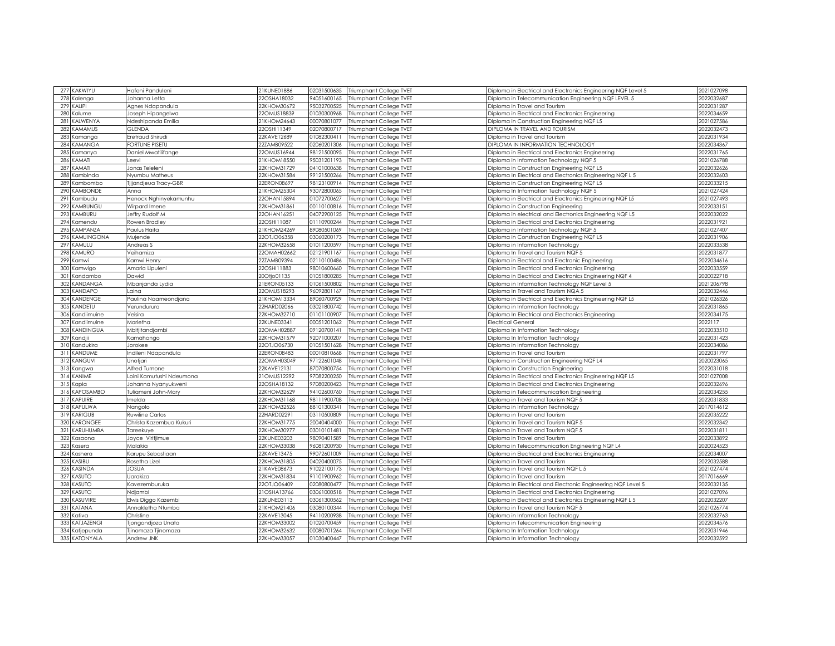| 277 KAKWIYU                                                                                                                                                                                                   | Hafeni Panduleni            | 21KUNE01886 | 02031500635 | <b>Triumphant College TVET</b> | Diploma in Electrical and Electronics Engineering NQF Level 5 | 2021027098 |
|---------------------------------------------------------------------------------------------------------------------------------------------------------------------------------------------------------------|-----------------------------|-------------|-------------|--------------------------------|---------------------------------------------------------------|------------|
| 278<br>Kalenga                                                                                                                                                                                                | Johanna Letta               | 22OSHA18032 | 94051600165 | Triumphant College TVET        | Diploma in Telecommunication Engineering NQF LEVEL 5          | 2022032687 |
| 279<br>KALIPI                                                                                                                                                                                                 | Agnes Ndapandula            | 22KHOM30672 | 95032700525 | Triumphant College TVET        | Diploma in Travel and Tourism                                 | 2022031287 |
|                                                                                                                                                                                                               |                             |             |             |                                |                                                               |            |
| Kalume<br>280                                                                                                                                                                                                 | Joseph Hipangelwa           | 22OMUS18839 | 01030300968 | Triumphant College TVET        | Diploma in Electrical and Electronics Engineering             | 2022034659 |
| 281<br>KALWENYA                                                                                                                                                                                               | Ndeshipanda Emilia          | 21KHOM24643 | 00070801077 | Triumphant College TVET        | Diploma in Construction Engineering NQF L5                    | 2021027586 |
| 282<br>KAMAMUS                                                                                                                                                                                                | <b>GLENDA</b>               | 22OSHI11349 | 02070800717 | Triumphant College TVET        | <b>DIPLOMA IN TRAVEL AND TOURISM</b>                          | 2022032473 |
| 283<br>Kamanga                                                                                                                                                                                                | Eretraud Shirudi            | 22KAVE12689 | 01082300411 | Triumphant College TVET        | liploma in Travel and Tourism                                 | 2022031934 |
| KAMANGA<br>284                                                                                                                                                                                                | FORTUNE PISETU              | 22ZAMB09522 | 02060201306 | <b>Triumphant College TVET</b> | DIPLOMA IN INFORMATION TECHNOLOGY                             | 2022034367 |
| 285<br>Kamanya                                                                                                                                                                                                | Daniel Mwatilifange         | 22OMUS16944 | 98121500095 | Triumphant College TVET        | Diploma in Electrical and Electronics Engineering             | 2022031765 |
| 286<br>KAMATI                                                                                                                                                                                                 | Leevi                       | 21KHOM18550 | 95031201193 | Triumphant College TVET        | Diploma in Information Technology NQF 5                       | 2021026788 |
| 287<br>KAMATI                                                                                                                                                                                                 | Jonas Teleleni              | 22KHOM31729 | 04101000638 | Triumphant College TVET        | Diploma in Construction Engineering NQF L5                    | 2022032626 |
| 288<br>Kambinda                                                                                                                                                                                               | Nyumbu Matheus              | 22KHOM31584 | 99121500266 | Triumphant College TVET        | Diploma In Electrical and Electronics Engineering NQF L 5     | 2022032603 |
| 289<br>Kambombo                                                                                                                                                                                               | <b>Fijandjeua Tracy-GBR</b> | 2ERON08697  | 98123100914 | Triumphant College TVET        | liploma in Construction Engineering NQF L5                    | 2022033215 |
| <b>KAMBONDE</b><br>290                                                                                                                                                                                        | Anna                        | 21KHOM25304 | 93072800065 | Triumphant College TVET        | Diploma In Information Technology NQF 5                       | 2021027424 |
| 291<br>Kambudu                                                                                                                                                                                                | Henock Nghinyekamunhu       | 22OHAN15894 | 01072700627 | Triumphant College TVET        | Diploma in Electrical and Electronics Engineering NQF L5      | 2021027493 |
| 292<br>KAMBUNGU                                                                                                                                                                                               | Wirpard Imene               | 2XHOM31861  | 00110100816 | Triumphant College TVET        | liploma in Construction Engineering                           | 2022033151 |
| KAMBURU<br>293                                                                                                                                                                                                | Jeffry Rudolf M             | 22OHAN16251 | 04072900125 | Triumphant College TVET        | Diploma in electrical and Electronics Engineering NQF L5      | 2022032022 |
| 294<br>Kamendu                                                                                                                                                                                                | Rowen Bradley               | 22OSHI11087 | 01110900244 | Triumphant College TVET        | Diploma in Electrical and Electronics Engineering             | 2022031921 |
| 295<br>KAMPANZA                                                                                                                                                                                               | Paulus Haita                | 21KHOM24269 | 89080501069 | Triumphant College TVET        | Diploma in Information Technology NQF 5                       | 2021027407 |
| KAMUINGONA<br>296                                                                                                                                                                                             | Mujende                     | 22OTJO06358 | 03060200173 | Triumphant College TVET        | liploma in Construction Engineering NQF L5                    | 2022031906 |
| 297<br>KAMULU                                                                                                                                                                                                 | Andreas S                   | 22KHOM32658 | 01011200597 | Triumphant College TVET        | Diploma in Information Technology                             | 2022033538 |
| 298 KAMURO                                                                                                                                                                                                    | Veihamiza                   | 22OMAH02662 | 02121901167 | Triumphant College TVET        | Diploma In Travel and Tourism NQF 5                           | 2022031877 |
| 299<br>Kamwi                                                                                                                                                                                                  | Kamwi Henry                 | 22ZAMB09394 | 02110100486 | Triumphant College TVET        | Diploma in Electrical and Electronic Engineering              | 2022034616 |
| 300<br>Kamwigo                                                                                                                                                                                                | Amaria Lipuleni             | 22OSHI11883 | 98010600660 | Triumphant College TVET        | Diploma in Electrical and Electronics Engineering             | 2022033559 |
| 301<br>Kandamba                                                                                                                                                                                               | Dawid                       | 20Otjo01135 | 01051800285 | Triumphant College TVET        | Diploma in Electrical and Electronics Engineering NQF 4       | 2020022718 |
| 302<br>KANDANGA                                                                                                                                                                                               | Mbanjanda Lydia             | 21ERON05133 | 01061500802 | Triumphant College TVET        | Diploma in Information Technology NQF Level 5                 | 2021206798 |
| KANDAPO<br>303                                                                                                                                                                                                | Laina                       | 22OMUS18293 | 96092801167 | Triumphant College TVET        | Diploma In Travel and Tourism NQA 5                           | 2022032446 |
| KANDENGE                                                                                                                                                                                                      |                             |             |             |                                |                                                               |            |
| 304                                                                                                                                                                                                           | Paulina Naameondjana        | 21KHOM13334 | 89060700929 | Triumphant College TVET        | Diploma in Electrical and Electronics Engineering NQF L5      | 2021026326 |
| KANDETU<br>305                                                                                                                                                                                                | Verundurura                 | 22HARD02066 | 03021800742 | Triumphant College TVET        | Diploma in Information Technology                             | 2022031865 |
| Kandiimuine<br>306                                                                                                                                                                                            | Veisira                     | 22KHOM32710 | 01101100907 | Triumphant College TVET        | Diploma In Electrical and Electronics Engineering             | 2022034175 |
| Kandiimuine<br>307                                                                                                                                                                                            | Marletha                    | 22KUNE03341 | 00051201062 | Triumphant College TVET        | Electrical General                                            | 2022117    |
| KANDINGUA<br>308                                                                                                                                                                                              | Mbitjitandjambi             | 22OMAH02887 | 09120700141 | Triumphant College TVET        | iploma In Information Technology                              | 2022033510 |
| 309 Kandjii                                                                                                                                                                                                   | Kamahongo                   | 22KHOM31579 | 92071000207 | Triumphant College TVET        | Diploma In Information Technology                             | 2022031423 |
| 310<br>Kandukira                                                                                                                                                                                              | Jorokee                     | 22OTJO06730 | 01051501628 | Triumphant College TVET        | iploma in Information Technology                              | 2022034086 |
| KANDUME<br>311                                                                                                                                                                                                | Indileni Ndapandula         | 2ERON08483  | 00010810668 | <b>Triumphant College TVET</b> | liploma in Travel and Tourism                                 | 2022031797 |
| 312 KANGUVI                                                                                                                                                                                                   | Unotjari                    | 22OMAH03049 | 97122601048 | Triumphant College TVET        | Diploma in Construction Engineering NQF L4                    | 2020023065 |
| 313<br>Kangwa                                                                                                                                                                                                 | Alfred Tumone               | 22KAVE12131 | 87070800754 | Triumphant College TVET        | Diploma In Construction Engineering                           | 2022031018 |
| 314<br>KANIME                                                                                                                                                                                                 | Loini Kamutushi Ndeumona    | 21OMUS12292 | 97082200250 | Triumphant College TVET        | Diploma in Electrical and Electronics Engineering NQF L5      | 2021027008 |
| 315<br><apia< td=""><td>Johanna Nyanyukweni</td><td>22OSHA18132</td><td>97080200423</td><td>Triumphant College TVET</td><td>Diploma in Electrical and Electronics Engineering</td><td>2022032696</td></apia<> | Johanna Nyanyukweni         | 22OSHA18132 | 97080200423 | Triumphant College TVET        | Diploma in Electrical and Electronics Engineering             | 2022032696 |
| KAPOSAMBO<br>316                                                                                                                                                                                              | Tuliameni John-Mary         | 22KHOM32629 | 94102600760 | Triumphant College TVET        | Diploma in Telecommunication Engineering                      | 2022034255 |
| 317 KAPUIRE                                                                                                                                                                                                   | melda                       | 22KHOM31168 | 98111900708 | Triumphant College TVET        | Diploma in Travel and Tourism NQF 5                           | 2022031833 |
| KAPULWA<br>318                                                                                                                                                                                                | Nangolo                     | 22KHOM32526 | 88101300341 | Triumphant College TVET        | Diploma in Information Technology                             | 2017014612 |
| 319 KARIGUB                                                                                                                                                                                                   | Ruwiline Carlos             | 22HARD02291 | 03110500809 | Triumphant College TVET        | Diploma in Travel and Tourism                                 | 2022035222 |
| 320<br>KARONGEE                                                                                                                                                                                               | Christa Kazembua Kukuri     | 22KHOM31775 | 20040404000 | Triumphant College TVET        | Diploma In Travel and Tourism NQF 5                           | 2022032342 |
| 321<br>KARUHUMBA                                                                                                                                                                                              | Tareekuye                   | 22KHOM30977 | 03010101481 | Triumphant College TVET        | Diploma in Travel and Tourism NQF 5                           | 2022031811 |
| 322<br>Kasaona                                                                                                                                                                                                | Joyce Viritjimue            | 22KUNE03203 | 98090401589 | Triumphant College TVET        | Diploma in Travel and Tourism                                 | 2022033892 |
| 323<br>Kasera                                                                                                                                                                                                 | Malakia                     | 22KHOM33038 | 96081200930 | Triumphant College TVET        | Diploma in Telecommunication Engineering NQF L4               | 2020024523 |
| 324<br>Kashera                                                                                                                                                                                                | Karupu Sebastiaan           | 22KAVE13475 | 99072601009 | Triumphant College TVET        | Diploma in Electrical and Electronics Engineering             | 2022034007 |
| 325<br>KASIBU                                                                                                                                                                                                 | Rosetha Lizel               | 22KHOM31805 | 04020400075 | Triumphant College TVET        | Diploma in Travel and Tourism                                 | 2022032588 |
| KASINDA<br>326                                                                                                                                                                                                | <b>JOSUA</b>                | 21KAVE08673 | 91022100173 | Triumphant College TVET        | Diploma in Travel and Tourism NQF L 5                         | 2021027474 |
| KASUTO<br>327                                                                                                                                                                                                 | Jarakiza                    | 22KHOM31834 | 91101900962 | Triumphant College TVET        | Diploma in Travel and Tourism                                 | 2017016669 |
| 328<br>KASUTO                                                                                                                                                                                                 | Kavezemburuka               | 22OTJO06409 | 02080800477 | Triumphant College TVET        | Diploma In Electrical and Electronic Engineering NQF Level 5  | 2022032135 |
| KASUTO<br>329                                                                                                                                                                                                 | Ndjambi                     | 21OSHA13766 | 03061000518 | Triumphant College TVET        | Diploma in Electrical and Electronics Engineering             | 2021027096 |
| <b><i>CASUVIRE</i></b><br>330                                                                                                                                                                                 | Elwis Diggo Kazembi         | 22KUNE03113 | 03061300562 | Triumphant College TVET        | Diploma in Electrical and Electronics Engineering NQF L 5     | 2022032207 |
| KATANA<br>331                                                                                                                                                                                                 |                             |             | 03080100344 |                                |                                                               | 2021026774 |
| 332                                                                                                                                                                                                           | Annakletha Ntumba           | !IKHOM21406 |             | Triumphant College TVET        | iploma in Travel and Tourism NQF 5                            |            |
| Kativa                                                                                                                                                                                                        | Christine                   | 22KAVE13045 | 94110200938 | Triumphant College TVET        | Diploma in Information Technology                             | 2022032763 |
| 333<br>KATJAZENGI                                                                                                                                                                                             | Tjongondjoza Unata          | 22KHOM33002 | 01020700459 | Triumphant College TVET        | Diploma in Telecommunication Engineering                      | 2022034576 |
| 334<br>Katjepunda                                                                                                                                                                                             | Tjinomaza Tjinomaza         | 22KHOM32632 | 00080701264 | Triumphant College TVET        | Diploma In Information Technology                             | 2022031946 |
| 335 KATONYALA                                                                                                                                                                                                 | Andrew JNK                  | 22KHOM33057 | 01030400447 | Triumphant College TVET        | Diploma In Information Technology                             | 2022032592 |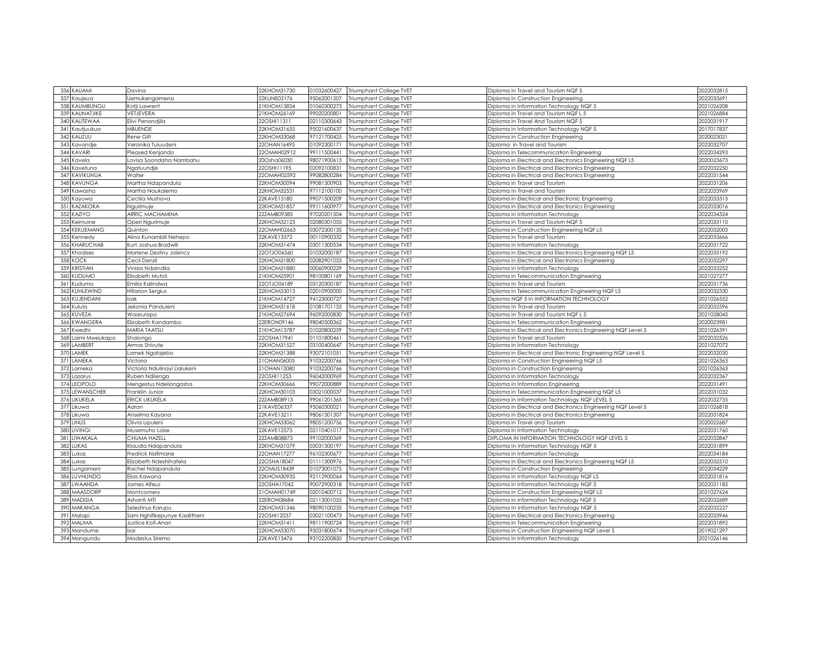| 336 KAUAMI                     | Davina                       | 22KHOM31730 | 01032600427 | Triumphant College TVET        | Diploma in Travel and Tourism NQF 5                           | 2022032815 |
|--------------------------------|------------------------------|-------------|-------------|--------------------------------|---------------------------------------------------------------|------------|
| 337<br>Kaujeua                 | Jemukengamena                | 22KUNE03176 | 95062001207 | Triumphant College TVET        | Diploma in Construction Engineering                           | 2022033691 |
| KAUMBUNGU<br>338               | Kotji Lawrent                | 21KHOM13834 | 01060300273 | Triumphant College TVET        | Diploma in Information Technology NQF 5                       | 2021026208 |
| 339<br>KAUNATJIKE              | VETJEVERA                    | 21KHOM26169 | 99020200801 | Triumphant College TVET        | iploma in Travel and Tourism NQF L 5                          | 2021026884 |
| KAUTEWAA<br>340                | Elivi Penondjila             | 22OSHI11311 | 02110300643 | Triumphant College TVET        | Diploma in Travel And Tourism NQF 5                           | 2022031917 |
| 341<br>Kautjuukua              | <b>MBUENDE</b>               | 22KHOM31655 | 95021600637 | Triumphant College TVET        | Diploma in Information Technology NQF 5                       | 2017017837 |
| 342<br>KAUZUU                  | Rene Gift                    | 22KHOM33068 | 97121700425 | Triumphant College TVET        | Diploma in Construction Engineering                           | 2020023021 |
| 343<br>Kavandje                | Veronika Tuluudeni           | 22OHAN16495 | 01092300171 | Triumphant College TVET        | Diploma in Travel and Tourism                                 | 2022032707 |
| KAVARI<br>344                  | Pleased Kenjando             | 22OMAH02912 | 99111500441 | Triumphant College TVET        | Diploma in Telecommunication Engineering                      | 2022034293 |
| 345<br>Kavela                  | ovisa Soondaha Nambahu       | 20Osha06030 | 98071900613 | Triumphant College TVET        | Diploma in Electrical and Electronics Engineering NQF L5      | 2020023673 |
| 346<br>Kavetuna                | Ngatuundje                   | 22OSHI1195  | 02092100831 | Triumphant College TVET        | Diploma in Electrical and Electronics Engineering             | 2022032250 |
| KAVIKUNUA<br>347               | Walter                       | 22OMAH02592 | 99082800284 | Triumphant College TVET        | Diploma in Electrical and Electronics Engineering             | 2022031544 |
| 348<br><b>KAVUNGA</b>          | Martha Ndapandula            | 22KHOM30094 | 99081300903 | Triumphant College TVET        | Diploma in Travel and Tourism                                 | 2022031206 |
| 349<br>Kawasha                 | Martha Naukalemo             | 22KHOM32531 | 97112100100 | Triumphant College TVET        | Diploma In Travel and Tourism                                 | 2022033969 |
| 350<br>Kayuwa                  | Cecilia Mushova              | 22KAVE13180 | 99071500209 | Triumphant College TVET        | Diploma in Electrical and Electronic Engineering              | 2022033315 |
| 351<br>KAZAKOKA                | Naurimuie                    | 22KHOM31857 | 99111600977 | Triumphant College TVET        | Diploma in Electrical and Electronics Engineering             | 2022033016 |
| 352<br>KAZIYO                  | ARRIC MACHAMINA              | 22ZAMB09385 | 97020201504 |                                |                                                               | 2022034324 |
|                                |                              |             |             | Triumphant College TVET        | Diploma in Information Technology                             |            |
| 353<br>Keimuine                | Operi Ngurimuje              | 22KHOM32123 | 02080301055 | Triumphant College TVET        | Diploma in Travel and Tourism NQF 5                           | 2022033110 |
| KEKUEMANG<br>354               | Quinton                      | 22OMAH02663 | 03072300135 | Triumphant College TVET        | Diploma in Construction Engineering NQF L5                    | 2022032003 |
| 355<br>Kennedy                 | Alina Kunambili Nehepo       | 22KAVE13372 | 00110900332 | Triumphant College TVET        | Diploma in Travel and Tourism                                 | 2022033666 |
| KHARUCHAB<br>356               | Kurt Joshua Bradwill         | 22KHOM31474 | 03011300534 | Triumphant College TVET        | Diploma in Information Technology                             | 2022031722 |
| 357<br>Khodises                | Morlene Destiny Jolency      | 22OTJO06560 | 01032000187 | Triumphant College TVET        | Diploma in Electrical and Electronics Engineering NQF L5      | 2022033192 |
| 358<br><b>KOCK</b>             | Cecil Denzil                 | 22KHOM31800 | 02082901033 | Triumphant College TVET        | Diploma in Electrical and Electronics Engineering             | 2022032297 |
| 359<br>KRISTIAN                | Vinisia Ndaindila            | 22KHOM31880 | 00060900229 | Triumphant College TVET        | Diploma in Information Technology                             | 2022033252 |
| 360<br><b>KUDUMO</b>           | Elisabeth Mutoli             | 21KHOM25901 | 98100801169 | Triumphant College TVET        | Diploma in Telecommunication Engineering                      | 2021027277 |
| 361<br>Kudumo                  | Emilia Kalindwa              | 22OTJO06189 | 03120300187 | Triumphant College TVET        | Diploma In Travel and Tourism                                 | 2022031736 |
| KUHLEWIND<br>362               | <b>Hillarion Sergius</b>     | 22KHOM33013 | 02010900000 | Triumphant College TVET        | Diploma in Telecommunication Engineering NQF L5               | 2022032330 |
| KUJENDANI<br>363               | Isak                         | 21KHOM14727 | 94123000727 | Triumphant College TVET        | Diploma NQF 5 In INFORMATION TECHNOLOGY                       | 2021026552 |
| 364<br>Kulula                  | Jekonia Panduleni            | 22KHOM31618 | 1081701153  | Triumphant College TVET        | Diploma In Travel and Tourism                                 | 2022032596 |
| 365 KUVEZA                     | Waarurapo                    | 21KHOM27694 | 96092000830 | Triumphant College TVET        | Diploma In Travel and Tourism NQF L 5                         | 2021028045 |
| KWANGERA<br>366                | Elizabeth Kandambo           | 22ERON09146 | 98040500362 | Triumphant College TVET        | Diploma in Telecommunication Engineering                      | 2020023981 |
| 367<br>(wedhi                  | <b>MARIA TAATSU</b>          | !IKHOM13787 | 01020800259 | Triumphant College TVET        | Diploma in Electrical and Electronics Engineering NQF Level 5 | 2021026391 |
| 368<br>aimi Mweukapo           | Shalongo                     | 22OSHA17941 | 01101800461 | Triumphant College TVET        | Diploma in Travel and Tourism                                 | 2022032526 |
| 369<br>LAMBERT                 | Armas Shivute                | 22KHOM31527 | 03100400647 | <b>Triumphant College TVET</b> | Diploma in Information Technology                             | 2021027072 |
| 370<br>LAMEK                   | amek Ngalajebo               | 22KHOM31388 | 93072101051 | Triumphant College TVET        | Diploma in Electrical and Electronic Engineering NQF Level 5  | 2022032030 |
| 371<br>LAMEKA                  | Victoria                     | 1OHAN06005  | 91032200766 | <b>Triumphant College TVET</b> | Diploma in Construction Enaineerina NQF L5                    | 2021026363 |
| 372<br>Lameka                  |                              | 21OHAN13080 | 91032200766 | Triumphant College TVET        | Diploma in Construction Engineering                           | 2021026363 |
|                                | Victoria Ndulinayi Lialukeni |             |             |                                |                                                               |            |
| 373<br>Lazarus                 | Ruben Ndilenga               | 22OSHI11253 | 96042000969 | Triumphant College TVET        | Diploma in Information Technology                             | 2022032367 |
| LEOPOLD<br>374                 | Mengestus Ndeilongasha       | 22KHOM30666 | 99072000889 | Triumphant College TVET        | Diploma in Information Engineering                            | 2022031491 |
| 375<br>LEWANSCHEK              | Franklin Junior              | 22KHOM30103 | 03021000037 | Triumphant College TVET        | Diploma in Telecommunication Engineering NQF L5               | 2022031032 |
| 376<br>LIKUKELA                | ERICK LIKUKELA               | 22ZAMB08913 | 99061201365 | Triumphant College TVET        | Diploma in Information Technology NQF LEVEL 5                 | 2022032735 |
| 377<br>Likuwa                  | Aaron                        | 21KAVE06337 | 95060300021 | Triumphant College TVET        | Diploma in Electrical and Electronics Engineering NQF Level 5 | 2021026818 |
| 378<br>Likuwa                  | Anselma Kayana               | 22KAVE13211 | 98061301307 | Triumphant College TVET        | Diploma in Electrical and Electronics Engineering             | 2022031824 |
| 379<br><b>LINUS</b>            | Olivia Lipuleni              | 22KHOM33062 | 98051200756 | Triumphant College TVET        | Diploma in Travel and Tourism                                 | 2020022687 |
| 380<br><b>LIVINGI</b>          | Musemuho Loise               | 22KAVE12573 | 02110401017 | Triumphant College TVET        | Diploma in Information Technology                             | 2022031760 |
| LIWAKALA<br>381                | CHUMA HAZELL                 | 22ZAMB08873 | 99102000369 | Triumphant College TVET        | DIPLOMA IN INFORMATION TECHNOLOGY NQF LEVEL 5                 | 2022032847 |
| LUKAS<br>382                   | Klaudia Ndapandula           | 22KHOM31079 | 03031300197 | Triumphant College TVET        | Diploma In Information Technology NQF 5                       | 2022031899 |
| 383<br>ukas                    | Fredrick Nafimane            | 22OHAN17277 | 96102300677 | Triumphant College TVET        | Diploma in Information Technology                             | 2022034184 |
| 384<br>Lukas                   | Elizabeth Ndeshihafela       | 22OSHA18047 | 01111300976 | Triumphant College TVET        | Diploma in Electrical and Electronics Engineering NQF L5      | 2022032510 |
| 385<br>Lungameni               | Rachel Ndapandula            | 22OMUS18439 | 01073001075 | Triumphant College TVET        | Diploma in Construction Engineering                           | 2022034229 |
| LUVHUNDO<br>386                | Elias Kawana                 | 2KHOM30935  | 92112900064 | Triumphant College TVET        | liploma in Information Technology NQF L5                      | 2022031816 |
| LWAANDA<br>387                 | James Alfeus                 | 22OSHA17042 | 90072900318 | Triumphant College TVET        | Diploma in Information Technology NQF 5                       | 2022031185 |
| 388<br>MAASDORF                | Montcomery                   | 10MAH01749  | 02010400712 | Triumphant College TVET        | liploma in Construction Engineering NQF L5                    | 2021027624 |
| <b>MADISIA</b><br>389          | Ashanti MTI                  | 2ERON08684  | 02113001055 | Triumphant College TVET        | liploma in information Technology NQF 5                       | 2022032689 |
| 390<br>MAKANGA                 | Selestinus Karupu            | 2KHOM31346  | 98090100235 | Triumphant College TVET        | Diploma In Information Technology NQF 5                       | 2022032227 |
| 391                            |                              | 22OSHI12037 | 03021100473 |                                |                                                               | 2022033946 |
| Malapi<br>392<br><b>MALIMA</b> | Sam Nghifikepunye Kaalitheni |             |             | Triumphant College TVET        | Diploma in Electrical and Electronics Engineering             | 2022031892 |
|                                | Justice Kofi-Anan            | 22KHOM31411 | 98111900724 | Triumphant College TVET        | Diploma in Telecommunication Engineering                      |            |
| 393<br>Mandume                 | sai                          | 22KHOM33070 | 95031800674 | Triumphant College TVET        | Diploma in Construction Engineering NQF Level 5               | 2019021297 |
| 394 Mangundu                   | Modestus Siremo              | 22KAVE13476 | 93102200850 | Triumphant College TVET        | Diploma in Information Technology                             | 2021026146 |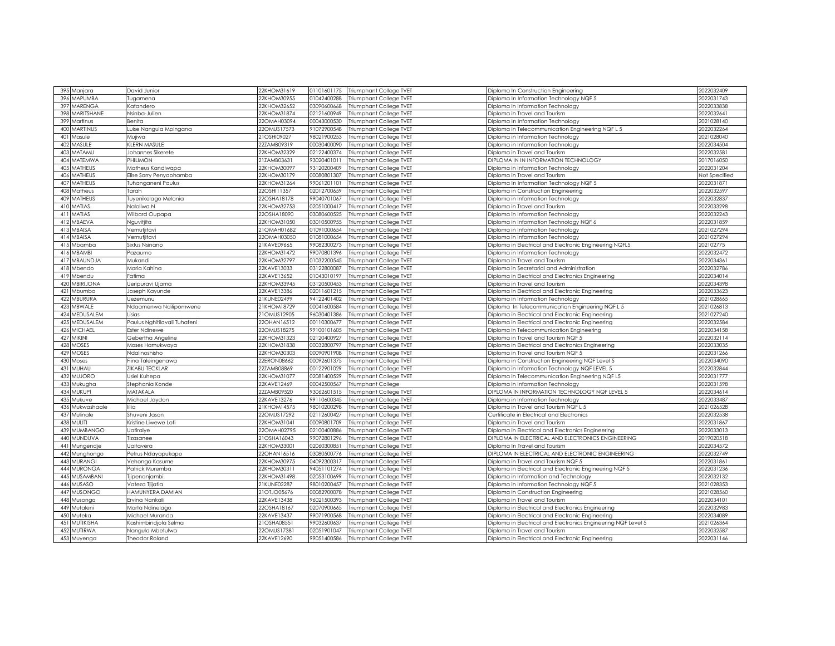| 395 Manjara                       | David Junior                 | 22KHOM31619 | 01101601175 | Triumphant College TVET        | Diploma In Construction Engineering                           | 2022032409    |
|-----------------------------------|------------------------------|-------------|-------------|--------------------------------|---------------------------------------------------------------|---------------|
| 396<br><b>MAPUMBA</b>             | Tugamena                     | 22KHOM30955 | 01042400288 | Triumphant College TVET        | Diploma In Information Technology NQF 5                       | 2022031743    |
| 397<br>MARENGA                    | Katandero                    | 22KHOM32652 | 03090600668 | Triumphant College TVET        | Diploma in Information Technology                             | 2022033838    |
| 398<br>MARITSHANE                 | Nsinba-Julien                | 22KHOM31874 | 02121600949 | Triumphant College TVET        | Diploma in Travel and Tourism                                 | 2022032641    |
| 399<br>Martinus                   | Benita                       | 22OMAH03094 | 00043000530 | Triumphant College TVET        | Diploma In Information Technology                             | 2021028140    |
| MARTINUS<br>400                   | Luise Nangula Mpingana       | 22OMUS17573 | 91072900548 | Triumphant College TVET        | Diploma in Telecommunication Engineering NQF L 5              | 2022032264    |
| 401<br>Masule                     | Mujiwa                       | 21OSHI09027 | 98021900253 | Triumphant College TVET        | Diploma in Information Technology                             | 2021028040    |
| MASULE<br>402                     | KLERN MASULE                 | 22ZAMB09319 | 00030400090 | Triumphant College TVET        | Diploma in Information Technology                             | 2022034504    |
| MATAMU<br>403                     | Johannes Sikerete            | 22KHOM32329 | 02122400374 | Triumphant College TVET        | Diploma in Travel and Tourism                                 | 2022032581    |
| <b>MATEMWA</b><br>404             | PHILIMON                     | 21ZAMB03631 | 93020401011 | Triumphant College TVET        | DIPLOMA IN IN INFORMATION TECHNOLOGY                          | 2017016050    |
| <b>MATHEUS</b><br>405             | Matheus Kandiwapa            | 22KHOM30097 | 93120200409 | Triumphant College TVET        |                                                               | 2022031204    |
| <b>MATHEUS</b><br>40 <sub>t</sub> |                              | 22KHOM30179 | 00080801307 |                                | Diploma in Information Technology                             | Not Specified |
| <b>MATHEUS</b>                    | Elise Sorry Penyaohamba      |             | 99061201101 | <b>Triumphant College TVET</b> | Diploma in Travel and Tourism                                 | 2022031871    |
| 407<br>Matheus                    | Tuhanganeni Paulus           | 22KHOM31264 |             | Triumphant College TVET        | Diploma In Information Technology NQF 5                       |               |
| 408<br><b>MATHEUS</b>             | Tarah                        | 22OSHI11357 | 02012700659 | Triumphant College TVET        | Diploma in Construction Engineering                           | 2022032597    |
| 409                               | Tuyenikelago Melania         | 22OSHA18178 | 99040701067 | Triumphant College TVET        | Diploma in Information Technology                             | 2022032837    |
| MATIAS<br>410                     | Naloliwa N                   | 22KHOM32753 | 02051000417 | Triumphant College TVET        | Diploma in Travel and Tourism.                                | 2022033298    |
| 411<br>MATIAS                     | Wilbard Oupapa               | 22OSHA18090 | 03080600525 | Triumphant College TVET        | Diploma in Information Technology                             | 2022032243    |
| 412<br>MBAEVA                     | Nguvitjita                   | 22KHOM31050 | 03010500955 | Triumphant College TVET        | Diploma in Information Technology NQF 6                       | 2022031859    |
| MBAISA<br>41                      | Vemutjitavi                  | 21OMAH01682 | 01091000654 | Triumphant College TVET        | Diploma in Information Technology                             | 2021027294    |
| <b>MBAISA</b><br>414              | Vemutjitavi                  | 22OMAH03050 | 01081000654 | Triumphant College TVET        | Diploma in Information Technology                             | 2021027294    |
| Mbamba<br>4!                      | Sixtus Nsinano               | 21KAVE09665 | 99082300273 | Triumphant College TVET        | Diploma in Electrical and Electronic Engineering NQFL5        | 202102775     |
| 416<br><b>MBAMBI</b>              | Pazaumo                      | 22KHOM31472 | 99070801396 | Triumphant College TVET        | Diploma in Information Technology                             | 2022032472    |
| MBAUNDJA<br>41                    | Mukandi                      | 22KHOM32797 | 01032200545 | Triumphant College TVET        | Diploma in Travel and Tourism                                 | 2022034361    |
| 418<br>Mbendo                     | Maria Kahina                 | 22KAVE13033 | 03122800087 | Triumphant College TVET        | Diploma in Secretarial and Administration                     | 2022032786    |
| 419<br>Mbendu                     | Fatima                       | 22KAVE13652 | 01043010197 | Triumphant College TVET        | Diploma in Electrical and Electronics Engineering             | 2022034014    |
| <b>VBIRIJONA</b><br>420           | Ueripuravi Ujama             | 22KHOM33945 | 03120500453 | <b>Triumphant College TVET</b> | Diploma in Travel and Tourism                                 | 2022034398    |
| 421<br>Mbumbo                     | loseph Kayunde               | 22KAVE13386 | 02011601215 | Triumphant College TVET        | Diploma in Electrical and Electronic Engineering              | 2022033623    |
| MBURURA<br>422                    | Jezemunu                     | 1KUNE02499  | 94122401402 | Triumphant College TVET        | Diploma in Information Technology                             | 2021028665    |
| <b>MBW ALE</b><br>423             | Ndaamenwa Ndilipomwene       | 21KHOM18729 | 00041600584 | Triumphant College TVET        | Diploma In Telecommunication Engineering NQF L 5              | 2021026813    |
| MEDUSALEM<br>424                  | Lisias                       | 21OMUS12905 | 96030401386 | Triumphant College TVET        | Diploma in Electrical and Electronic Engineering              | 2021027240    |
| MEDUSALEM<br>425                  | Paulus Nghitilavali Tuhafeni | 22OHAN16512 | 00110300677 | Triumphant College TVET        | Diploma in Electrical and Electronic Engineering              | 2022032584    |
| <b>MICHAEL</b><br>426             | Ester Ndinewe                | 22OMUS18275 | 99100101605 | Triumphant College TVET        | Diploma in Telecommunication Engineering                      | 2022034158    |
| 427<br><b>MIKINI</b>              | Gebertha Angeline            | 22KHOM31323 | 02120400927 | Triumphant College TVET        | Diploma in Travel and Tourism NQF 5                           | 2022032114    |
| 428<br><b>MOSES</b>               | Moses Hamukwaya              | 22KHOM31838 | 00032800797 | Triumphant College TVET        | Diploma in Electrical and Electronics Engineering             | 2022033035    |
| <b>MOSES</b><br>429               | Ndalinoshisho                | 22KHOM30303 | 00090901908 | Triumphant College TVET        | Diploma in Travel and Tourism NQF 5                           | 2022031266    |
| 430<br>Moses                      | Fiina Taleingenawa           | 22ERON08662 | 00092601375 | Triumphant College TVET        | Diploma in Construction Engineering NQF Level 5               | 2022034090    |
| 431<br>MUHAU                      | <b>ZIKABU TECKLAR</b>        | 22ZAMB08869 | 00122901029 | Triumphant College TVET        | Diploma in Information Technology NQF LEVEL 5                 | 2022032844    |
| <b>MUJORO</b><br>432              | Usiel Kuhepa                 | 22KHOM31077 | 02081400529 | Triumphant College TVET        | Diploma in Telecommunication Engineering NQF L5               | 2022031777    |
| 433<br>Mukugha                    | Stephania Konde              | 22KAVE12469 | 00042500567 | <b>Triumphant College</b>      | Diploma in Information Technology                             | 2022031598    |
| 434<br><b>MUKUPI</b>              | MATAKALA                     | 22ZAMB09520 | 93062601515 | Triumphant College TVET        | DIPLOMA IN INFORMATION TECHNOLOGY NQF LEVEL 5                 | 2022034614    |
| 435<br>Mukuve                     | Michael Jaydon               | 22KAVE13276 | 99110600345 | Triumphant College TVET        | Diploma in Information Technology                             | 2022033487    |
| 436<br>Mukwashaale                | ilia                         | 21KHOM14575 | 98010200298 | Triumphant College TVET        | Diploma in Travel and Tourism NQF L 5                         | 2021026528    |
| 437<br>Mulinale                   | Shuveni Jason                | 22OMUS17292 | 02112600427 | Triumphant College TVET        | Certificate in Electrical and Electronics                     | 2022032538    |
| MULITI<br>438                     | Kristine Liwewe Loti         | 22KHOM31041 | 00090801709 | Triumphant College TVET        | Diploma in Travel and Tourism                                 | 2022031867    |
| <b>MUMBANGO</b><br>439            | Uatiraiye                    | 22OMAH02795 | 02100400886 | Triumphant College TVET        | Diploma in Electrical and Electronics Engineering             | 2022033013    |
| <b>MUNDUVA</b><br>440             | ïzasanee                     | 21OSHA16043 | 99072801296 | <b>Triumphant College TVET</b> | DIPLOMA IN ELECTRICAL AND ELECTRONICS ENGINEERING             | 2019020518    |
| 441<br>Mungendje                  | Uaitavera                    | 22KHOM33001 | 02060300851 | Triumphant College TVET        | Diploma In Travel and Tourism                                 | 2022034572    |
| 442<br>Munghongo                  | Petrus Ndayapukapo           | 22OHAN16516 | 03080500776 | Triumphant College TVET        | DIPLOMA IN ELECTRICAL AND ELECTRONIC ENGINEERING              | 2022032749    |
| 443<br><b>MURANGI</b>             | Vehonga Kasume               | 22KHOM30975 | 04092300317 | Triumphant College TVET        | Diploma in Travel and Tourism NQF 5                           | 2022031861    |
| <b>MURONGA</b><br>444             | Patrick Muremba              | 22KHOM3031  | 94051101274 | Triumphant College TVET        | Diploma in Electrical and Electronic Engineering NQF 5        | 2022031236    |
| 445<br><b>MUSAMBANI</b>           | Tjipenanjambi                | 22KHOM31498 | 02053100699 | Triumphant College TVET        | Diploma in Information and Technology                         | 2022032132    |
| <b>MUSASO</b><br>446              | Vateza Tjijatia              | 21KUNE02287 | 98010200457 | Triumphant College TVET        | Diploma in Information Technology NQF 5                       | 2021028353    |
| 447<br><b>MUSONGO</b>             | HAMUNYERA DAMIAN             | 21OTJO05676 | 00082900078 | Triumphant College TVET        | Diploma in Construction Engineering                           | 2021028560    |
| 448<br>Musongo                    | Ervina Nankali               | 22KAVE13438 | 96021500393 | Triumphant College TVET        | Diploma in Travel and Tourism                                 | 2022034101    |
| 449<br>Mutaleni                   | Marta Ndinelago              | 22OSHA18167 | 02070900665 | Triumphant College TVET        | Diploma in Electrical and Electronics Engineering             | 2022032983    |
| 450<br>Muteka                     | Michael Muranda              | 22KAVE13437 | 99071900568 | Triumphant College TVET        | Diploma in Electrical and Electronic Engineering              | 2022034089    |
| MUTIKISHA<br>451                  | Kashimbindjola Selma         | 21OSHA08551 | 99032600637 | Triumphant College TVET        | Diploma in Electrical and Electronics Engineering NQF Level 5 | 2021026364    |
| <b>MUTIRWA</b><br>452             | Nangula Mbetulwa             | 22OMUS17381 | 02051901047 | Triumphant College TVET        | Diploma in Travel and Tourism                                 | 2022032587    |
| 453 Muyenga                       | <b>Theodor Roland</b>        | 22KAVE12690 | 99051400586 | Triumphant College TVET        | Diploma in Electrical and Electronic Engineering              | 2022031146    |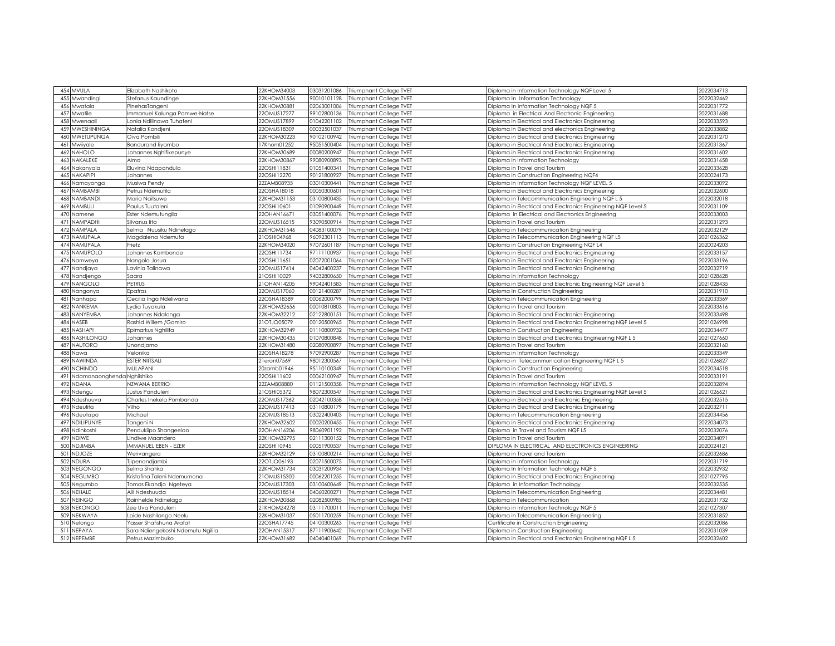| 454 MVULA                           | Elizabeth Nashikoto               | 22KHOM34003   | 03031201086 | Triumphant College TVET        | Diploma in Information Technology NQF Level 5                 | 2022034713 |
|-------------------------------------|-----------------------------------|---------------|-------------|--------------------------------|---------------------------------------------------------------|------------|
| 455<br>Mwandingi                    | Stefanus Kaundinge                | 22KHOM31556   | 90010101128 | Triumphant College TVET        | Diploma In Information Technology                             | 2022032462 |
| 456<br>Mwatala                      | PinehasTangeni                    | 22KHOM30881   | 02063001006 | Triumphant College TVET        | Diploma In Information Technology NQF 5                       | 2022031772 |
| Mwatile<br>457                      | Immanuel Kalunga Pamwe-Natse      | 22OMUS17277   | 99102800136 | Triumphant College TVET        | Diploma in Electrical And Electronic Engineering              | 2022031688 |
| 458<br>Mwenaali                     | Lonia Ndilinawa Tuhafeni          | 22OMUS17899   | 01042201102 | Triumphant College TVET        | Diploma in Electrical and Electronics Engineering             | 2022033593 |
| 459 MWESHININGA                     | Natalia Kondjeni                  | 22OMUS18309   | 00032501037 | Triumphant College TVET        | Diploma in Electrical and electronics Engineering             | 2022033882 |
| MWETUPUNGA<br>460                   | Oiva Pombili                      | 22KHOM30223   | 90102100942 | Triumphant College TVET        | Diploma in Electrical and Electronics Engineering             | 2022031270 |
| 46<br>Mwiiyale                      | Bandurand liyambo                 | 17Khom01252   | 95051500404 | Triumphant College TVET        | Diploma in Electrical And Electronics Engineering             | 2022031367 |
| NAHOLO<br>462                       | Johannes Nghifikepunye            | 22KHOM30689   | 00080200947 | Triumphant College TVET        | Diploma in Electrical and Electronics Engineering             | 2022031602 |
| NAKALEKE<br>463                     | Alma                              | 22KHOM30867   | 99080900893 | Triumphant College TVET        | Diploma in Information Technology                             | 2022031658 |
| 464<br>Nakanyala                    | Eluvina Ndapandula                | 22OSHI11831   | 01051400341 | Triumphant College TVET        | Diploma in Travel and Tourism                                 | 2022033628 |
| NAKAPIPI                            |                                   | 22OSHI12270   | 90121800927 |                                |                                                               | 2020024173 |
| 465                                 | Johannes                          | 22ZAMB08935   | 03010300441 | Triumphant College TVET        | Diploma in Construction Engineering NQF4                      | 2022033092 |
| Namayonga<br>466<br><b>NAMBAMBI</b> | Musiwa Pendy                      |               | 00050300601 | <b>Triumphant College TVET</b> | Diploma in Information Technoloav NQF LEVEL 5                 | 2022032600 |
| 467                                 | Petrus Ndemutila                  | 22OSHA18018   |             | Triumphant College TVET        | Diploma in Electrical and Electronics Engineering             |            |
| 468<br><b>NAMBAND</b>               | Maria Naitsuwe                    | 22KHOM31153   | 03100800435 | Triumphant College TVET        | Diploma in Telecommunication Engineering NQF L 5              | 2022032018 |
| 469<br><b>NAMBULI</b>               | Paulus Tuutaleni                  | 22OSHI10601   | 1090900449  | Triumphant College TVET        | Diploma in Electrical and Electronics Engineering NQF Level 5 | 2022031109 |
| 470<br>Namene                       | Ester Ndemutungila                | 22OHAN1667    | 03051400076 | Triumphant College TVET        | Diploma in Electrical and Electronics Engineering             | 2022033003 |
| 471<br><b>NAMPADHI</b>              | Silvanus lita                     | 22OMUS16515   | 93090500914 | <b>Triumphant College TVET</b> | Diploma in Travel and Tourism                                 | 2022031293 |
| <b>NAMPALA</b><br>472               | Selma Nuusiku Ndinelago           | 22KHOM31546   | 04083100079 | Triumphant College TVET        | Diploma in Telecommunication Engineering                      | 2022032129 |
| NAMUPALA<br>473                     | Magdalena Ndemufa                 | 21OSHI04968   | 96092301113 | Triumphant College TVET        | Diploma in Telecommunication Engineering NQF L5               | 2021026362 |
| 474<br>NAMUPALA                     | Frietz                            | 22KHOM34020   | 97072601187 | Triumphant College TVET        | Diploma in Construction Engineering NQF L4                    | 2020024203 |
| <b>NAMUPOLO</b><br>47.5             | Johannes Kambonde                 | 22OSHI11734   | 97111100937 | Triumphant College TVET        | Diploma in Electrical and Electronics Engineering             | 2022033157 |
| 476<br>Namweya                      | Nangolo Josua                     | 22OSHI11651   | 02072001064 | <b>Triumphant College TVET</b> | Diploma in Electrical and Electronics Engineering             | 2022033196 |
| 477<br>Nandjaya                     | Lavinia Talinawa                  | 22OMUS17414   | 04042400237 | Triumphant College TVET        | Diploma in Electrical and Electronics Engineering             | 2022032719 |
| 478<br>Nandjengo                    | Saara                             | 21OSHI10029   | 94032800650 | Triumphant College TVET        | Diploma in Information Technology                             | 2021028628 |
| 479<br>NANGOLO                      | <b>PETRUS</b>                     | 21 OHAN 14205 | 99042401583 | Triumphant College TVET        | Diploma in Electrical and Electronic Engineering NQF Level 5  | 2021028435 |
| 480<br>Nangonya                     | Epafras                           | 22OMUS17060   | 00121400287 | Triumphant College TVET        | Diploma In Construction Engineering                           | 2022031910 |
| 481<br>Nanhapo                      | Cecilia Inga Ndeliwana            | 22OSHA18389   | 00062000799 | Triumphant College TVET        | Diploma in Telecommunication Engineering                      | 2022033369 |
| 482<br>NANKEMA                      | ydia Tuyakula.                    | 22KHOM32656   | 00010810803 | Triumphant College TVET        | Diploma in Travel and Tourism                                 | 2022033616 |
| 483<br><b>NANYEMBA</b>              | Johannes Ndalonga                 | 22KHOM32212   | 02122800151 | <b>Triumphant College TVET</b> | Diploma in Electrical and Electronics Engineering             | 2022033498 |
| NASEB<br>484                        | Rashid Willem / Gamiro            | 21OTJO05079   | 00120500965 | Triumphant College TVET        | Diploma in Electrical and Electronics Engineering NQF Level 5 | 2021026998 |
| <b>NASHAPI</b><br>48.5              | Epimarkus Nahilifa                | 22KHOM32949   | 01110800932 | <b>Triumphant College TVET</b> | Diploma in Construction Enaineerina                           | 2022034477 |
| NASHILONGO<br>486                   | Johannes                          | 22KHOM30435   | 01070800848 | Triumphant College TVET        | Diploma in Electrical and Electronics Engineering NQF L 5     | 2021027660 |
| 487<br><b>NAUTORO</b>               | Unondjamo                         | 22KHOM31480   | 02080900897 | Triumphant College TVET        | Diploma in Travel and Tourism                                 | 2022032160 |
| 488<br>Nawa                         | Velonika                          | 22OSHA18278   | 97092900287 | Triumphant College TVET        | Diploma in Information Technology                             | 2022033349 |
| NAWINDA<br>489                      | ESTER NIITSALI                    | leron07569    | 98012300567 | Triumphant College TVET        | Diploma in Telecommunication Engineering NQF L 5              | 2021026827 |
| 490<br><b>NCHINDO</b>               | <b>MULAPANI</b>                   | 20zamb01946   | 95110100349 | Triumphant College TVET        | Diploma in Construction Engineering                           | 2022034518 |
| Ndamonaonghenda Nghiishiko<br>491   |                                   | 22OSHI11602   | 00062100947 | Triumphant College TVET        | Diploma in Travel and Tourism                                 | 2022033191 |
| 492<br><b>NDANA</b>                 | NZWANA BERRIO                     | 22ZAMB08880   | 01121500358 | Triumphant College TVET        | Diploma in Information Technology NQF LEVEL 5                 | 2022032894 |
| 493<br>Ndengu                       | Justus Panduleni                  | 21OSHI05372   | 98072300547 | Triumphant College TVET        | Diploma in Electrical and Electronics Engineering NQF Level 5 | 2021026621 |
| 494<br>Vdeshuuva                    | Charles Inekela Pombanda          | 22OMUS17362   | 02042100358 | Triumphant College TVET        | Diploma in Electrical and Electronic Engineering              | 2022032515 |
| 495<br>Ndeulita                     | Vilho                             | 22OMUS17413   | 03110800179 | Triumphant College TVET        | Diploma in Electrical and Electronics Engineering             | 2022032711 |
| 496<br>Ndeutapo                     | Michael                           | 22OMUS18513   | 03022400403 | Triumphant College TVET        | Diploma in Telecommunication Engineering                      | 2022034456 |
| NDILIPUNYE<br>497                   | Tangeni N                         | 22KHOM32602   | 00020200455 | Triumphant College TVET        | Diploma in Electrical and Electronics Engineering             | 2022034073 |
| 498<br><b>Ndinkoshi</b>             | Pendukiipo Shangeelao             | 22OHAN16206   | 98060901192 | Triumphant College TVET        | Diploma in Travel and Tourism NQF L5                          | 2022032076 |
| VDIWE<br>499                        | Lindiwe Maandero                  | 22KHOM32795   | 02111300152 | Triumphant College TVET        | Diploma in Travel and Tourism                                 | 202203409  |
| <b>NDJIMBA</b><br>500               | MMANUEL EBEN - EZER               | 22OSHI10945   | 00051900537 | Triumphant College TVET        | DIPLOMA IN ELECTRICAL AND ELECTRONICS ENGINEERING             | 2020024121 |
| NDJOZE<br>501                       | Werivangera                       | 22KHOM32129   | 03100800214 | Triumphant College TVET        | Diploma in Travel and Tourism                                 | 2022032686 |
| 502 NDURA                           | liipenandjambi                    | 22OTJO06193   | 02071500075 | Triumphant College TVET        | Diploma in Information Technology                             | 2022031719 |
| NEGONGO<br>503                      | Selma Shatika                     | 22KHOM31734   | 03031200934 | Triumphant College TVET        | Diploma In Information Technology NQF 5                       | 2022032932 |
| 504<br><b>NEGUMBC</b>               | Kristofina Taleni Ndemumona       | 21OMUS15300   | 00062201255 | <b>Triumphant College TVET</b> | Diploma in Electrical and Electronics Enaineerina             | 2021027795 |
| 505<br>Negumbo                      | Tomas Ekandjo Ngeteya             | 22OMUS17303   | 03100600649 | Triumphant College TVET        | Diploma in Information Technology                             | 2022032535 |
| 506<br>NEHALE                       | Aili Ndeshuuda                    | 22OMUS18514   | 04060200271 | Triumphant College TVET        | Diploma in Telecommunication Engineering                      | 2022034481 |
| 507<br><b>NEINGO</b>                | Rainhelde Ndinelago               | 22KHOM30868   | 02082500985 | Triumphant College TVET        | Diploma in Telecommunication                                  | 2022031732 |
| VEKONGC<br>508                      | Zee Uva Panduleni                 | 21KHOM24278   | 03111700011 | Triumphant College TVET        | Diploma in Information Technology NQF 5                       | 2021027307 |
| 509<br>NEKWAYA                      | Loide Nashilongo Neelu            | 22KHOM31037   | 05011700259 | Triumphant College TVET        | Diploma in Telecommunication Engineering                      | 2022031852 |
| 510<br>Nelongo                      | Yasser Shafishuna Arafat          | 22OSHA17745   | 04100300263 | Triumphant College TVET        | Certificate in Construction Engineering                       | 2022032086 |
| NEPAYA<br>511                       | Sara Ndiengekoshi Ndemutu Ngilila | 22OHAN15317   | 87111900642 | Triumphant College TVET        | Diploma in Construction Engineering                           | 2022031039 |
| 512 NEPEMBE                         | Petrus Mazimbuko                  | 22KHOM31682   | 04040401069 | Triumphant College TVET        | Diploma in Electrical and Electronics Engineering NQF L 5     | 2022032602 |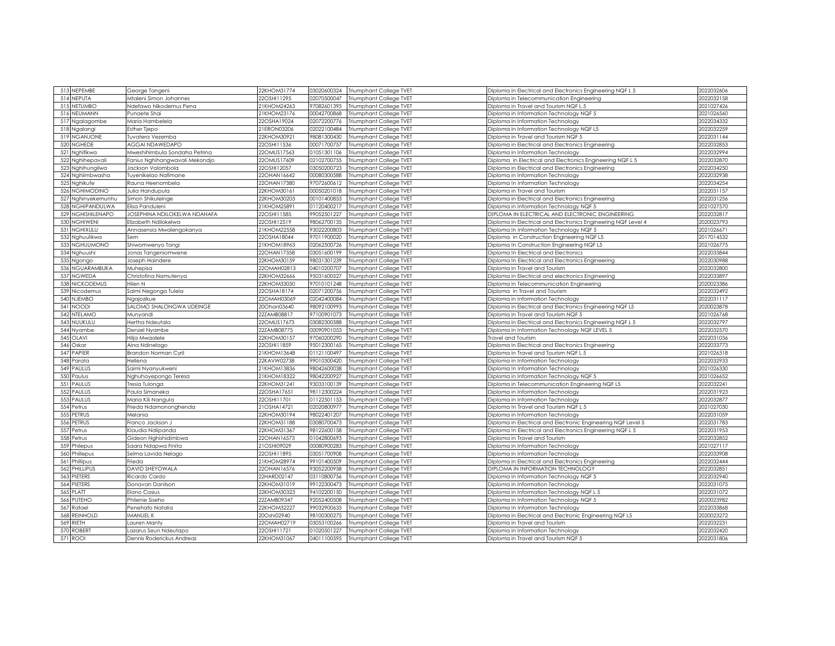| 513 NEPEMBE                  | George Tangeni                 | 22KHOM31774 | 03020600324 | <b>Triumphant College TVET</b> | Diploma in Electrical and Electronics Engineering NQF L 5     | 2022032606 |
|------------------------------|--------------------------------|-------------|-------------|--------------------------------|---------------------------------------------------------------|------------|
| 514<br><b>NEPUTA</b>         |                                | 22OSHI11295 | 02070500047 |                                |                                                               | 2022032158 |
|                              | Mtaleni Simon Johannes         |             |             | Triumphant College TVET        | Diploma in Telecommunication Engineering                      |            |
| 515<br>NETUMBC               | <b>Ndefawo Nikodemus Pena</b>  | 21KHOM24263 | 97082601395 | Triumphant College TVET        | iploma in Travel and Tourism NQF L 5                          | 2021027426 |
| 516<br>NEUMANN               | Punaete Shai                   | 21KHOM23176 | 00042700868 | Triumphant College TVET        | Diploma in Information Technology NQF 5                       | 2021026560 |
| Ngalagombe<br>517            | Maria Hambelela                | 22OSHA19024 | 02072200776 | Triumphant College TVET        | Diploma in Information Technology                             | 2022034332 |
| 518<br>Ngalang               | <b>Esther Tjepo</b>            | 21ERON03206 | 02022100484 | Triumphant College TVET        | Diploma in Information Technology NQF L5                      | 2022032259 |
| NGANJONE<br>519              | Tuvatera Vezemba               | 22KHOM30921 | 98081300430 | Triumphant College TVET        | Diploma in Travel and Tourism NQF 5                           | 2022031144 |
| 520<br>NGHEDE                | AGGAI NDAWEDAPO                | 22OSHI11536 | 00071700757 | Triumphant College TVET        | Diploma in Electrical and Electronics Engineering             | 2022032853 |
| Nghifikwa<br>521             | Mweshihimbula Sondaha Petrina  | 22OMUS17563 | 01051301106 | Triumphant College TVET        | Diploma in Information Technology                             | 2022032994 |
| 522<br>Nghihepavali          | Fanius Nghihangwavali Mekondjo | 22OMUS17609 | 02102700755 | Triumphant College TVET        | Diploma in Electrical and Electronics Engineering NQF L 5     | 2022032870 |
| 523<br><b>Ighihungilwa</b>   | Jackson Valombola              | 22OSHI12057 | 03050200723 | Triumphant College TVET        | Diploma in Electrical and Electronics Engineering             | 2022034250 |
| 524<br>Nghiimbwasha          | Tuyenikelao Nafimane           | 22OHAN16642 | 00080300588 | Triumphant College TVET        | iploma in Information Technology                              | 2022032938 |
| 525<br>Nghikufe              | Rauna Heenombela               | 20HAN17380  | 97072600612 | Triumphant College TVET        | iploma In Information Technology                              | 2022034254 |
| 526<br>NGHIMODINO            | Julia Handupula                | 22KHOM30161 | 00050201018 | Triumphant College TVET        | Diploma in Travel and Tourism                                 | 2022031157 |
| 527<br>Nghinyekemunhu        | Simon Shikuleinge              | 22KHOM30203 | 00101400853 | Triumphant College TVET        | Diploma in Electrical and Electronics Engineering             | 2022031256 |
| 528<br>NGHIPANDULWA          | Elisa Panduleni                | 21KHOM2589  | 01120400217 | Triumphant College TVET        | Diploma in Information Technology NQF 5                       | 2021027570 |
| NGHISHILENAPO<br>529         | JOSEPHINA NDILOKELWA NDAHAFA   | 22OSHI11585 | 99052501227 | Triumphant College TVET        | DIPLOMA IN ELECTRICAL AND ELECTRONIC ENGINEERING              | 2022032817 |
| <b>NGHIWENI</b><br>530       | Elizabeth Ndilokelwa           | 22OSHI12519 | 98062700135 | Triumphant College TVET        | Diploma in Electrical and Electronics Engineering NQF Level 4 | 2020023793 |
| 531<br>NGHIXULU              | Annasensia Mwalengokanya       | 21KHOM22558 | 93022200803 | Triumphant College TVET        | Diploma In Information Technology NQF 5                       | 2021026671 |
| 532<br>Nghuulikwa            | Sem                            | 22OSHA18044 | 97011900020 | Triumphant College TVET        | Diploma in Construction Engineering NQF L5                    | 2017014532 |
| 533<br>NGHUUMONO             | Shiwomwenyo Tangi              | 21KHOM18963 | 02062500726 | Triumphant College TVET        | Diploma In Construction Engineering NQF L5                    | 2021026775 |
| 534<br><b>Nghuushi</b>       | Jonas Tangeniomwene            | 22OHAN17358 | 03051600199 | Triumphant College TVET        | Diploma In Electrical and Electronics                         | 2022033844 |
|                              |                                | 22KHOM30159 | 98031301239 |                                |                                                               | 2022030988 |
| 535<br>Ngongo<br>NGUARAMBUKA | Joseph Haindere                | 22OMAH02813 | 04010200707 | Triumphant College TVET        | Diploma In Electrical and Electronics Engineering             |            |
| 536                          | Muhepisa                       |             |             | Triumphant College TVET        | Diploma in Travel and Tourism                                 | 2022032800 |
| NGWEDA<br>537                | Christofina Namutenya          | 22KHOM32666 | 95031600527 | Triumphant College TVET        | Diploma in Electrical and electronics Engineering             | 2022033897 |
| 538<br><b>NICKODEMUS</b>     | Hilen N                        | 22KHOM33050 | 97010101248 | Triumphant College TVET        | Diploma in Telecommunication Engineering                      | 2020023386 |
| 539<br>Nicodemus             | Salmi Negonga Tulela           | 22OSHA18174 | 02071200756 | Triumphant College TVET        | Diploma in Travel and Tourism                                 | 2022032492 |
| 540<br><b>VJEMBO</b>         | Ngajozikue                     | 22OMAH03069 | 02042400084 | Triumphant College TVET        | Diploma in Information Technology                             | 2022031117 |
| 541<br><b>NOODI</b>          | SALOMO SHALONGWA UDEINGE       | 20Ohan03640 | 98092100993 | Triumphant College TVET        | Diploma in Electrical and Electronics Engineering NQF L5      | 2020023878 |
| 542<br>NTELAMO               | Munyandi                       | 2ZAMB08817  | 97100901073 | Triumphant College TVET        | liploma in Travel and Tourism NQF 5                           | 2021026768 |
| NUUKULU<br>543               | Hertha Ndeutala                | 20MUS17673  | 03082300588 | Triumphant College TVET        | Diploma in Electrical and Electronics Engineering NQF L 5     | 2022032797 |
| 544<br>Nyambe                | Denzel Nyambe                  | 2ZAMB08775  | 00090901053 | Triumphant College TVET        | Diploma in Information Technology NQF LEVEL 5                 | 2022032570 |
| 545<br>OLAVI                 | Hilja Mwaalele                 | 22KHOM30157 | 97060200290 | Triumphant College TVET        | ravel and Tourism                                             | 2022031036 |
| 546<br>Oskar                 | Aina Ndinelago                 | 22OSHI11859 | 95012300165 | <b>Triumphant College TVET</b> | Diploma in Electrical and Electronics Engineering             | 2022033773 |
| PAPIER<br>547                | Brandon Norman Cyril           | 21KHOM13648 | 01121100497 | Triumphant College TVET        | Diploma in Travel and Tourism NQF L 5                         | 2021026318 |
| 548<br>Parata                | Hellena                        | 22KAVW02738 | 99010300420 | Triumphant College TVET        | Diploma in Information Technology                             | 2022032933 |
| 549<br>PAULUS                | Saimi Nyanyukweni              | 21KHOM13836 | 98042600038 | Triumphant College TVET        | Diploma In Information Technology                             | 2021026330 |
| 550<br>Paulus                | Nghuhoyepongo Teresa           | 21KHOM18322 | 98042200927 | <b>Triumphant College TVET</b> | Diploma in Information Technology NQF 5                       | 2021026652 |
| PAULUS<br>551                | fresia Tulonga                 | 22KHOM31241 | 93033100139 | Triumphant College TVET        | Diploma in Telecommunication Engineering NQF L5               | 2022032241 |
| 552<br>PAULUS                | Paula Simaneka                 | 22OSHA17651 | 98112300224 | Triumphant College TVET        | Diploma in Information Technology                             | 2022031923 |
| 553<br>PAULUS                | Maria Kili Nangula             | 22OSHI11701 | 01122501153 | Triumphant College TVET        | Diploma in Information Technology                             | 2022032877 |
| 554<br>Petrus                | Frieda Ndamononghenda          | 21OSHA14721 | 02020800977 | Triumphant College TVET        | Diploma In Travel and Tourism NQF L 5                         | 2021027030 |
| PETRUS<br>555                | Melania                        | 22KHOM30194 | 98022401207 | Triumphant College TVET        | Diploma in Information Technology                             | 2022031059 |
| PETRUS<br>556                | Franco Jackson J               | 22KHOM31188 | 03080700473 | Triumphant College TVET        | Diploma in Electrical and Electronic Engineering NQF Level 5  | 2022031783 |
| 557<br>Petrus                | Klaudia Ndiipanda              | 22KHOM31367 | 98122600158 | Triumphant College TVET        | Diploma In Electrical and Electronics Engineering NQF L 5     | 2022031953 |
| 558<br>Petrus                | Gideon Nghishidimbwa           | 22OHAN16573 | 01042800693 | Triumphant College TVET        | Diploma in Travel and Tourism                                 | 2022032852 |
| 559<br>Philepus              | Saara Ndapwa Finita            | 21OSHI09029 | 00080900283 | Triumphant College TVET        | Diploma in Information Technology                             | 2021027117 |
|                              |                                |             |             |                                |                                                               |            |
| 560<br>Phillepus             | Selma Lavida Nelago            | 22OSHI11895 | 03051700908 | Triumphant College TVET        | Diploma in Information Technology                             | 2022033908 |
| 561<br>Phillipus             | Frieda                         | 21KHOM28974 | 99101400509 | Triumphant College TVET        | Diploma in Electrical and Electronics Engineering             | 2022032444 |
| PHILLIPUS<br>562             | DAVID SHEYOWALA                | 22OHAN16576 | 93052200958 | Triumphant College TVET        | <b>DIPLOMA IN INFORMATION TECHNOLOGY</b>                      | 2022032851 |
| PIETERS<br>563               | Ricardo Cardo                  | 22HARD02147 | 03110800756 | Triumphant College TVET        | Diploma in Information Technology NQF 5                       | 2022032940 |
| 564<br>PIETERS               | Donavan Danilson               | 22KHOM31019 | 99122300473 | Triumphant College TVET        | Diploma in Information Technology                             | 2022031075 |
| PLATT<br>565                 | Elano Casius                   | 22KHOM30323 | 94102200150 | <b>Triumphant College TVET</b> | Diploma in Information Technology NQF L 5                     | 2022031072 |
| PUTEHO<br>566                | Philenie Siseho                | 22ZAMB09347 | 92052400508 | Triumphant College TVET        | Diploma in Information Technology NQF 5                       | 2020023982 |
| 567<br>Rafael                | Penehafo Natalia               | 22KHOM32227 | 99032900633 | <b>Triumphant College TVET</b> | Diploma In Information Technology                             | 2022033868 |
| 568<br>REINHOLD              | MANUEL K                       | 20Oshi02940 | 98100300275 | Triumphant College TVET        | Diploma in Electrical and Electronic Engineering NQF L5       | 2020023272 |
| 569<br><b>RIETH</b>          | Lauren Manty                   | 22OMAH02719 | 03053100266 | Triumphant College TVET        | Diploma in Travel and Tourism                                 | 2022032231 |
| <b>ROBERT</b><br>570         | azarus Seun Ndeutapo           | 22OSHI11721 | 01020501227 | <b>Triumphant College TVET</b> | Diploma in Information Technoloav                             | 2022032420 |
| 571<br><b>ROOI</b>           | Dennis Roderickus Andreas      | 22KHOM31067 | 04011100595 | Triumphant College TVET        | Diploma in Travel and Tourism NQF 5                           | 2022031806 |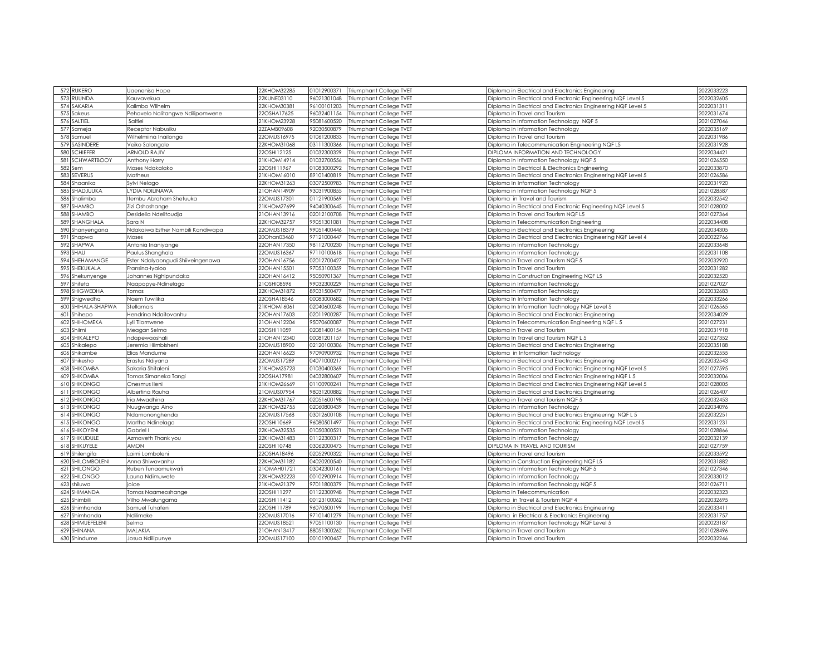| 572 RUKERO                | Uaenenisa Hope                    | 22KHOM32285 | 01012900371 | <b>Triumphant College TVET</b> | Diploma in Electrical and Electronics Engineering             | 2022033223 |
|---------------------------|-----------------------------------|-------------|-------------|--------------------------------|---------------------------------------------------------------|------------|
|                           |                                   |             |             |                                |                                                               |            |
| 573<br>RUUNDA             | Kauvavekua                        | 22KUNE03110 | 96021301048 | Triumphant College TVET        | Diploma in Electrical and Electronic Engineering NQF Level 5  | 2022032605 |
| 574<br>SAKARIA            | <b>Kalimbo Wilhelm</b>            | 22KHOM30381 | 96100101203 | Triumphant College TVET        | Diploma in Electrical and Electronics Engineering NQF Level 5 | 2022031311 |
| Sakeus<br>575             | Pehovelo Nalitangwe Ndilipomwene  | 22OSHA17625 | 96032401154 | Triumphant College TVET        | Diploma in Travel and Tourism                                 | 2022031674 |
| 576<br>SALTIEL            | Saltiel                           | 21KHOM23928 | 95081600520 | Triumphant College TVET        | Diploma in Information Technology NQF 5                       | 2021027046 |
| 577<br>Sameja             | Receptor Nabusiku                 | 22ZAMB09608 | 92030500879 | Triumphant College TVET        | Diploma in Information Technology                             | 2022035169 |
| 578<br>Samuel             | Wilhelmiina Inailonga             | 22OMUS16975 | 01061200833 | Triumphant College TVET        | Diploma in Travel and Tourism                                 | 2022031986 |
| SASINDERE<br>579          | Veiko Salongole                   | 22KHOM31068 | 03111300366 | <b>Triumphant College TVET</b> | Diploma in Telecommunication Engineering NQF L5               | 2022031928 |
| <b>SCHIEFER</b><br>580    | <b>ARNOLD RAJIV</b>               | 22OSHI12125 | 01032300329 | Triumphant College TVET        | <b>DIPLOMA INFORMATION AND TECHNOLOGY</b>                     | 2022034421 |
| 581<br><b>SCHWARTBOOY</b> | Anthony Harry                     | 21KHOM14914 | 01032700556 | Triumphant College TVET        | Diploma in Information Technology NQF 5                       | 2021026550 |
| 582<br>Sem                | Moses Ndakalako                   | 22OSHI11967 | 01083000292 | Triumphant College TVET        | Diploma in Electrical & Electronics Engineering               | 2022033870 |
| 583<br><b>SEVERUS</b>     | Matheus                           | 21KHOM16010 | 89101400819 | Triumphant College TVET        | Diploma in Electrical and Electronics Engineering NQF Level 5 | 2021026586 |
| 584<br>Shaanika           | Sylvi Nelago                      | 2KHOM31263  | 03072500983 | Triumphant College TVET        | Viploma In Information Technology                             | 2022031920 |
| SHADJUUKA<br>585          | LYDIA NDILINAWA                   | 10HAN14909  | 93031900855 | Triumphant College TVET        | Diploma in Information Technology NQF 5                       | 2021028587 |
| 586<br>Shalimba           | ltembu Abraham Shetuuka           | 22OMUS17301 | 01121900569 | Triumphant College TVET        | Diploma in Travel and Tourism                                 | 2022032542 |
| 587<br>SHAMBO             |                                   | !IKHOM27699 | 94040300645 |                                |                                                               | 2021028002 |
|                           | Zizi Oshoshange                   |             |             | <b>Triumphant College TVET</b> | Diploma in Electrical and Electronic Engineering NQF Level 5  |            |
| SHAMBO<br>588             | Desidelia Ndelitoudja             | 21OHAN13916 | 02012100708 | Triumphant College TVET        | Diploma in Travel and Tourism NQF L5                          | 2021027364 |
| SHANGHALA<br>589          | Sara N                            | 22KHOM32757 | 99051301081 | Triumphant College TVET        | Diploma in Telecommunication Engineering                      | 2022034408 |
| 590<br>Shanyengana        | Ndakaiwa Esther Nambili Kandiwapa | 22OMUS18379 | 99051400446 | Triumphant College TVET        | Diploma in Electrical and Electronics Engineering             | 2022034305 |
| 591<br>Shapwa             | Moses                             | 20Ohan03460 | 97121000447 | Triumphant College TVET        | liploma in Electrical and Electronics Engineering NQF Level 4 | 2020022766 |
| SHAPWA<br>592             | Antonia Inaniyange                | 22OHAN17350 | 98112700230 | Triumphant College TVET        | Diploma in Information Technology                             | 2022033648 |
| 593<br>SHAU               | Paulus Shanghala                  | 22OMUS16367 | 97110100618 | Triumphant College TVET        | Diploma in Information Technology                             | 2022031108 |
| 594<br>SHEHAMANGE         | Ester Ndalyaongudi Shiiveingenawa | 22OHAN16756 | 02012700427 | Triumphant College TVET        | Diploma in Travel and Tourism NQF 5                           | 2022032920 |
| 595<br>SHEKUKALA          | Fransina-Iyaloo                   | 22OHAN15501 | 97053100359 | Triumphant College TVET        | Diploma in Travel and Tourism                                 | 2022031282 |
| 596<br>Shekunyenge        | Johannes Nghipundaka              | 22OHAN16412 | 95050901367 | Triumphant College TVET        | Diploma in Construction Engineering NQF L5                    | 2022032520 |
| 597<br>Shifeta            | Naapopye-Ndinelago                | 21OSHI08596 | 99032300229 | Triumphant College TVET        | liploma in Information Technology                             | 2021027027 |
| 598<br>SHIGWEDHA          | Tomas                             | 22KHOM31872 | 89031500477 | Triumphant College TVET        | Diploma in Information Technology                             | 2022032683 |
| 599<br>Shigwedha          | Naem Tuwilika                     | 22OSHA18546 | 00083000682 | Triumphant College TVET        | Diploma In Information Technology                             | 2022033266 |
| 600<br>SHIHALA-SHAPWA     | Stellamars                        | 21KHOM16061 | 02040600248 | Triumphant College TVET        | Diploma In Information Technology NQF Level 5                 | 2021026565 |
| 601<br>Shihepo            | Hendrina Ndaitovanhu              | 22OHAN17603 | 02011900287 | Triumphant College TVET        | Diploma in Electrical and Electronics Engineering             | 2022034029 |
| SHIHOMEKA<br>602          | Lyli Tilomwene                    | 21OHAN12204 | 95070600087 | Triumphant College TVET        | Diploma in Telecommunication Engineering NQF L 5              | 2021027231 |
|                           |                                   |             |             |                                |                                                               | 2022031918 |
| Shiimi<br>603             | Meagan Selma                      | 2OSHI11059  | 02081400154 | Triumphant College TVET        | iploma in Travel and Tourism                                  |            |
| SHIKALEPO<br>604          | ndapewaoshali                     | 21OHAN12340 | 00081201157 | Triumphant College TVET        | Diploma In Travel and Tourism NQF L 5                         | 2021027352 |
| Shikalepo<br>605          | leremia Hiimbisheni               | 20MUS18900  | 02120100306 | Triumphant College TVET        | liploma in Electrical and Electronics Engineering             | 2022035188 |
| Shikambe<br>606           | Elias Mandume                     | 20HAN16623  | 97090900932 | Triumphant College TVET        | Diploma in Information Technology                             | 2022032555 |
| Shikesho<br>607           | Erastus Ndiyana                   | 22OMUS17289 | 04071000217 | Triumphant College TVET        | Diploma in Electrical and Electronics Engineering             | 2022032543 |
| <b>SHIKOMBA</b><br>608    | Sakaria Shitaleni                 | 21KHOM25723 | 01030400369 | Triumphant College TVET        | Diploma in Electrical and Electronics Engineering NQF Level 5 | 2021027595 |
| <b>SHIKOMBA</b><br>609    | Tomas Simaneka Tangi              | 22OSHA17981 | 04032800607 | Triumphant College TVET        | Diploma in Electrical and Electronics Engineering NQF L 5     | 2022032006 |
| SHIKONGO<br>610           | Onesmus Ileni                     | 21KHOM26669 | 01100900241 | Triumphant College TVET        | Diploma in Electrical and Electronics Engineering NQF Level 5 | 2021028005 |
| SHIKONGO<br>611           | Albertina Rauha                   | 21OMUS07954 | 98031200882 | Triumphant College TVET        | Diploma in Electrical and Electronics Engineering             | 2021026407 |
| 612 SHIKONGO              | Iria Mwadhina                     | 22KHOM31767 | 02051600198 | Triumphant College TVET        | Diploma in Travel and Tourism NQF 5                           | 2022032453 |
| SHIKONGO<br>613           | Nuugwanga Aino                    | 22KHOM32755 | 02060800439 | Triumphant College TVET        | Diploma in Information Technology                             | 2022034096 |
| 614<br><b>SHIKONGO</b>    | Ndamononghenda                    | 22OMUS17568 | 03012600108 | Triumphant College TVET        | Diploma in Electrical and Electronics Engineering NQF L 5     | 2022032251 |
| <b>SHIKONGO</b><br>615    | Martha Ndinelago                  | 22OSHI10669 | 96080501497 | Triumphant College TVET        | Diploma in Electrical and Electronic Engineering NQF Level 5  | 2022031231 |
| 616<br>SHIKOYENI          | Gabriel I                         | 22KHOM32535 | 01050300521 | Triumphant College TVET        | Diploma in Information Technology                             | 2021028866 |
| SHIKUDULE<br>617          | Azmaveth Thank you                | 22KHOM31483 | 01122300317 | Triumphant College TVET        | Diploma in Information Technology                             | 2022032139 |
| 618 SHIKUYELE             | <b>AMON</b>                       | 22OSHI10748 | 03062000473 | Triumphant College TVET        | DIPLOMA IN TRAVEL AND TOURISM                                 | 2021027759 |
|                           | Laimi Lomboleni                   | 22OSHA18496 | 02052900322 | Triumphant College TVET        | Diploma in Travel and Tourism                                 | 2022033592 |
| 619 Shilengifa            |                                   |             |             |                                |                                                               |            |
| SHILOMBOLENI<br>620       | Anna Shiwovanhu                   | 22KHOM31182 | 04020200540 | Triumphant College TVET        | Diploma in Construction Engineering NQF L5                    | 2022031882 |
| 621<br>SHILONGO           | Ruben Tunaomukwafi                | 21OMAH01721 | 03042300161 | Triumphant College TVET        | Diploma in Information Technology NQF 5                       | 2021027346 |
| SHILONGO<br>622           | Launa Ndimuwete                   | 22KHOM32223 | 00102900914 | <b>Triumphant College TVET</b> | Diploma in Information Technology                             | 2022033012 |
| 623 shiluwa               | oice                              | 21KHOM21379 | 97011800379 | Triumphant College TVET        | Diploma in Information Technology NQF 5                       | 2021026711 |
| SHIMANDA<br>624           | <b>Tomas Naameoshange</b>         | 22OSHI11297 | 01122300948 | Triumphant College TVET        | iploma in Telecommunication                                   | 2022032323 |
| 625<br>Shimbili           | Vilho Mwalungama                  | 22OSHI11412 | 00123100062 | Triumphant College TVET        | Diploma in Travel & Tourism NQF 4                             | 2022032695 |
| 626<br>Shimhanda          | Samuel Tuhafeni                   | 20SHI11789  | 96070500199 | Triumphant College TVET        | liploma in Electrical and Electronics Engineering             | 202203341  |
| Shimhanda<br>627          | Ndilimeke                         | 22OMUS17016 | 97101401279 | Triumphant College TVET        | Diploma in Electrical & Electronics Engineering               | 2022031757 |
| SHIMUEFELENI<br>628       | Selma                             | 22OMUS18521 | 97051100130 | Triumphant College TVET        | Diploma in Information Technology NQF Level 5                 | 2020023187 |
| 629<br>SHINANA            | MALAKIA                           | !IOHAN13417 | 88051300262 | Triumphant College TVET        | Diploma in Travel and Tourism                                 | 2021028496 |
| 630 Shindume              | Josua Ndilipunye                  | 22OMUS17100 | 00101900457 | Triumphant College TVET        | Diploma in Travel and Tourism                                 | 2022032246 |
|                           |                                   |             |             |                                |                                                               |            |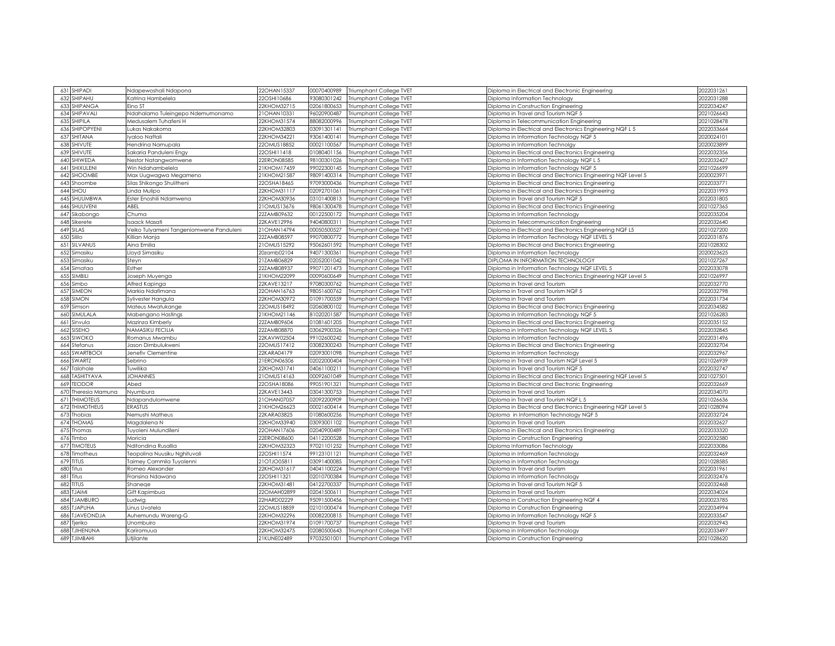|      | 631 SHIPADI                   | Ndapewoshali Ndapona                    | 22OHAN15337                | 00070400989                | Triumphant College TVET                            | Diploma in Electrical and Electronic Engineering                                                       | 2022031261               |
|------|-------------------------------|-----------------------------------------|----------------------------|----------------------------|----------------------------------------------------|--------------------------------------------------------------------------------------------------------|--------------------------|
|      | 632 SHIPAHU                   | Katrina Hambelela                       | 22OSHI10686                | 93080301242                | Triumphant College TVET                            | Diploma Information Technology                                                                         | 2022031288               |
|      | 633 SHIPANGA                  | Eino ST                                 | 22KHOM32715                | 02061800653                | Triumphant College TVET                            | Diploma in Construction Engineering                                                                    | 2022034247               |
|      | 634 SHIPAVALI                 | Ndahalamo Tuleingepo Ndemumonamo        | 21OHAN1033                 | 96020900487                | Triumphant College TVET                            | Diploma in Travel and Tourism NQF 5                                                                    | 2021026643               |
|      | 635 SHIPILA                   | Medusalem Tuhafeni H                    | 22KHOM31574                | 88082000996                | Triumphant College TVET                            | Diploma in Telecommunication Engineering                                                               | 2021028478               |
|      | 636 SHIPOPYENI                | Lukas Nakakoma                          | 22KHOM32803                | 03091301141                | Triumphant College TVET                            | Diploma in Electrical and Electronics Engineering NQF L 5                                              | 2022033664               |
|      | 637 SHITANA                   | Iyaloo Naftali                          | 22KHOM34221                | 93061400141                | Triumphant College TVET                            | Diploma in Information Technology NQF 5                                                                | 2020024101               |
|      | 638 SHIVUTE                   | Hendrina Namupala                       | 22OMUS18852                | 00021100567                | Triumphant College TVET                            | Diploma in Information Technolgy                                                                       | 2020023899               |
|      | 639 SHIVUTE                   | Sakaria Panduleni Engy                  | 22OSHI11418                | 01080401156                | Triumphant College TVET                            | Diploma in Electrical and Electronics Engineering                                                      | 2022032356               |
|      | 640 SHIWEDA                   | Nestor Natangwomwene                    | 22ERON08585                | 98100301026                | Triumphant College TVET                            | Diploma in Information Technology NQF L 5                                                              | 2022032427               |
|      | 641 SHIXULENI                 | Win Ndahambelela                        | 21KHOM17459                | 99022300145                | Triumphant College TVET                            | Diploma in Information Technology NQF 5                                                                | 2021026699               |
|      | 642 SHOOMBE                   | Max Uugwagwa Megameno                   | 21KHOM21587                | 98091400314                | Triumphant College TVET                            | Diploma in Electrical and Electronics Engineering NQF Level 5                                          | 2020023971               |
|      |                               | Silas Shikongo Shulitheni               | 22OSHA18465                | 97093000436                |                                                    |                                                                                                        | 2022033771               |
|      | 643 Shoombe<br>644 SHOU       | Linda Mulipo                            | 22KHOM31117                | 02092701061                | Triumphant College TVET<br>Triumphant College TVET | Diploma in Electrical and Electronics Engineering<br>Diploma in Electrical and Electronics Engineering | 2022031993               |
|      | 645 SHUUMBWA                  |                                         | 22KHOM30936                | 03101400813                |                                                    |                                                                                                        | 2022031805               |
|      | 646 SHUUVENI                  | Ester Enoshili Ndamwena<br>ABEL         | 21OMUS13676                | 98061300478                | Triumphant College TVET<br>Triumphant College TVET | Diploma in Travel and Tourism NQF 5                                                                    | 2021027365               |
|      |                               |                                         |                            |                            |                                                    | Diploma in Electrical and Electronics Engineering                                                      |                          |
|      | 647 Sikabongo<br>648 Sikerete | Chuma                                   | 22ZAMB09632<br>22KAVE12996 | 00122500172<br>94040800311 | Triumphant College TVET<br>Triumphant College TVET | Diploma in Information Technology                                                                      | 2022035204<br>2022032640 |
|      |                               | saack Masati                            |                            |                            |                                                    | Diploma in Telecommunication Engineering                                                               |                          |
|      | 649 SILAS                     | Veiko Tulyameni Tangeniomwene Panduleni | 21OHAN14794                | 00050500527                | Triumphant College TVET                            | Diploma in Electrical and Electronics Engineering NQF L5                                               | 2021027200               |
| 650  | Sililo                        | Killian Manja                           | 22ZAMB08597                | 99070800772                | Triumphant College TVET                            | Diploma in Information Technology NQF LEVEL 5                                                          | 2022031876               |
|      | 651 SILVANUS                  | Aina Emilia                             | 21OMUS15292                | 95062601592                | Triumphant College TVET                            | Diploma in Electrical and Electronics Engineering                                                      | 2021028302               |
|      | 652 Simasiku                  | Lloyd Simasiku                          | 20zamb02104                | 94071300361                | Triumphant College TVET                            | Diploma in Information Technology                                                                      | 2020023625               |
| 653  | Simasiku                      | Steyn                                   | 21ZAMB06829                | 02052001042                | Triumphant College TVET                            | DIPLOMA IN INFORMATION TECHNOLOGY                                                                      | 2021027267               |
|      | 654 Simataa                   | Esther                                  | 22ZAMB08937                | 99071201473                | Triumphant College TVET                            | Diploma in Information Technology NQF LEVEL 5                                                          | 2022033078               |
|      | 655 SIMBILI                   | Joseph Muyenga                          | 21KHOM22099                | 00090600649                | Triumphant College TVET                            | Diploma in Electrical and Electronics Engineering NQF Level 5                                          | 2021026997               |
|      | 656 Simbo                     | Alfred Kapinga                          | 22KAVE13217                | 97080300762                | Triumphant College TVET                            | Diploma in Travel and Tourism                                                                          | 2022032770               |
|      | 657 SIMEON                    | Markia Ndafimana                        | 22OHAN16763                | 98051600762                | Triumphant College TVET                            | Diploma in Travel and Tourism NQF 5                                                                    | 2022032798               |
|      | 658 SIMON                     | Sylivester Hangula                      | 22KHOM30972                | 01091700559                | Triumphant College TVET                            | Diploma in Travel and Tourism                                                                          | 2022031734               |
|      | 659 Simson                    | Mateus Mwatukange                       | 22OMUS18492                | 02060800102                | Triumphant College TVET                            | Diploma in Electrical and Electronics Engineering                                                      | 2022034582               |
|      | 660 SIMULALA                  | Mabengano Hastings                      | 21KHOM21146                | 81020201587                | Triumphant College TVET                            | Diploma in Information Technology NQF 5                                                                | 2021026283               |
|      | 661 Sinvula                   | Mazinza Kimberly                        | 22ZAMB09604                | 01081601205                | Triumphant College TVET                            | Diploma in Electrical and Electronics Engineering                                                      | 2022035152               |
| 6621 | SISEHO                        | <b>NAMASIKU FECILIA</b>                 | 22ZAMB08870                | 03062900326                | Triumphant College TVET                            | Diploma in Information Technology NQF LEVEL 5                                                          | 2022032845               |
|      | 663 SIWOKO<br>664 Stefanus    | Romanus Mwambu                          | 22KAVW02504<br>22OMUS17412 | 99102600242<br>03082300243 | Triumphant College TVET                            | Diploma in Information Technology                                                                      | 2022031496<br>2022032704 |
|      | 665 SWARTBOOI                 | Jason Dimbulukweni                      | 22KARA04179                | 02093001098                | Triumphant College TVET<br>Triumphant College TVET | Diploma in Electrical and Electronics Engineering                                                      | 2022032967               |
|      | 666 SWARTZ                    | Jenefiv Clementine<br>Sebrino           | 21ERON06506                | 02022000404                | Triumphant College TVET                            | Diploma in Information Technology<br>Diploma in Travel and Tourism NQF Level 5                         | 2021026939               |
|      | 667 Talohole                  | Tuwilika                                | 22KHOM31741                | 04061100211                | Triumphant College TVET                            | Diploma in Travel and Tourism NQF 5                                                                    | 2022032747               |
|      | 668 TASHITYAVA                | <b>JOHANNES</b>                         | 21OMUS14163                | 00092601049                | <b>Triumphant College TVET</b>                     | Diploma in Electrical and Electronics Engineering NQF Level 5                                          | 2021027501               |
|      | 669 TEODOR                    | Abed                                    | 22OSHA18086                | 99051901321                | Triumphant College TVET                            | Diploma in Electrical and Electronic Engineering                                                       | 2022032669               |
| 670  | Theresia Mamuna               |                                         | 22KAVE13443                | 03041300753                |                                                    | Diploma in Travel and Tourism                                                                          | 2022034070               |
|      | <b>671 THIMOTEUS</b>          | Nyumbura                                | 21OHAN07057                | 02092200909                | Triumphant College TVET<br>Triumphant College TVET | Diploma in Travel and Tourism NQF L 5                                                                  | 2021026636               |
|      | <b>672 THIMOTHEUS</b>         | Ndapandulomwene<br><b>ERASTUS</b>       | 21KHOM26623                | 00021600414                | Triumphant College TVET                            |                                                                                                        | 2021028094               |
|      | 673 Thobias                   | Nemushi Matheus                         | 22KARA03825                | 01080600256                |                                                    | Diploma in Electrical and Electronics Engineering NQF Level 5                                          | 2022032724               |
|      | 674 THOMAS                    | Magdalena N                             | 22KHOM33940                | 03093001102                | Triumphant College TVET<br>Triumphant College TVET | Diploma in Information Technology NQF 5<br>Diploma in Travel and Tourism                               | 2022032627               |
|      | 675 Thomas                    | Tuyoleni Mulundileni                    | 22OHAN17606                | 02040900489                | Triumphant College TVET                            | Diploma in Electrical and Electronics Engineering                                                      | 2022033320               |
|      | 676 Timbo                     | Moricia                                 | 22ERON08600                | 04112200528                | Triumphant College TVET                            | Diploma in Construction Engineering                                                                    | 2022032580               |
|      | <b>677 TIMOTEUS</b>           | Nditondina Rusallia                     | 22KHOM32323                | 97021101252                | Triumphant College TVET                            | Diploma Information Technology                                                                         | 2022033086               |
|      | 678 Timotheus                 | Teopolina Nuusiku Nahituval             | 22OSHI11574                | 99123101121                | Triumphant College TVET                            | Diploma in Information Technology                                                                      | 2022032469               |
|      | 679 TITUS                     | <b>Taimey Cammila Tuyolenni</b>         | 21OTJ005811                | 03091400085                | Triumphant College TVET                            | Diploma in Information Technology                                                                      | 2021028585               |
| 680  | Titus                         | Romeo Alexander                         | 22KHOM31617                | 04041100224                | Triumphant College TVET                            | Diploma In Travel and Tourism                                                                          | 2022031961               |
|      | 681 Titus                     | Fransina Ndawana                        | 22OSHI11321                | 02010700384                | Triumphant College TVET                            |                                                                                                        | 2022032476               |
|      | 682 TITUS                     | Shanege                                 | 22KHOM31481                | 04122700337                | Triumphant College TVET                            | Diploma in Information Technology<br>Diploma in Travel and Tourism NQF 5                               | 2022032468               |
|      | 683 TJAIMI                    | Gift Kapimbua                           | 22OMAH02899                | 02041500611                | Triumphant College TVET                            | Diploma in Travel and Tourism                                                                          | 2022034024               |
|      | 684 TJAMBURO                  | Ludwig                                  | 22HARD02229                | 95091500456                | Triumphant College TVET                            | Diploma in Construction Engineering NQF 4                                                              | 2020023785               |
| 685  | <b>TJAPUHA</b>                | Linus Uvatela                           | 22OMUS18859                | 02101000474                | Triumphant College TVET                            | Diploma in Construction Engineering                                                                    | 2022034994               |
|      | 686 TJAVEONDJA                | Auhemundu Wareng-G                      | 22KHOM32296                | 00082200815                | Triumphant College TVET                            | Diploma in Information Technology NQF 5                                                                | 2022033547               |
| 687  | Tieriko                       | Unombuiro                               | 22KHOM31974                | 01091700737                | Triumphant College TVET                            | Diploma In Travel and Tourism                                                                          | 2022032943               |
| 688  | <b>TJIHENUNA</b>              | Kariromuua                              | 22KHOM32475                | 02080500643                | Triumphant College TVET                            | Diploma in Information Technoloav                                                                      | 2022033497               |
|      | 689 TJIMBAHI                  | Litjilante                              | 21KUNE02489                | 97032501001                | Triumphant College TVET                            | Diploma in Construction Engineering                                                                    | 2021028620               |
|      |                               |                                         |                            |                            |                                                    |                                                                                                        |                          |